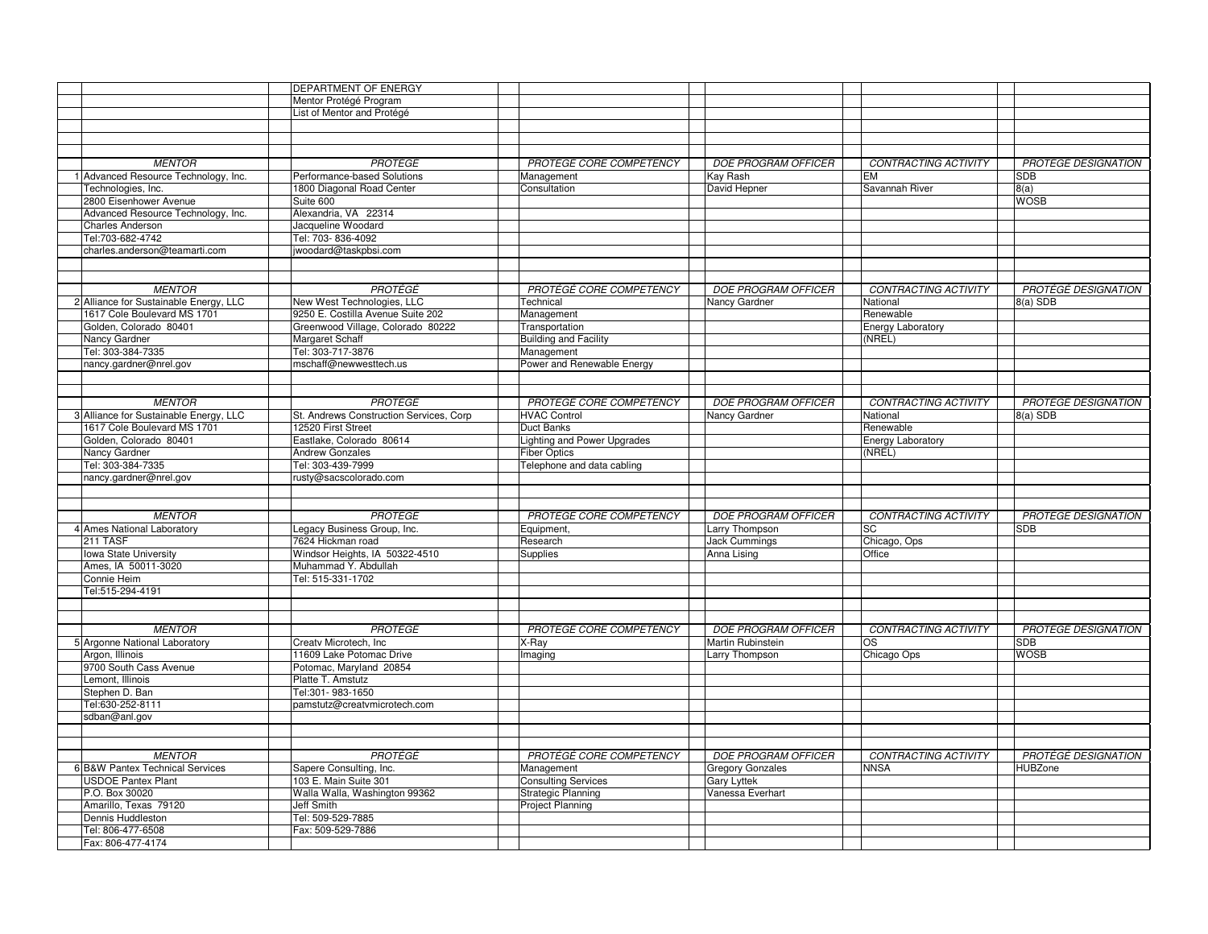|                                        | DEPARTMENT OF ENERGY                           |                                    |                            |                                       |                            |
|----------------------------------------|------------------------------------------------|------------------------------------|----------------------------|---------------------------------------|----------------------------|
|                                        | Mentor Protégé Program                         |                                    |                            |                                       |                            |
|                                        | List of Mentor and Protégé                     |                                    |                            |                                       |                            |
|                                        |                                                |                                    |                            |                                       |                            |
|                                        |                                                |                                    |                            |                                       |                            |
|                                        |                                                |                                    |                            |                                       |                            |
| <b>MENTOR</b>                          | <b>PROTEGE</b>                                 | PROTEGE CORE COMPETENCY            | <b>DOE PROGRAM OFFICER</b> | <b>CONTRACTING ACTIVITY</b>           | <b>PROTEGE DESIGNATION</b> |
| 1 Advanced Resource Technology, Inc.   | Performance-based Solutions                    | Management                         | Kay Rash                   | <b>EM</b>                             | <b>SDB</b>                 |
| Technologies, Inc.                     | 1800 Diagonal Road Center                      | Consultation                       | David Hepner               | Savannah River                        | 8(a)                       |
| 2800 Eisenhower Avenue                 | Suite 600                                      |                                    |                            |                                       | <b>WOSB</b>                |
| Advanced Resource Technology, Inc.     | Alexandria, VA 22314                           |                                    |                            |                                       |                            |
| Charles Anderson                       | Jacqueline Woodard                             |                                    |                            |                                       |                            |
| Tel:703-682-4742                       | Tel: 703-836-4092                              |                                    |                            |                                       |                            |
| charles.anderson@teamarti.com          | jwoodard@taskpbsi.com                          |                                    |                            |                                       |                            |
|                                        |                                                |                                    |                            |                                       |                            |
|                                        |                                                |                                    |                            |                                       |                            |
| <b>MENTOR</b>                          | <b>PROTÉGÉ</b>                                 | PROTÉGÉ CORE COMPETENCY            | <b>DOE PROGRAM OFFICER</b> | CONTRACTING ACTIVITY                  | <b>PROTÉGÉ DESIGNATION</b> |
| 2 Alliance for Sustainable Energy, LLC | New West Technologies, LLC                     | <b>Technical</b>                   | Nancy Gardner              | National                              | $8(a)$ SDB                 |
| 1617 Cole Boulevard MS 1701            | 9250 E. Costilla Avenue Suite 202              | Management                         |                            | Renewable                             |                            |
| Golden, Colorado 80401                 | Greenwood Village, Colorado 80222              | Transportation                     |                            | <b>Energy Laboratory</b>              |                            |
| Nancy Gardner                          | Margaret Schaff                                | <b>Building and Facility</b>       |                            | (NREL)                                |                            |
| Tel: 303-384-7335                      | Tel: 303-717-3876                              | Management                         |                            |                                       |                            |
| nancy.gardner@nrel.gov                 | mschaff@newwesttech.us                         | Power and Renewable Energy         |                            |                                       |                            |
|                                        |                                                |                                    |                            |                                       |                            |
|                                        |                                                |                                    |                            |                                       |                            |
| <b>MENTOR</b>                          | <b>PROTÉGÉ</b>                                 | PROTÉGÉ CORE COMPETENCY            | <b>DOE PROGRAM OFFICER</b> | <b>CONTRACTING ACTIVITY</b>           | <b>PROTÉGÉ DESIGNATION</b> |
| 3 Alliance for Sustainable Energy, LLC | St. Andrews Construction Services, Corp        | <b>HVAC Control</b>                | Nancy Gardner              | National                              | $8(a)$ SDB                 |
| 1617 Cole Boulevard MS 1701            |                                                | Duct Banks                         |                            |                                       |                            |
| Golden, Colorado 80401                 | 12520 First Street<br>Eastlake, Colorado 80614 | <b>Lighting and Power Upgrades</b> |                            | Renewable<br><b>Energy Laboratory</b> |                            |
|                                        | Andrew Gonzales                                | <b>Fiber Optics</b>                |                            | (NREL)                                |                            |
| Nancy Gardner<br>Tel: 303-384-7335     | Tel: 303-439-7999                              |                                    |                            |                                       |                            |
| nancy.gardner@nrel.gov                 | rusty@sacscolorado.com                         | Telephone and data cabling         |                            |                                       |                            |
|                                        |                                                |                                    |                            |                                       |                            |
|                                        |                                                |                                    |                            |                                       |                            |
|                                        |                                                |                                    |                            |                                       |                            |
| <b>MENTOR</b>                          | PROTÉGÉ                                        | PROTÉGÉ CORE COMPETENCY            | <b>DOE PROGRAM OFFICER</b> | <b>CONTRACTING ACTIVITY</b>           | <b>PROTÉGÉ DESIGNATION</b> |
| 4 Ames National Laboratory             | Legacy Business Group, Inc.                    | Equipment,                         | Larry Thompson             | SC                                    | <b>SDB</b>                 |
| 211 TASF                               | 7624 Hickman road                              | Research                           | <b>Jack Cummings</b>       | Chicago, Ops                          |                            |
| Iowa State University                  | Windsor Heights, IA 50322-4510                 | Supplies                           | Anna Lising                | Office                                |                            |
| Ames, IA 50011-3020                    | Muhammad Y. Abdullah                           |                                    |                            |                                       |                            |
| Connie Heim                            | Tel: 515-331-1702                              |                                    |                            |                                       |                            |
| Tel:515-294-4191                       |                                                |                                    |                            |                                       |                            |
|                                        |                                                |                                    |                            |                                       |                            |
|                                        |                                                |                                    |                            |                                       |                            |
| <b>MENTOR</b>                          | <b>PROTÉGÉ</b>                                 | PROTÉGÉ CORE COMPETENCY            | <b>DOE PROGRAM OFFICER</b> | CONTRACTING ACTIVITY                  | <b>PROTÉGÉ DESIGNATION</b> |
| 5 Argonne National Laboratory          | Creatv Microtech, Inc.                         | X-Ray                              | Martin Rubinstein          | $\overline{\text{OS}}$                | <b>SDB</b>                 |
| Argon, Illinois                        | 11609 Lake Potomac Drive                       | Imaging                            | Larry Thompson             | Chicago Ops                           | <b>WOSB</b>                |
| 9700 South Cass Avenue                 | Potomac, Maryland 20854                        |                                    |                            |                                       |                            |
| Lemont, Illinois                       | Platte T. Amstutz                              |                                    |                            |                                       |                            |
| Stephen D. Ban                         | Tel:301-983-1650                               |                                    |                            |                                       |                            |
| Tel:630-252-8111                       | pamstutz@creatvmicrotech.com                   |                                    |                            |                                       |                            |
| sdban@anl.gov                          |                                                |                                    |                            |                                       |                            |
|                                        |                                                |                                    |                            |                                       |                            |
|                                        |                                                |                                    |                            |                                       |                            |
| <b>MENTOR</b>                          | <b>PROTÉGÉ</b>                                 | PROTÉGÉ CORE COMPETENCY            | <b>DOE PROGRAM OFFICER</b> | <b>CONTRACTING ACTIVITY</b>           | <b>PROTÉGÉ DESIGNATION</b> |
| 6 B&W Pantex Technical Services        | Sapere Consulting, Inc.                        | Management                         | <b>Gregory Gonzales</b>    | <b>NNSA</b>                           | <b>HUBZone</b>             |
| <b>USDOE Pantex Plant</b>              | 103 E. Main Suite 301                          | <b>Consulting Services</b>         | <b>Gary Lyttek</b>         |                                       |                            |
| P.O. Box 30020                         | Walla Walla, Washington 99362                  | Strategic Planning                 | Vanessa Everhart           |                                       |                            |
| Amarillo, Texas 79120                  | Jeff Smith                                     | Project Planning                   |                            |                                       |                            |
| Dennis Huddleston                      | Tel: 509-529-7885                              |                                    |                            |                                       |                            |
| Tel: 806-477-6508                      | Fax: 509-529-7886                              |                                    |                            |                                       |                            |
| Fax: 806-477-4174                      |                                                |                                    |                            |                                       |                            |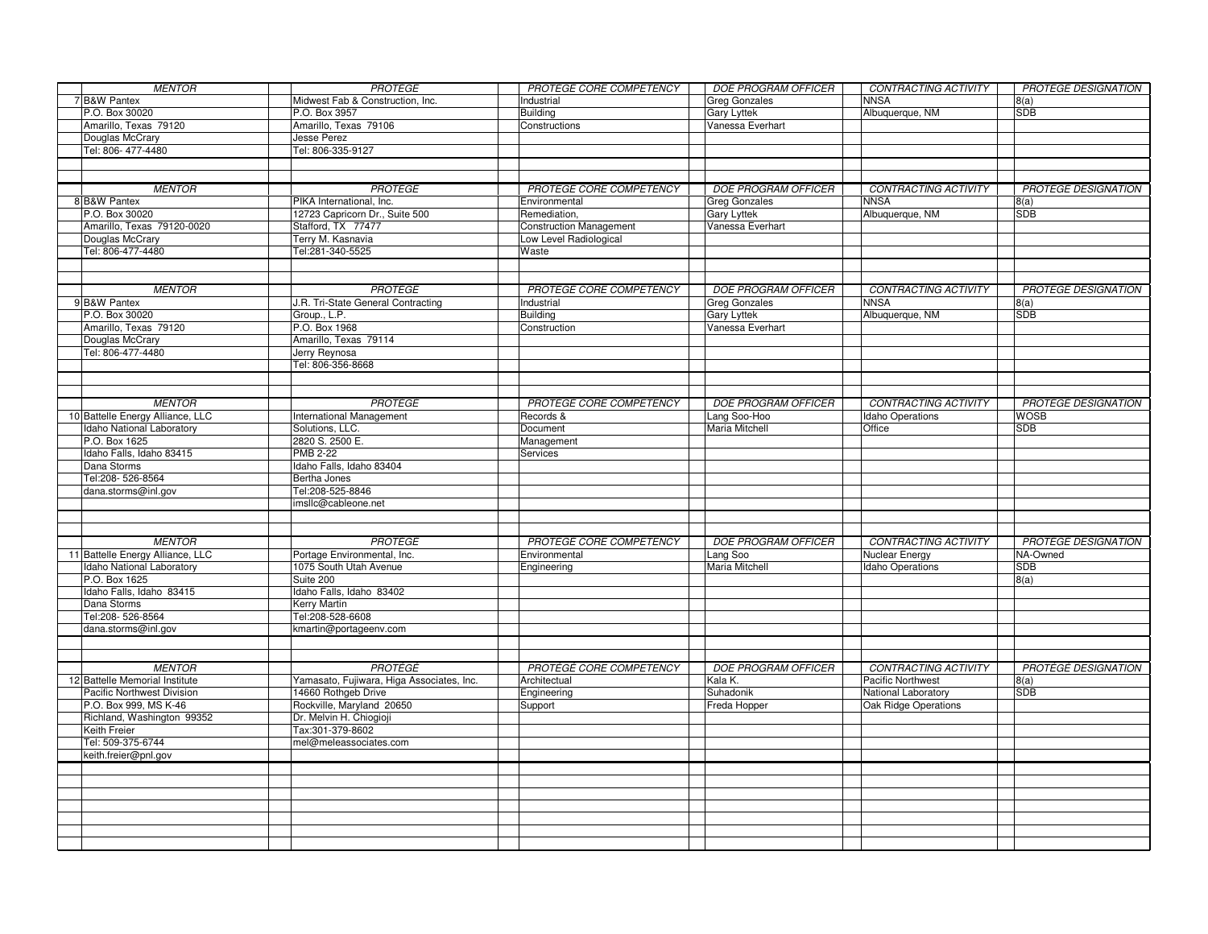| <b>MENTOR</b>                    | PROTÉGÉ                                   | PROTÉGÉ CORE COMPETENCY        | DOE PROGRAM OFFICER        | CONTRACTING ACTIVITY        | PROTÉGÉ DESIGNATION        |
|----------------------------------|-------------------------------------------|--------------------------------|----------------------------|-----------------------------|----------------------------|
| 7 B&W Pantex                     | Midwest Fab & Construction, Inc.          | Industrial                     | <b>Greg Gonzales</b>       | <b>NNSA</b>                 | 8(a)                       |
| P.O. Box 30020                   | P.O. Box 3957                             | <b>Building</b>                | <b>Gary Lyttek</b>         | Albuquerque, NM             | <b>SDB</b>                 |
| Amarillo, Texas 79120            | Amarillo, Texas 79106                     | Constructions                  | Vanessa Everhart           |                             |                            |
| Douglas McCrary                  | Jesse Perez                               |                                |                            |                             |                            |
| Tel: 806-477-4480                | Tel: 806-335-9127                         |                                |                            |                             |                            |
|                                  |                                           |                                |                            |                             |                            |
|                                  |                                           |                                |                            |                             |                            |
| <b>MENTOR</b>                    | <b>PROTÉGÉ</b>                            | PROTÉGÉ CORE COMPETENCY        | <b>DOE PROGRAM OFFICER</b> | CONTRACTING ACTIVITY        | <b>PROTÉGÉ DESIGNATION</b> |
| 8B&W Pantex                      | PIKA International, Inc.                  | Environmental                  | <b>Greg Gonzales</b>       | <b>NNSA</b>                 | 8(a)                       |
| P.O. Box 30020                   | 12723 Capricorn Dr., Suite 500            | Remediation,                   | <b>Gary Lyttek</b>         | Albuquerque, NM             | SDB                        |
| Amarillo, Texas 79120-0020       | Stafford, TX 77477                        | <b>Construction Management</b> | Vanessa Everhart           |                             |                            |
| Douglas McCrary                  | Terry M. Kasnavia                         | Low Level Radiological         |                            |                             |                            |
| Tel: 806-477-4480                | Tel:281-340-5525                          | Waste                          |                            |                             |                            |
|                                  |                                           |                                |                            |                             |                            |
|                                  |                                           |                                |                            |                             |                            |
|                                  |                                           |                                |                            |                             |                            |
| <b>MENTOR</b>                    | PROTÉGÉ                                   | PROTÉGÉ CORE COMPETENCY        | <b>DOE PROGRAM OFFICER</b> | <b>CONTRACTING ACTIVITY</b> | <b>PROTÉGÉ DESIGNATION</b> |
| 9 B&W Pantex                     | J.R. Tri-State General Contracting        | Industrial                     | <b>Greg Gonzales</b>       | <b>NNSA</b>                 | 8(a)                       |
| P.O. Box 30020                   | Group., L.P.                              | <b>Building</b>                | <b>Gary Lyttek</b>         | Albuquerque, NM             | <b>SDB</b>                 |
| Amarillo, Texas 79120            | P.O. Box 1968                             | Construction                   | Vanessa Everhart           |                             |                            |
| Douglas McCrary                  | Amarillo, Texas 79114                     |                                |                            |                             |                            |
| Tel: 806-477-4480                | Jerry Reynosa                             |                                |                            |                             |                            |
|                                  | Tel: 806-356-8668                         |                                |                            |                             |                            |
|                                  |                                           |                                |                            |                             |                            |
|                                  |                                           |                                |                            |                             |                            |
| <b>MENTOR</b>                    | <b>PROTÉGÉ</b>                            | PROTÉGÉ CORE COMPETENCY        | <b>DOE PROGRAM OFFICER</b> | <b>CONTRACTING ACTIVITY</b> | <b>PROTÉGÉ DESIGNATION</b> |
| 10 Battelle Energy Alliance, LLC | <b>International Management</b>           | Records &                      | Lang Soo-Hoo               | <b>Idaho Operations</b>     | <b>WOSB</b>                |
| Idaho National Laboratory        | Solutions, LLC.                           | Document                       | Maria Mitchell             | Office                      | <b>SDB</b>                 |
| P.O. Box 1625                    | 2820 S. 2500 E.                           | Management                     |                            |                             |                            |
| Idaho Falls, Idaho 83415         | <b>PMB 2-22</b>                           | Services                       |                            |                             |                            |
| Dana Storms                      | Idaho Falls, Idaho 83404                  |                                |                            |                             |                            |
| Tel:208-526-8564                 | Bertha Jones                              |                                |                            |                             |                            |
| dana.storms@inl.gov              | Tel:208-525-8846                          |                                |                            |                             |                            |
|                                  | imsllc@cableone.net                       |                                |                            |                             |                            |
|                                  |                                           |                                |                            |                             |                            |
|                                  |                                           |                                |                            |                             |                            |
| <b>MENTOR</b>                    | PROTÉGÉ                                   | PROTÉGÉ CORE COMPETENCY        | <b>DOE PROGRAM OFFICER</b> | <b>CONTRACTING ACTIVITY</b> | <b>PROTÉGÉ DESIGNATION</b> |
| 11 Battelle Energy Alliance, LLC | Portage Environmental, Inc.               | Environmental                  | Lang Soo                   | Nuclear Energy              | NA-Owned                   |
| Idaho National Laboratory        | 1075 South Utah Avenue                    | Engineering                    | Maria Mitchell             | Idaho Operations            | <b>SDB</b>                 |
| P.O. Box 1625                    | Suite 200                                 |                                |                            |                             | 8(a)                       |
| Idaho Falls, Idaho 83415         | Idaho Falls, Idaho 83402                  |                                |                            |                             |                            |
| Dana Storms                      | <b>Kerry Martin</b>                       |                                |                            |                             |                            |
| Tel:208-526-8564                 | Tel:208-528-6608                          |                                |                            |                             |                            |
| dana.storms@inl.gov              | kmartin@portageenv.com                    |                                |                            |                             |                            |
|                                  |                                           |                                |                            |                             |                            |
|                                  |                                           |                                |                            |                             |                            |
|                                  | PROTÉGÉ                                   |                                |                            |                             |                            |
| <b>MENTOR</b>                    |                                           | <b>PROTÉGÉ CORE COMPETENCY</b> | <b>DOE PROGRAM OFFICER</b> | <b>CONTRACTING ACTIVITY</b> | <b>PROTÉGÉ DESIGNATION</b> |
| 12 Battelle Memorial Institute   | Yamasato, Fujiwara, Higa Associates, Inc. | Architectual                   | Kala K.                    | <b>Pacific Northwest</b>    | 8(a)                       |
| Pacific Northwest Division       | 14660 Rothgeb Drive                       | Engineering                    | Suhadonik                  | National Laboratory         | <b>SDB</b>                 |
| P.O. Box 999, MS K-46            | Rockville, Maryland 20650                 | Support                        | Freda Hopper               | Oak Ridge Operations        |                            |
| Richland, Washington 99352       | Dr. Melvin H. Chiogioji                   |                                |                            |                             |                            |
| Keith Freier                     | Tax:301-379-8602                          |                                |                            |                             |                            |
| Tel: 509-375-6744                | mel@meleassociates.com                    |                                |                            |                             |                            |
| keith.freier@pnl.gov             |                                           |                                |                            |                             |                            |
|                                  |                                           |                                |                            |                             |                            |
|                                  |                                           |                                |                            |                             |                            |
|                                  |                                           |                                |                            |                             |                            |
|                                  |                                           |                                |                            |                             |                            |
|                                  |                                           |                                |                            |                             |                            |
|                                  |                                           |                                |                            |                             |                            |
|                                  |                                           |                                |                            |                             |                            |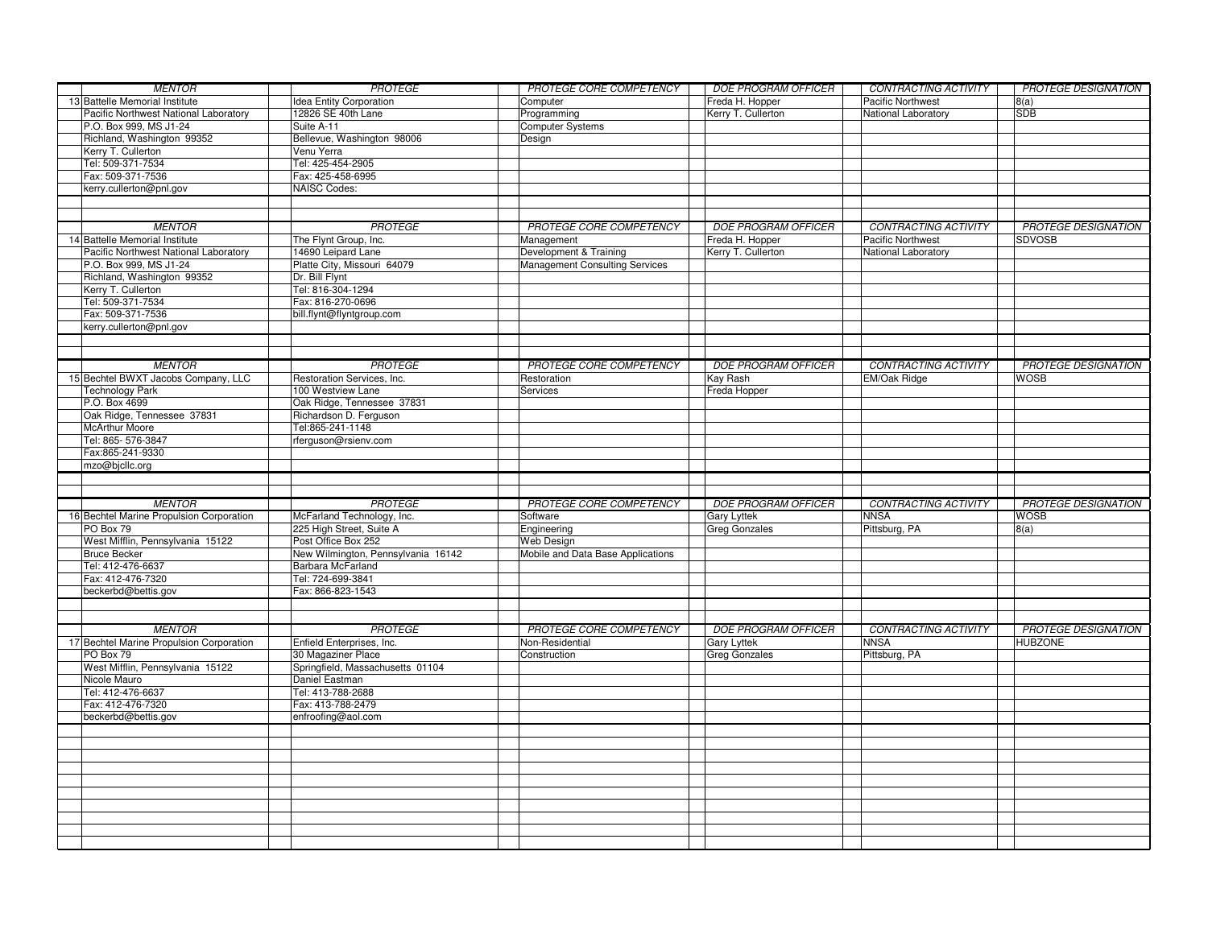| <b>MENTOR</b>                            | PROTÉGÉ                            | PROTÉGÉ CORE COMPETENCY               | <b>DOE PROGRAM OFFICER</b> | CONTRACTING ACTIVITY        | <b>PROTÉGÉ DESIGNATION</b> |
|------------------------------------------|------------------------------------|---------------------------------------|----------------------------|-----------------------------|----------------------------|
| 13 Battelle Memorial Institute           | Idea Entity Corporation            | Computer                              | Freda H. Hopper            | Pacific Northwest           | 8(a)                       |
| Pacific Northwest National Laboratory    | 12826 SE 40th Lane                 | Programming                           | Kerry T. Cullerton         | National Laboratory         | <b>SDB</b>                 |
| P.O. Box 999, MS J1-24                   | Suite A-11                         | <b>Computer Systems</b>               |                            |                             |                            |
| Richland, Washington 99352               | Bellevue, Washington 98006         | Design                                |                            |                             |                            |
| Kerry T. Cullerton                       | Venu Yerra                         |                                       |                            |                             |                            |
| Tel: 509-371-7534                        | Tel: 425-454-2905                  |                                       |                            |                             |                            |
| Fax: 509-371-7536                        | Fax: 425-458-6995                  |                                       |                            |                             |                            |
| kerry.cullerton@pnl.gov                  | <b>NAISC Codes:</b>                |                                       |                            |                             |                            |
|                                          |                                    |                                       |                            |                             |                            |
|                                          |                                    |                                       |                            |                             |                            |
|                                          |                                    |                                       |                            |                             |                            |
| <b>MENTOR</b>                            | <b>PROTÉGÉ</b>                     | <b>PROTÉGÉ CORE COMPETENCY</b>        | <b>DOE PROGRAM OFFICER</b> | CONTRACTING ACTIVITY        | <b>PROTÉGÉ DESIGNATION</b> |
| 14 Battelle Memorial Institute           | The Flynt Group, Inc.              | Management                            | Freda H. Hopper            | Pacific Northwest           | <b>SDVOSB</b>              |
| Pacific Northwest National Laboratory    | 14690 Leipard Lane                 | Development & Training                | Kerry T. Cullerton         | National Laboratory         |                            |
| P.O. Box 999, MS J1-24                   | Platte City, Missouri 64079        | <b>Management Consulting Services</b> |                            |                             |                            |
| Richland, Washington 99352               | Dr. Bill Flynt                     |                                       |                            |                             |                            |
| Kerry T. Cullerton                       | Tel: 816-304-1294                  |                                       |                            |                             |                            |
| Tel: 509-371-7534                        | Fax: 816-270-0696                  |                                       |                            |                             |                            |
| Fax: 509-371-7536                        | bill.flynt@flyntgroup.com          |                                       |                            |                             |                            |
| kerry.cullerton@pnl.gov                  |                                    |                                       |                            |                             |                            |
|                                          |                                    |                                       |                            |                             |                            |
|                                          |                                    |                                       |                            |                             |                            |
| <b>MENTOR</b>                            | PROTÉGÉ                            | <b>PROTÉGÉ CORE COMPETENCY</b>        | <b>DOE PROGRAM OFFICER</b> | <b>CONTRACTING ACTIVITY</b> | <b>PROTÉGÉ DESIGNATION</b> |
| 15 Bechtel BWXT Jacobs Company, LLC      | Restoration Services, Inc.         | Restoration                           | <b>Kay Rash</b>            | EM/Oak Ridge                | <b>WOSB</b>                |
| <b>Technology Park</b>                   | 100 Westview Lane                  | Services                              | Freda Hopper               |                             |                            |
| P.O. Box 4699                            | Oak Ridge, Tennessee 37831         |                                       |                            |                             |                            |
| Oak Ridge, Tennessee 37831               | Richardson D. Ferguson             |                                       |                            |                             |                            |
| McArthur Moore                           | Tel:865-241-1148                   |                                       |                            |                             |                            |
| Tel: 865- 576-3847                       | rferguson@rsienv.com               |                                       |                            |                             |                            |
| Fax:865-241-9330                         |                                    |                                       |                            |                             |                            |
| mzo@bjcllc.org                           |                                    |                                       |                            |                             |                            |
|                                          |                                    |                                       |                            |                             |                            |
|                                          |                                    |                                       |                            |                             |                            |
|                                          |                                    |                                       |                            |                             |                            |
|                                          |                                    |                                       |                            |                             |                            |
| <b>MENTOR</b>                            | <b>PROTÉGÉ</b>                     | PROTÉGÉ CORE COMPETENCY               | <b>DOE PROGRAM OFFICER</b> | CONTRACTING ACTIVITY        | <b>PROTÉGÉ DESIGNATION</b> |
| 16 Bechtel Marine Propulsion Corporation | McFarland Technology, Inc.         | Software                              | <b>Gary Lyttek</b>         | <b>NNSA</b>                 | <b>WOSB</b>                |
| PO Box 79                                | 225 High Street, Suite A           | Engineering                           | <b>Greg Gonzales</b>       | Pittsburg, PA               | 8(a)                       |
| West Mifflin, Pennsylvania 15122         | Post Office Box 252                | Web Design                            |                            |                             |                            |
| <b>Bruce Becker</b>                      | New Wilmington, Pennsylvania 16142 | Mobile and Data Base Applications     |                            |                             |                            |
| Tel: 412-476-6637                        | Barbara McFarland                  |                                       |                            |                             |                            |
| Fax: 412-476-7320                        | Tel: 724-699-3841                  |                                       |                            |                             |                            |
| beckerbd@bettis.gov                      | Fax: 866-823-1543                  |                                       |                            |                             |                            |
|                                          |                                    |                                       |                            |                             |                            |
|                                          |                                    |                                       |                            |                             |                            |
| <b>MENTOR</b>                            | PROTÉGÉ                            | PROTÉGÉ CORE COMPETENCY               | <b>DOE PROGRAM OFFICER</b> | <b>CONTRACTING ACTIVITY</b> | <b>PROTÉGÉ DESIGNATION</b> |
| 17 Bechtel Marine Propulsion Corporation | Enfield Enterprises, Inc.          | Non-Residential                       | <b>Gary Lyttek</b>         | <b>NNSA</b>                 | <b>HUBZONE</b>             |
| PO Box 79                                | 30 Magaziner Place                 | Construction                          | Greg Gonzales              | Pittsburg, PA               |                            |
| West Mifflin, Pennsylvania 15122         | Springfield, Massachusetts 01104   |                                       |                            |                             |                            |
| Nicole Mauro                             | Daniel Eastman                     |                                       |                            |                             |                            |
| Tel: 412-476-6637                        | Tel: 413-788-2688                  |                                       |                            |                             |                            |
| Fax: 412-476-7320                        | Fax: 413-788-2479                  |                                       |                            |                             |                            |
| beckerbd@bettis.gov                      | enfroofing@aol.com                 |                                       |                            |                             |                            |
|                                          |                                    |                                       |                            |                             |                            |
|                                          |                                    |                                       |                            |                             |                            |
|                                          |                                    |                                       |                            |                             |                            |
|                                          |                                    |                                       |                            |                             |                            |
|                                          |                                    |                                       |                            |                             |                            |
|                                          |                                    |                                       |                            |                             |                            |
|                                          |                                    |                                       |                            |                             |                            |
|                                          |                                    |                                       |                            |                             |                            |
|                                          |                                    |                                       |                            |                             |                            |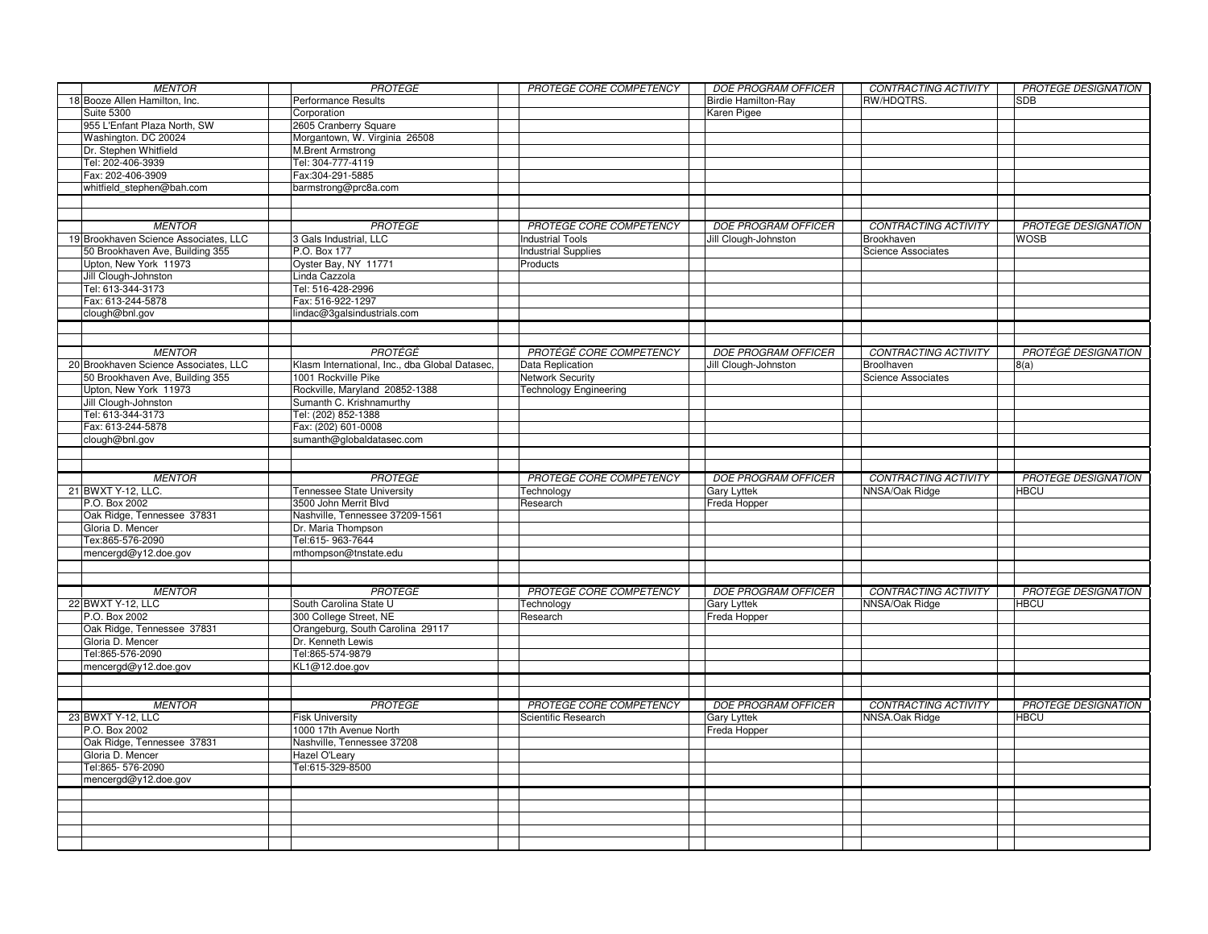| <b>MENTOR</b>                         | PROTÉGÉ                                        | PROTÉGÉ CORE COMPETENCY                     | DOE PROGRAM OFFICER        | CONTRACTING ACTIVITY               | <b>PROTÉGÉ DESIGNATION</b> |
|---------------------------------------|------------------------------------------------|---------------------------------------------|----------------------------|------------------------------------|----------------------------|
| 18 Booze Allen Hamilton, Inc.         | Performance Results                            |                                             | <b>Birdie Hamilton-Ray</b> | RW/HDQTRS.                         | <b>SDB</b>                 |
| <b>Suite 5300</b>                     | Corporation                                    |                                             | Karen Pigee                |                                    |                            |
| 955 L'Enfant Plaza North, SW          | 2605 Cranberry Square                          |                                             |                            |                                    |                            |
| Washington. DC 20024                  | Morgantown, W. Virginia 26508                  |                                             |                            |                                    |                            |
| Dr. Stephen Whitfield                 | <b>M.Brent Armstrong</b>                       |                                             |                            |                                    |                            |
| Tel: 202-406-3939                     | Tel: 304-777-4119                              |                                             |                            |                                    |                            |
| Fax: 202-406-3909                     | Fax:304-291-5885                               |                                             |                            |                                    |                            |
| whitfield_stephen@bah.com             | barmstrong@prc8a.com                           |                                             |                            |                                    |                            |
|                                       |                                                |                                             |                            |                                    |                            |
|                                       |                                                |                                             |                            |                                    |                            |
| <b>MENTOR</b>                         | PROTÉGÉ                                        | PROTÉGÉ CORE COMPETENCY                     | <b>DOE PROGRAM OFFICER</b> | <b>CONTRACTING ACTIVITY</b>        | <b>PROTÉGÉ DESIGNATION</b> |
| 19 Brookhaven Science Associates, LLC | 3 Gals Industrial, LLC                         | <b>Industrial Tools</b>                     | Jill Clough-Johnston       | Brookhaven                         | <b>WOSB</b>                |
| 50 Brookhaven Ave, Building 355       | P.O. Box 177                                   | <b>Industrial Supplies</b>                  |                            | <b>Science Associates</b>          |                            |
| Upton, New York 11973                 | Oyster Bay, NY 11771                           | Products                                    |                            |                                    |                            |
| Jill Clough-Johnston                  | Linda Cazzola                                  |                                             |                            |                                    |                            |
| Tel: 613-344-3173                     | Tel: 516-428-2996                              |                                             |                            |                                    |                            |
| Fax: 613-244-5878                     | Fax: 516-922-1297                              |                                             |                            |                                    |                            |
| clough@bnl.gov                        | lindac@3galsindustrials.com                    |                                             |                            |                                    |                            |
|                                       |                                                |                                             |                            |                                    |                            |
|                                       |                                                |                                             |                            |                                    |                            |
| <b>MENTOR</b>                         | PROTÉGÉ                                        |                                             | <b>DOE PROGRAM OFFICER</b> |                                    | <b>PROTÉGÉ DESIGNATION</b> |
| 20 Brookhaven Science Associates, LLC | Klasm International, Inc., dba Global Datasec, | PROTÉGÉ CORE COMPETENCY<br>Data Replication | Jill Clough-Johnston       | CONTRACTING ACTIVITY<br>Broolhaven |                            |
|                                       |                                                |                                             |                            |                                    | 8(a)                       |
| 50 Brookhaven Ave, Building 355       | 1001 Rockville Pike                            | <b>Network Security</b>                     |                            | <b>Science Associates</b>          |                            |
| Upton, New York 11973                 | Rockville, Maryland 20852-1388                 | <b>Technology Engineering</b>               |                            |                                    |                            |
| Jill Clough-Johnston                  | Sumanth C. Krishnamurthy                       |                                             |                            |                                    |                            |
| Tel: 613-344-3173                     | Tel: (202) 852-1388                            |                                             |                            |                                    |                            |
| Fax: 613-244-5878                     | Fax: (202) 601-0008                            |                                             |                            |                                    |                            |
| clough@bnl.gov                        | sumanth@globaldatasec.com                      |                                             |                            |                                    |                            |
|                                       |                                                |                                             |                            |                                    |                            |
|                                       |                                                |                                             |                            |                                    |                            |
|                                       |                                                |                                             |                            |                                    |                            |
| <b>MENTOR</b>                         | PROTÉGÉ                                        | PROTÉGÉ CORE COMPETENCY                     | <b>DOE PROGRAM OFFICER</b> | <b>CONTRACTING ACTIVITY</b>        | <b>PROTÉGÉ DESIGNATION</b> |
| 21 BWXT Y-12, LLC.                    | <b>Tennessee State University</b>              | Technology                                  | Gary Lyttek                | NNSA/Oak Ridge                     | <b>HBCU</b>                |
| P.O. Box 2002                         | 3500 John Merrit Blvd                          | Research                                    | Freda Hopper               |                                    |                            |
| Oak Ridge, Tennessee 37831            | Nashville, Tennessee 37209-1561                |                                             |                            |                                    |                            |
| Gloria D. Mencer                      | Dr. Maria Thompson                             |                                             |                            |                                    |                            |
| Tex:865-576-2090                      | Tel:615-963-7644                               |                                             |                            |                                    |                            |
| mencergd@y12.doe.gov                  | mthompson@tnstate.edu                          |                                             |                            |                                    |                            |
|                                       |                                                |                                             |                            |                                    |                            |
|                                       |                                                |                                             |                            |                                    |                            |
| <b>MENTOR</b>                         | PROTÉGÉ                                        | <b>PROTÉGÉ CORE COMPETENCY</b>              | <b>DOE PROGRAM OFFICER</b> | CONTRACTING ACTIVITY               | <b>PROTÉGÉ DESIGNATION</b> |
| 22 BWXT Y-12, LLC                     | South Carolina State U                         | Technology                                  | <b>Gary Lyttek</b>         | NNSA/Oak Ridge                     | <b>HBCU</b>                |
| P.O. Box 2002                         | 300 College Street, NE                         | Research                                    | Freda Hopper               |                                    |                            |
| Oak Ridge, Tennessee 37831            | Orangeburg, South Carolina 29117               |                                             |                            |                                    |                            |
| Gloria D. Mencer                      | Dr. Kenneth Lewis                              |                                             |                            |                                    |                            |
| Tel:865-576-2090                      | Tel:865-574-9879                               |                                             |                            |                                    |                            |
| mencergd@y12.doe.gov                  | KL1@12.doe.gov                                 |                                             |                            |                                    |                            |
|                                       |                                                |                                             |                            |                                    |                            |
|                                       |                                                |                                             |                            |                                    |                            |
| <b>MENTOR</b>                         | PROTÉGÉ                                        | PROTÉGÉ CORE COMPETENCY                     | <b>DOE PROGRAM OFFICER</b> | CONTRACTING ACTIVITY               | <b>PROTÉGÉ DESIGNATION</b> |
| 23 BWXT Y-12, LLC                     | <b>Fisk University</b>                         | Scientific Research                         | Gary Lyttek                | NNSA.Oak Ridge                     | <b>HBCU</b>                |
| P.O. Box 2002                         | 1000 17th Avenue North                         |                                             | Freda Hopper               |                                    |                            |
| Oak Ridge, Tennessee 37831            | Nashville, Tennessee 37208                     |                                             |                            |                                    |                            |
| Gloria D. Mencer                      | Hazel O'Leary                                  |                                             |                            |                                    |                            |
| Tel:865-576-2090                      | Tel:615-329-8500                               |                                             |                            |                                    |                            |
| mencergd@y12.doe.gov                  |                                                |                                             |                            |                                    |                            |
|                                       |                                                |                                             |                            |                                    |                            |
|                                       |                                                |                                             |                            |                                    |                            |
|                                       |                                                |                                             |                            |                                    |                            |
|                                       |                                                |                                             |                            |                                    |                            |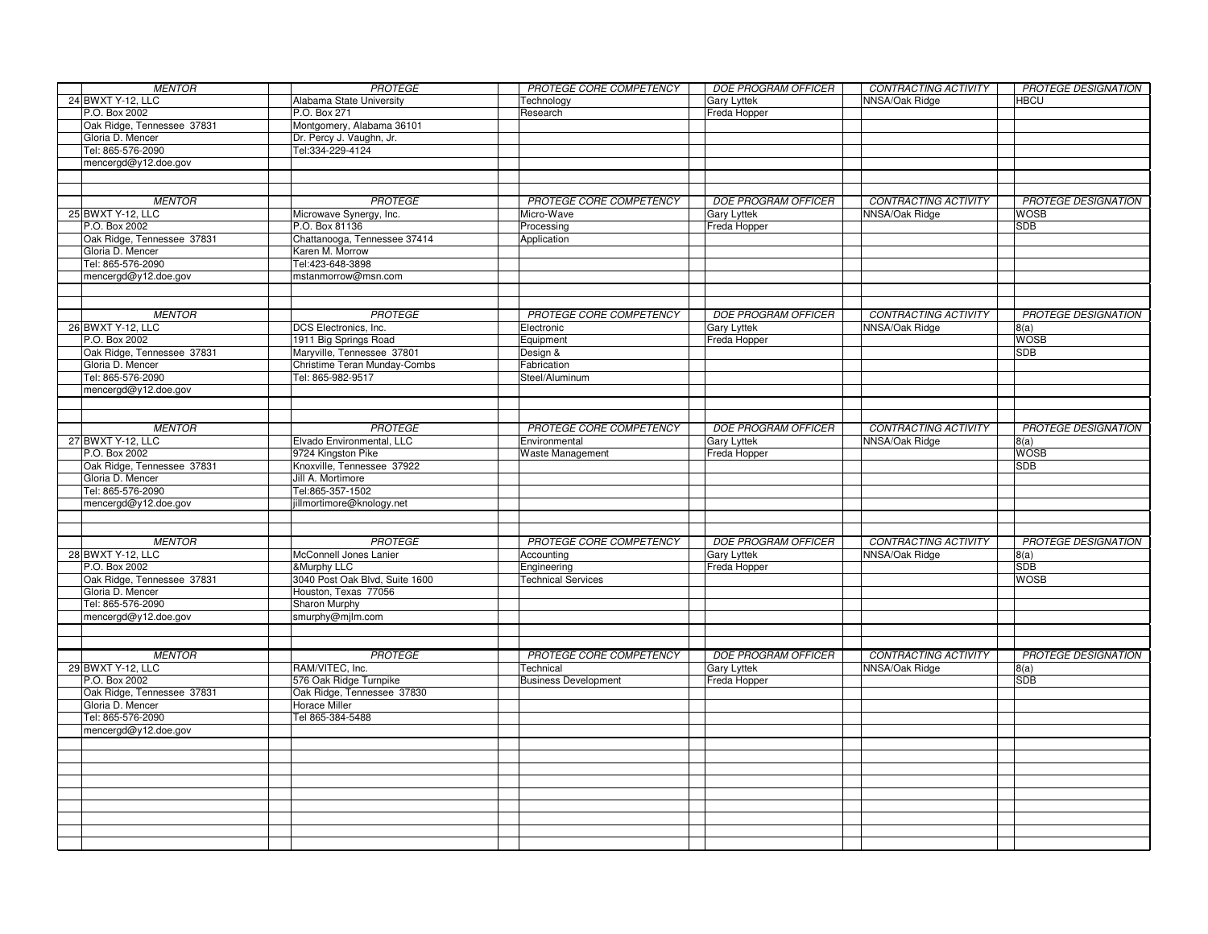| <b>MENTOR</b>              | PROTÉGÉ                        | PROTÉGÉ CORE COMPETENCY        | DOE PROGRAM OFFICER        | CONTRACTING ACTIVITY        | PROTÉGÉ DESIGNATION        |
|----------------------------|--------------------------------|--------------------------------|----------------------------|-----------------------------|----------------------------|
| 24 BWXT Y-12, LLC          | Alabama State University       | Technology                     | Gary Lyttek                | NNSA/Oak Ridge              | <b>HBCU</b>                |
| P.O. Box 2002              | P.O. Box 271                   | Research                       | Freda Hopper               |                             |                            |
| Oak Ridge, Tennessee 37831 | Montgomery, Alabama 36101      |                                |                            |                             |                            |
| Gloria D. Mencer           | Dr. Percy J. Vaughn, Jr.       |                                |                            |                             |                            |
| Tel: 865-576-2090          | Tel:334-229-4124               |                                |                            |                             |                            |
| mencergd@y12.doe.gov       |                                |                                |                            |                             |                            |
|                            |                                |                                |                            |                             |                            |
|                            |                                |                                |                            |                             |                            |
| <b>MENTOR</b>              | PROTÉGÉ                        | <b>PROTÉGÉ CORE COMPETENCY</b> | <b>DOE PROGRAM OFFICER</b> | CONTRACTING ACTIVITY        | <b>PROTÉGÉ DESIGNATION</b> |
| 25 BWXT Y-12, LLC          | Microwave Synergy, Inc.        | Micro-Wave                     | <b>Gary Lyttek</b>         | NNSA/Oak Ridge              | <b>WOSB</b>                |
| P.O. Box 2002              | P.O. Box 81136                 | Processing                     | Freda Hopper               |                             | <b>SDB</b>                 |
| Oak Ridge, Tennessee 37831 | Chattanooga, Tennessee 37414   | Application                    |                            |                             |                            |
| Gloria D. Mencer           | Karen M. Morrow                |                                |                            |                             |                            |
| Tel: 865-576-2090          | Tel:423-648-3898               |                                |                            |                             |                            |
| mencergd@y12.doe.gov       | mstanmorrow@msn.com            |                                |                            |                             |                            |
|                            |                                |                                |                            |                             |                            |
|                            |                                |                                |                            |                             |                            |
|                            |                                |                                |                            |                             |                            |
| <b>MENTOR</b>              | PROTÉGÉ                        | PROTÉGÉ CORE COMPETENCY        | <b>DOE PROGRAM OFFICER</b> | <b>CONTRACTING ACTIVITY</b> | <b>PROTÉGÉ DESIGNATION</b> |
| 26 BWXT Y-12, LLC          | DCS Electronics, Inc.          | Electronic                     | Gary Lyttek                | NNSA/Oak Ridge              | 8(a)                       |
| P.O. Box 2002              | 1911 Big Springs Road          | Equipment                      | Freda Hopper               |                             | <b>WOSB</b>                |
| Oak Ridge, Tennessee 37831 | Maryville, Tennessee 37801     | Design &                       |                            |                             | <b>SDB</b>                 |
| Gloria D. Mencer           | Christime Teran Munday-Combs   | Fabrication                    |                            |                             |                            |
| Tel: 865-576-2090          | Tel: 865-982-9517              | Steel/Aluminum                 |                            |                             |                            |
| mencergd@y12.doe.gov       |                                |                                |                            |                             |                            |
|                            |                                |                                |                            |                             |                            |
|                            |                                |                                |                            |                             |                            |
| <b>MENTOR</b>              | PROTÉGÉ                        | PROTÉGÉ CORE COMPETENCY        | <b>DOE PROGRAM OFFICER</b> | <b>CONTRACTING ACTIVITY</b> | <b>PROTÉGÉ DESIGNATION</b> |
| 27 BWXT Y-12, LLC          | Elvado Environmental, LLC      | Environmental                  | Gary Lyttek                | NNSA/Oak Ridge              | 8(a)                       |
| P.O. Box 2002              | 9724 Kingston Pike             | Waste Management               | Freda Hopper               |                             | <b>WOSB</b>                |
| Oak Ridge, Tennessee 37831 | Knoxville, Tennessee 37922     |                                |                            |                             | <b>SDB</b>                 |
| Gloria D. Mencer           | Jill A. Mortimore              |                                |                            |                             |                            |
| Tel: 865-576-2090          | Tel:865-357-1502               |                                |                            |                             |                            |
| mencergd@y12.doe.gov       | illmortimore@knology.net       |                                |                            |                             |                            |
|                            |                                |                                |                            |                             |                            |
|                            |                                |                                |                            |                             |                            |
| <b>MENTOR</b>              | PROTÉGÉ                        | PROTÉGÉ CORE COMPETENCY        | <b>DOE PROGRAM OFFICER</b> | <b>CONTRACTING ACTIVITY</b> | <b>PROTÉGÉ DESIGNATION</b> |
| 28 BWXT Y-12, LLC          | McConnell Jones Lanier         | Accounting                     | <b>Gary Lyttek</b>         | NNSA/Oak Ridge              | 8(a)                       |
| P.O. Box 2002              | &Murphy LLC                    | Engineering                    | Freda Hopper               |                             | <b>SDB</b>                 |
| Oak Ridge, Tennessee 37831 | 3040 Post Oak Blvd, Suite 1600 | <b>Technical Services</b>      |                            |                             | <b>WOSB</b>                |
| Gloria D. Mencer           | Houston, Texas 77056           |                                |                            |                             |                            |
| Tel: 865-576-2090          | Sharon Murphy                  |                                |                            |                             |                            |
| mencergd@y12.doe.gov       | smurphy@mjlm.com               |                                |                            |                             |                            |
|                            |                                |                                |                            |                             |                            |
|                            |                                |                                |                            |                             |                            |
| <b>MENTOR</b>              | PROTÉGÉ                        | PROTÉGÉ CORE COMPETENCY        | <b>DOE PROGRAM OFFICER</b> | <b>CONTRACTING ACTIVITY</b> | <b>PROTÉGÉ DESIGNATION</b> |
| 29 BWXT Y-12, LLC          | RAM/VITEC, Inc.                | Technical                      | <b>Gary Lyttek</b>         | NNSA/Oak Ridge              | 8(a)                       |
| P.O. Box 2002              | 576 Oak Ridge Turnpike         | <b>Business Development</b>    | Freda Hopper               |                             | <b>SDB</b>                 |
| Oak Ridge, Tennessee 37831 | Oak Ridge, Tennessee 37830     |                                |                            |                             |                            |
| Gloria D. Mencer           | Horace Miller                  |                                |                            |                             |                            |
| Tel: 865-576-2090          | Tel 865-384-5488               |                                |                            |                             |                            |
| mencergd@y12.doe.gov       |                                |                                |                            |                             |                            |
|                            |                                |                                |                            |                             |                            |
|                            |                                |                                |                            |                             |                            |
|                            |                                |                                |                            |                             |                            |
|                            |                                |                                |                            |                             |                            |
|                            |                                |                                |                            |                             |                            |
|                            |                                |                                |                            |                             |                            |
|                            |                                |                                |                            |                             |                            |
|                            |                                |                                |                            |                             |                            |
|                            |                                |                                |                            |                             |                            |
|                            |                                |                                |                            |                             |                            |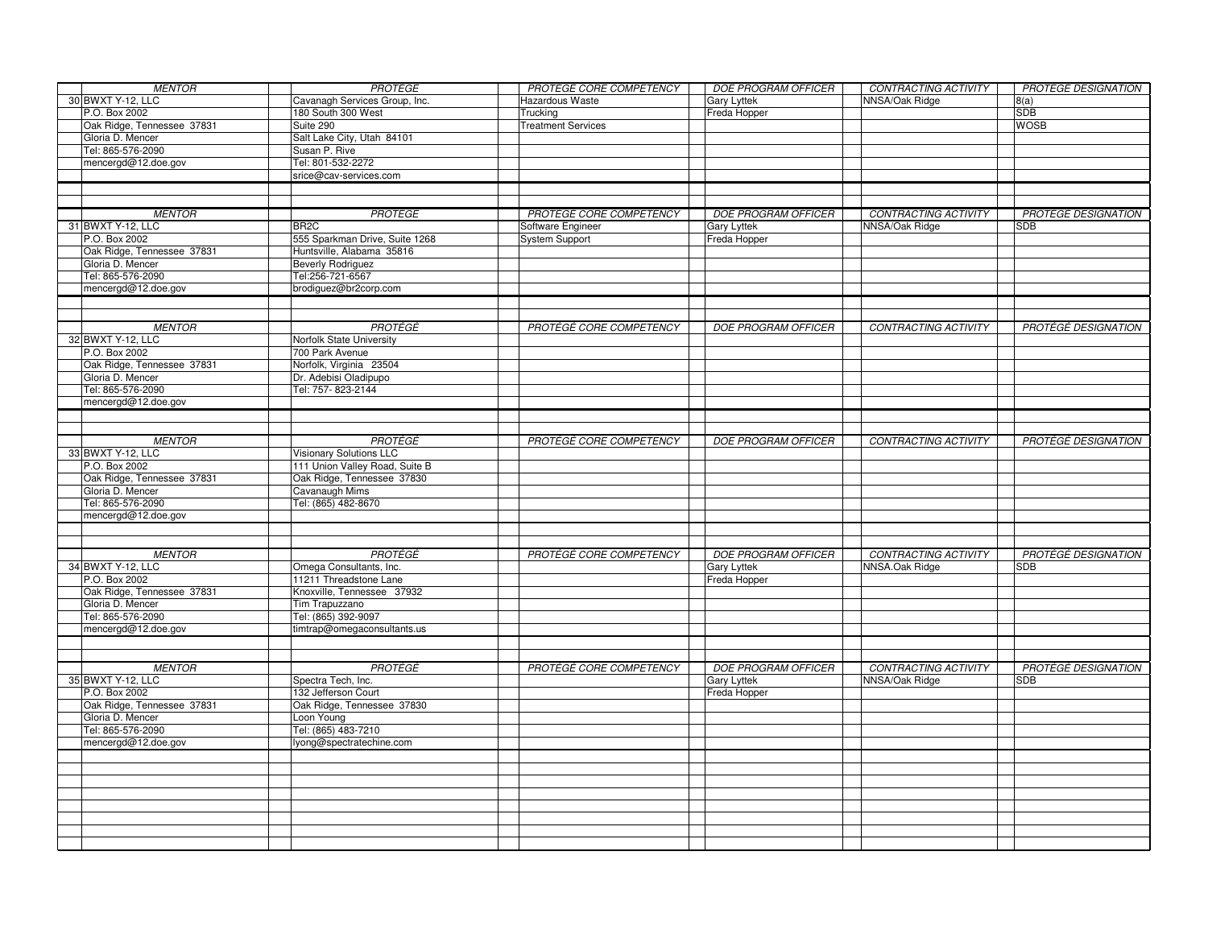| <b>MENTOR</b>              | <i>PROTÉGÉ</i>                        | PROTÉGÉ CORE COMPETENCY   | DOE PROGRAM OFFICER        | CONTRACTING ACTIVITY        | PROTÉGÉ DESIGNATION        |
|----------------------------|---------------------------------------|---------------------------|----------------------------|-----------------------------|----------------------------|
| 30 BWXT Y-12, LLC          | Cavanagh Services Group, Inc.         | Hazardous Waste           | <b>Gary Lyttek</b>         | NNSA/Oak Ridge              | 8(a)                       |
| P.O. Box 2002              | 180 South 300 West                    | Trucking                  | Freda Hopper               |                             | <b>SDB</b>                 |
| Oak Ridge, Tennessee 37831 | Suite 290                             | <b>Treatment Services</b> |                            |                             | <b>WOSB</b>                |
| Gloria D. Mencer           | Salt Lake City, Utah 84101            |                           |                            |                             |                            |
| Tel: 865-576-2090          | Susan P. Rive                         |                           |                            |                             |                            |
| mencergd@12.doe.gov        | Tel: 801-532-2272                     |                           |                            |                             |                            |
|                            | srice@cav-services.com                |                           |                            |                             |                            |
|                            |                                       |                           |                            |                             |                            |
|                            |                                       |                           |                            |                             |                            |
|                            |                                       |                           |                            |                             |                            |
| <b>MENTOR</b>              | <b>PROTÉGÉ</b>                        | PROTÉGÉ CORE COMPETENCY   | <b>DOE PROGRAM OFFICER</b> | <b>CONTRACTING ACTIVITY</b> | <b>PROTÉGÉ DESIGNATION</b> |
| 31 BWXT Y-12, LLC          | BR <sub>2</sub> C                     | Software Engineer         | Gary Lyttek                | NNSA/Oak Ridge              | <b>SDB</b>                 |
| P.O. Box 2002              | 555 Sparkman Drive, Suite 1268        | System Support            | Freda Hopper               |                             |                            |
| Oak Ridge, Tennessee 37831 | Huntsville, Alabama 35816             |                           |                            |                             |                            |
| Gloria D. Mencer           | <b>Beverly Rodriguez</b>              |                           |                            |                             |                            |
| Tel: 865-576-2090          | Tel:256-721-6567                      |                           |                            |                             |                            |
| mencergd@12.doe.gov        | brodiguez@br2corp.com                 |                           |                            |                             |                            |
|                            |                                       |                           |                            |                             |                            |
|                            |                                       |                           |                            |                             |                            |
| <b>MENTOR</b>              | PROTÉGÉ                               | PROTÉGÉ CORE COMPETENCY   | <b>DOE PROGRAM OFFICER</b> | <b>CONTRACTING ACTIVITY</b> | <b>PROTÉGÉ DESIGNATION</b> |
| 32 BWXT Y-12, LLC          | Norfolk State University              |                           |                            |                             |                            |
| P.O. Box 2002              | 700 Park Avenue                       |                           |                            |                             |                            |
| Oak Ridge, Tennessee 37831 | Norfolk, Virginia 23504               |                           |                            |                             |                            |
| Gloria D. Mencer           | Dr. Adebisi Oladipupo                 |                           |                            |                             |                            |
| Tel: 865-576-2090          | Tel: 757-823-2144                     |                           |                            |                             |                            |
| mencergd@12.doe.gov        |                                       |                           |                            |                             |                            |
|                            |                                       |                           |                            |                             |                            |
|                            |                                       |                           |                            |                             |                            |
|                            |                                       |                           |                            |                             |                            |
| <b>MENTOR</b>              | PROTÉGÉ                               | PROTÉGÉ CORE COMPETENCY   | <b>DOE PROGRAM OFFICER</b> | <b>CONTRACTING ACTIVITY</b> | <b>PROTÉGÉ DESIGNATION</b> |
| 33 BWXT Y-12, LLC          | Visionary Solutions LLC               |                           |                            |                             |                            |
|                            |                                       |                           |                            |                             |                            |
| P.O. Box 2002              | 111 Union Valley Road, Suite B        |                           |                            |                             |                            |
| Oak Ridge, Tennessee 37831 | Oak Ridge, Tennessee 37830            |                           |                            |                             |                            |
| Gloria D. Mencer           | Cavanaugh Mims                        |                           |                            |                             |                            |
| Tel: 865-576-2090          | Tel: (865) 482-8670                   |                           |                            |                             |                            |
| mencergd@12.doe.gov        |                                       |                           |                            |                             |                            |
|                            |                                       |                           |                            |                             |                            |
|                            |                                       |                           |                            |                             |                            |
| <b>MENTOR</b>              | <b>PROTÉGÉ</b>                        | PROTÉGÉ CORE COMPETENCY   | <b>DOE PROGRAM OFFICER</b> | <b>CONTRACTING ACTIVITY</b> | <b>PROTÉGÉ DESIGNATION</b> |
| 34 BWXT Y-12, LLC          | Omega Consultants, Inc.               |                           | <b>Gary Lyttek</b>         | NNSA.Oak Ridge              | <b>SDB</b>                 |
| P.O. Box 2002              | 11211 Threadstone Lane                |                           | Freda Hopper               |                             |                            |
| Oak Ridge, Tennessee 37831 | Knoxville, Tennessee 37932            |                           |                            |                             |                            |
| Gloria D. Mencer           |                                       |                           |                            |                             |                            |
| Tel: 865-576-2090          | Tim Trapuzzano<br>Tel: (865) 392-9097 |                           |                            |                             |                            |
|                            |                                       |                           |                            |                             |                            |
| mencergd@12.doe.gov        | timtrap@omegaconsultants.us           |                           |                            |                             |                            |
|                            |                                       |                           |                            |                             |                            |
|                            |                                       |                           |                            |                             |                            |
| <b>MENTOR</b>              | <b>PROTÉGÉ</b>                        | PROTÉGÉ CORE COMPETENCY   | <b>DOE PROGRAM OFFICER</b> | <b>CONTRACTING ACTIVITY</b> | PROTÉGÉ DESIGNATION        |
| 35 BWXT Y-12, LLC          | Spectra Tech, Inc.                    |                           | <b>Gary Lyttek</b>         | NNSA/Oak Ridge              | <b>SDB</b>                 |
| P.O. Box 2002              | 132 Jefferson Court                   |                           | Freda Hopper               |                             |                            |
| Oak Ridge, Tennessee 37831 | Oak Ridge, Tennessee 37830            |                           |                            |                             |                            |
| Gloria D. Mencer           | Loon Young                            |                           |                            |                             |                            |
| Tel: 865-576-2090          | Tel: (865) 483-7210                   |                           |                            |                             |                            |
| mencergd@12.doe.gov        | lyong@spectratechine.com              |                           |                            |                             |                            |
|                            |                                       |                           |                            |                             |                            |
|                            |                                       |                           |                            |                             |                            |
|                            |                                       |                           |                            |                             |                            |
|                            |                                       |                           |                            |                             |                            |
|                            |                                       |                           |                            |                             |                            |
|                            |                                       |                           |                            |                             |                            |
|                            |                                       |                           |                            |                             |                            |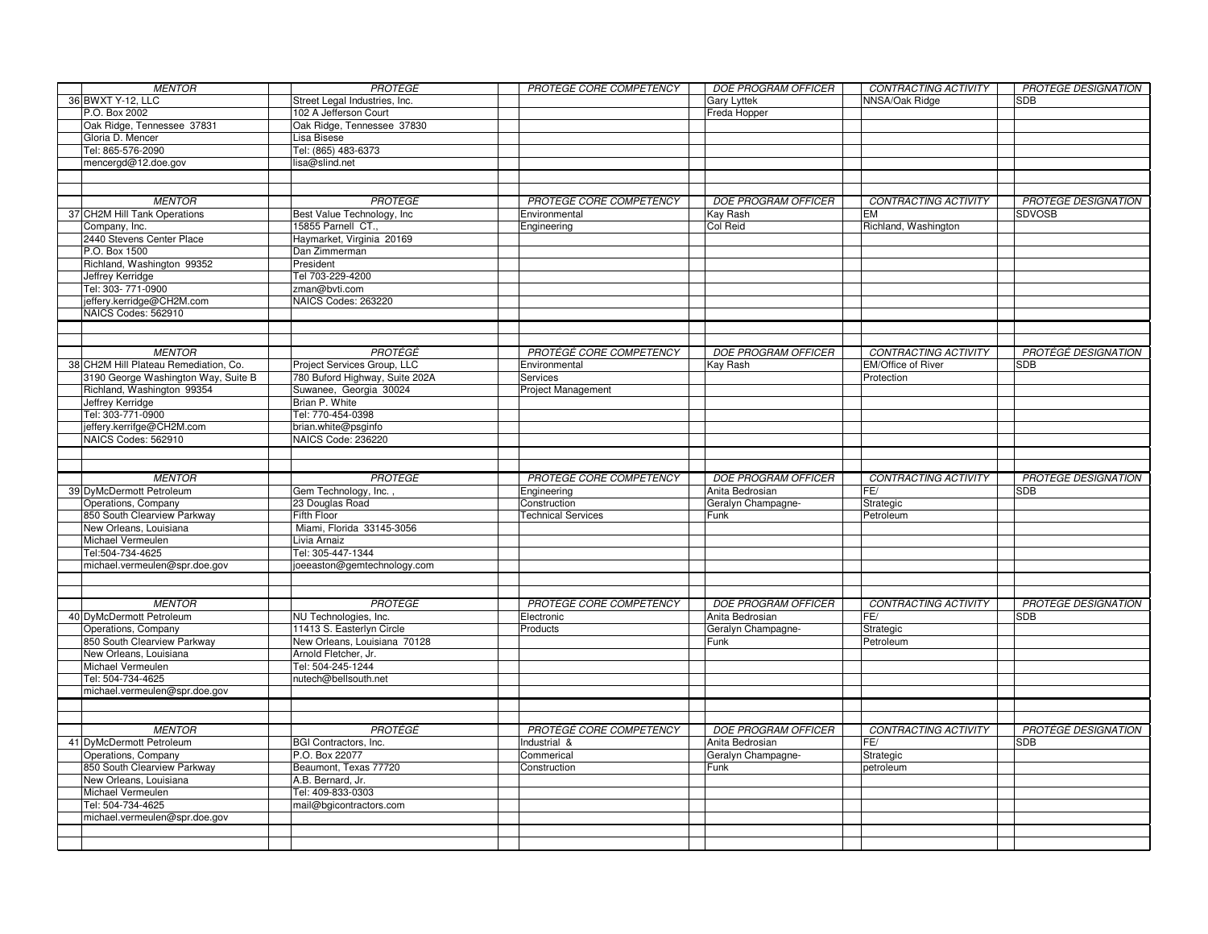| <b>MENTOR</b>                         | <i>PROTÉGÉ</i>                 | PROTÉGÉ CORE COMPETENCY        | DOE PROGRAM OFFICER        | CONTRACTING ACTIVITY        | PROTÉGÉ DESIGNATION        |
|---------------------------------------|--------------------------------|--------------------------------|----------------------------|-----------------------------|----------------------------|
| 36 BWXT Y-12, LLC                     | Street Legal Industries, Inc.  |                                | Gary Lyttek                | NNSA/Oak Ridge              | SDB                        |
| P.O. Box 2002                         | 102 A Jefferson Court          |                                | Freda Hopper               |                             |                            |
| Oak Ridge, Tennessee 37831            | Oak Ridge, Tennessee 37830     |                                |                            |                             |                            |
| Gloria D. Mencer                      | Lisa Bisese                    |                                |                            |                             |                            |
| Tel: 865-576-2090                     | Tel: (865) 483-6373            |                                |                            |                             |                            |
| mencergd@12.doe.gov                   | lisa@slind.net                 |                                |                            |                             |                            |
|                                       |                                |                                |                            |                             |                            |
|                                       |                                |                                |                            |                             |                            |
| <b>MENTOR</b>                         | <b>PROTÉGÉ</b>                 | PROTÉGÉ CORE COMPETENCY        | <b>DOE PROGRAM OFFICER</b> | <b>CONTRACTING ACTIVITY</b> | <b>PROTÉGÉ DESIGNATION</b> |
| 37 CH2M Hill Tank Operations          | Best Value Technology, Inc.    | Environmental                  | Kay Rash                   | EM                          | <b>SDVOSB</b>              |
| Company, Inc.                         | 15855 Parnell CT.              | Engineering                    | Col Reid                   | Richland, Washington        |                            |
| 2440 Stevens Center Place             | Haymarket, Virginia 20169      |                                |                            |                             |                            |
| P.O. Box 1500                         | Dan Zimmerman                  |                                |                            |                             |                            |
| Richland, Washington 99352            | President                      |                                |                            |                             |                            |
| Jeffrey Kerridge                      | Tel 703-229-4200               |                                |                            |                             |                            |
|                                       |                                |                                |                            |                             |                            |
| Tel: 303-771-0900                     | zman@bvti.com                  |                                |                            |                             |                            |
| jeffery.kerridge@CH2M.com             | NAICS Codes: 263220            |                                |                            |                             |                            |
| NAICS Codes: 562910                   |                                |                                |                            |                             |                            |
|                                       |                                |                                |                            |                             |                            |
|                                       |                                |                                |                            |                             |                            |
| <b>MENTOR</b>                         | <b>PROTÉGÉ</b>                 | PROTÉGÉ CORE COMPETENCY        | <b>DOE PROGRAM OFFICER</b> | <b>CONTRACTING ACTIVITY</b> | <b>PROTÉGÉ DESIGNATION</b> |
| 38 CH2M Hill Plateau Remediation, Co. | Project Services Group, LLC    | Environmental                  | <b>Kay Rash</b>            | EM/Office of River          | <b>SDB</b>                 |
| 3190 George Washington Way, Suite B   | 780 Buford Highway, Suite 202A | Services                       |                            | Protection                  |                            |
| Richland, Washington 99354            | Suwanee, Georgia 30024         | <b>Project Management</b>      |                            |                             |                            |
| Jeffrey Kerridge                      | Brian P. White                 |                                |                            |                             |                            |
| Tel: 303-771-0900                     | Tel: 770-454-0398              |                                |                            |                             |                            |
| jeffery.kerrifge@CH2M.com             | brian.white@psginfo            |                                |                            |                             |                            |
| NAICS Codes: 562910                   | NAICS Code: 236220             |                                |                            |                             |                            |
|                                       |                                |                                |                            |                             |                            |
|                                       |                                |                                |                            |                             |                            |
| <b>MENTOR</b>                         | <b>PROTÉGÉ</b>                 | PROTÉGÉ CORE COMPETENCY        | <b>DOE PROGRAM OFFICER</b> | <b>CONTRACTING ACTIVITY</b> | <b>PROTÉGÉ DESIGNATION</b> |
| 39 DyMcDermott Petroleum              | Gem Technology, Inc.           | Engineering                    | Anita Bedrosian            | FE/                         | <b>SDB</b>                 |
|                                       | 23 Douglas Road                | Construction                   | Geralyn Champagne-         | Strategic                   |                            |
|                                       |                                |                                |                            |                             |                            |
| Operations, Company                   |                                |                                |                            |                             |                            |
| 850 South Clearview Parkway           | Fifth Floor                    | <b>Technical Services</b>      | Funk                       | Petroleum                   |                            |
| New Orleans, Louisiana                | Miami, Florida 33145-3056      |                                |                            |                             |                            |
| Michael Vermeulen                     | Livia Arnaiz                   |                                |                            |                             |                            |
| Tel:504-734-4625                      | Tel: 305-447-1344              |                                |                            |                             |                            |
| michael.vermeulen@spr.doe.gov         | joeeaston@gemtechnology.com    |                                |                            |                             |                            |
|                                       |                                |                                |                            |                             |                            |
|                                       |                                |                                |                            |                             |                            |
| <b>MENTOR</b>                         | PROTÉGÉ                        | PROTÉGÉ CORE COMPETENCY        | <b>DOE PROGRAM OFFICER</b> | CONTRACTING ACTIVITY        | <b>PROTÉGÉ DESIGNATION</b> |
| 40 DyMcDermott Petroleum              | NU Technologies, Inc.          | Electronic                     | Anita Bedrosian            | FE/                         | <b>SDB</b>                 |
| Operations, Company                   | 11413 S. Easterlyn Circle      | Products                       | Geralyn Champagne-         | Strategic                   |                            |
| 850 South Clearview Parkway           | New Orleans, Louisiana 70128   |                                | Funk                       | Petroleum                   |                            |
| New Orleans, Louisiana                | Arnold Fletcher, Jr.           |                                |                            |                             |                            |
| Michael Vermeulen                     | Tel: 504-245-1244              |                                |                            |                             |                            |
| Tel: 504-734-4625                     | nutech@bellsouth.net           |                                |                            |                             |                            |
| michael.vermeulen@spr.doe.gov         |                                |                                |                            |                             |                            |
|                                       |                                |                                |                            |                             |                            |
|                                       |                                |                                |                            |                             |                            |
| <b>MENTOR</b>                         | PROTÉGÉ                        | <b>PROTÉGÉ CORE COMPETENCY</b> | <b>DOE PROGRAM OFFICER</b> | <b>CONTRACTING ACTIVITY</b> | <b>PROTÉGÉ DESIGNATION</b> |
| 41 DyMcDermott Petroleum              | BGI Contractors, Inc.          | Industrial &                   | Anita Bedrosian            | FE/                         | SDB                        |
| Operations, Company                   | P.O. Box 22077                 | Commerical                     | Geralyn Champagne-         | Strategic                   |                            |
| 850 South Clearview Parkway           | Beaumont, Texas 77720          | Construction                   | Funk                       | petroleum                   |                            |
| New Orleans, Louisiana                | A.B. Bernard, Jr.              |                                |                            |                             |                            |
| Michael Vermeulen                     | Tel: 409-833-0303              |                                |                            |                             |                            |
| Tel: 504-734-4625                     |                                |                                |                            |                             |                            |
|                                       | mail@bgicontractors.com        |                                |                            |                             |                            |
| michael.vermeulen@spr.doe.gov         |                                |                                |                            |                             |                            |
|                                       |                                |                                |                            |                             |                            |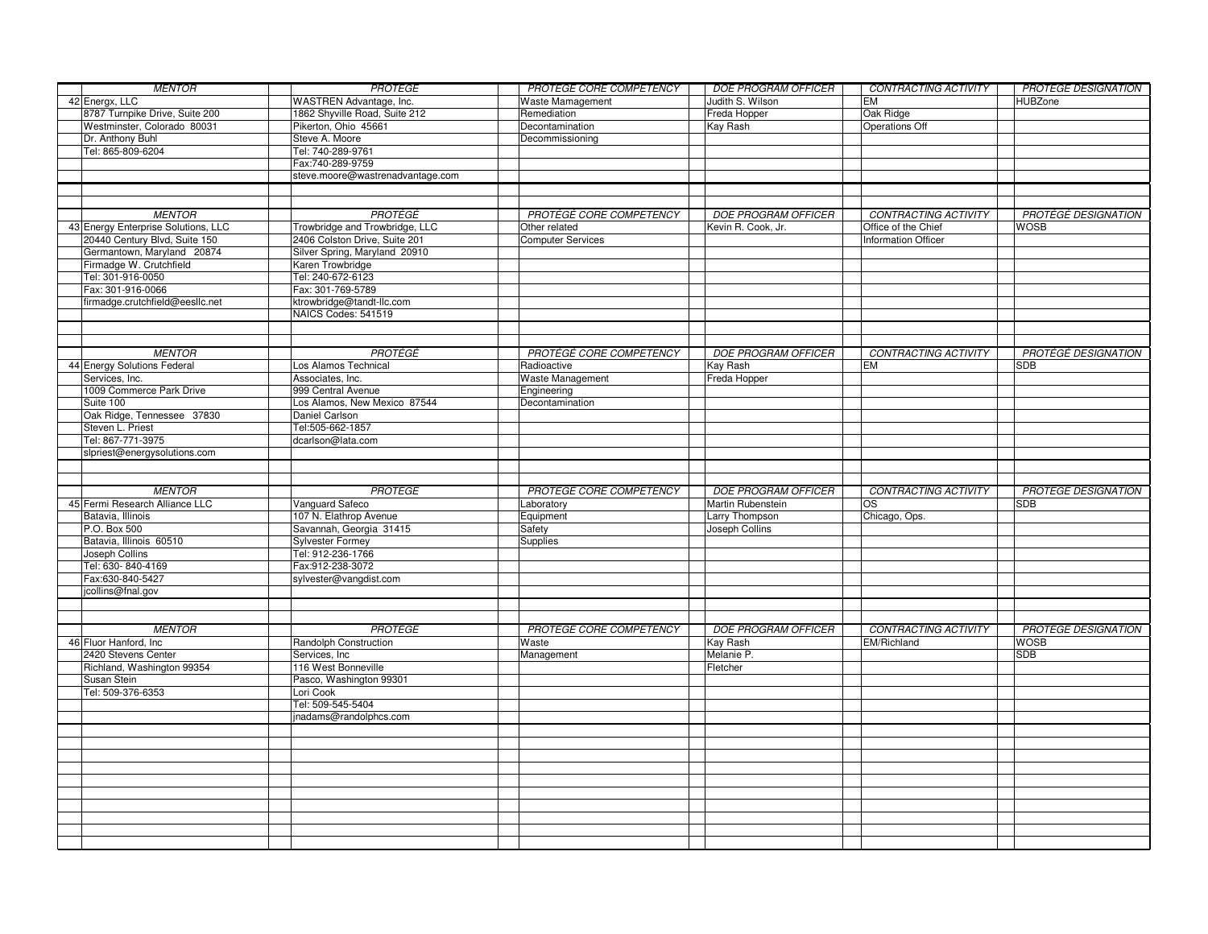| <b>MENTOR</b>                       | PROTÉGÉ                                 | PROTÉGÉ CORE COMPETENCY  | <b>DOE PROGRAM OFFICER</b> | CONTRACTING ACTIVITY        | PROTÉGÉ DESIGNATION                       |
|-------------------------------------|-----------------------------------------|--------------------------|----------------------------|-----------------------------|-------------------------------------------|
| 42 Energx, LLC                      | WASTREN Advantage, Inc.                 | Waste Mamagement         | Judith S. Wilson           | <b>EM</b>                   | <b>HUBZone</b>                            |
| 8787 Turnpike Drive, Suite 200      | 1862 Shyville Road, Suite 212           | Remediation              | Freda Hopper               | Oak Ridge                   |                                           |
| Westminster, Colorado 80031         | Pikerton, Ohio 45661                    | Decontamination          | Kay Rash                   | <b>Operations Off</b>       |                                           |
| Dr. Anthony Buhl                    | Steve A. Moore                          | Decommissioning          |                            |                             |                                           |
| Tel: 865-809-6204                   | Tel: 740-289-9761                       |                          |                            |                             |                                           |
|                                     | Fax:740-289-9759                        |                          |                            |                             |                                           |
|                                     | steve.moore@wastrenadvantage.com        |                          |                            |                             |                                           |
|                                     |                                         |                          |                            |                             |                                           |
|                                     |                                         |                          |                            |                             |                                           |
|                                     |                                         |                          |                            |                             |                                           |
| <b>MENTOR</b>                       | <b>PROTÉGÉ</b>                          | PROTÉGÉ CORE COMPETENCY  | <b>DOE PROGRAM OFFICER</b> | CONTRACTING ACTIVITY        | PROTÉGÉ DESIGNATION                       |
| 43 Energy Enterprise Solutions, LLC | Trowbridge and Trowbridge, LLC          | Other related            | Kevin R. Cook, Jr.         | Office of the Chief         | <b>WOSB</b>                               |
| 20440 Century Blvd, Suite 150       | 2406 Colston Drive, Suite 201           | <b>Computer Services</b> |                            | <b>Information Officer</b>  |                                           |
| Germantown, Maryland 20874          | Silver Spring, Maryland 20910           |                          |                            |                             |                                           |
| Firmadge W. Crutchfield             | Karen Trowbridge                        |                          |                            |                             |                                           |
| Tel: 301-916-0050                   | Tel: 240-672-6123                       |                          |                            |                             |                                           |
| Fax: 301-916-0066                   | Fax: 301-769-5789                       |                          |                            |                             |                                           |
| firmadge.crutchfield@eesllc.net     | ktrowbridge@tandt-llc.com               |                          |                            |                             |                                           |
|                                     | NAICS Codes: 541519                     |                          |                            |                             |                                           |
|                                     |                                         |                          |                            |                             |                                           |
|                                     |                                         |                          |                            |                             |                                           |
| <b>MENTOR</b>                       | <b>PROTÉGÉ</b>                          | PROTÉGÉ CORE COMPETENCY  | <b>DOE PROGRAM OFFICER</b> | CONTRACTING ACTIVITY        | <b>PROTÉGÉ DESIGNATION</b>                |
| 44 Energy Solutions Federal         | Los Alamos Technical                    | Radioactive              | <b>Kay Rash</b>            | <b>EM</b>                   | <b>SDB</b>                                |
| Services, Inc.                      | Associates, Inc.                        | Waste Management         | Freda Hopper               |                             |                                           |
| 1009 Commerce Park Drive            | 999 Central Avenue                      | Engineering              |                            |                             |                                           |
| Suite 100                           | Los Alamos, New Mexico 87544            | Decontamination          |                            |                             |                                           |
| Oak Ridge, Tennessee 37830          | Daniel Carlson                          |                          |                            |                             |                                           |
| Steven L. Priest                    | Tel:505-662-1857                        |                          |                            |                             |                                           |
| Tel: 867-771-3975                   | dcarlson@lata.com                       |                          |                            |                             |                                           |
| slpriest@energysolutions.com        |                                         |                          |                            |                             |                                           |
|                                     |                                         |                          |                            |                             |                                           |
|                                     |                                         |                          |                            |                             |                                           |
|                                     |                                         |                          |                            |                             |                                           |
| <b>MENTOR</b>                       | <b>PROTÉGÉ</b>                          | PROTÉGÉ CORE COMPETENCY  | <b>DOE PROGRAM OFFICER</b> | <b>CONTRACTING ACTIVITY</b> | <b>PROTÉGÉ DESIGNATION</b>                |
|                                     |                                         |                          |                            |                             |                                           |
| 45 Fermi Research Alliance LLC      | Vanguard Safeco                         | Laboratory               | Martin Rubenstein          | <b>OS</b>                   | <b>SDB</b>                                |
| Batavia, Illinois                   | 107 N. Elathrop Avenue                  | Equipment                | Larry Thompson             | Chicago, Ops.               |                                           |
| P.O. Box 500                        | Savannah, Georgia 31415                 | Safety                   | Joseph Collins             |                             |                                           |
| Batavia, Illinois 60510             | <b>Sylvester Formey</b>                 | Supplies                 |                            |                             |                                           |
| Joseph Collins                      | Tel: 912-236-1766                       |                          |                            |                             |                                           |
| Tel: 630-840-4169                   | Fax:912-238-3072                        |                          |                            |                             |                                           |
| Fax:630-840-5427                    | sylvester@vangdist.com                  |                          |                            |                             |                                           |
| jcollins@fnal.gov                   |                                         |                          |                            |                             |                                           |
|                                     |                                         |                          |                            |                             |                                           |
|                                     |                                         |                          |                            |                             |                                           |
| <b>MENTOR</b>                       | <b>PROTÉGÉ</b>                          |                          |                            | <b>CONTRACTING ACTIVITY</b> |                                           |
|                                     |                                         | PROTÉGÉ CORE COMPETENCY  | DOE PROGRAM OFFICER        | EM/Richland                 | <b>PROTÉGÉ DESIGNATION</b><br><b>WOSB</b> |
| 46 Fluor Hanford, Inc               | Randolph Construction<br>Services, Inc. | Waste                    | Kay Rash                   |                             |                                           |
| 2420 Stevens Center                 |                                         | Management               | Melanie P.                 |                             | <b>SDB</b>                                |
| Richland, Washington 99354          | 116 West Bonneville                     |                          | Fletcher                   |                             |                                           |
| Susan Stein                         | Pasco, Washington 99301                 |                          |                            |                             |                                           |
| Tel: 509-376-6353                   | Lori Cook                               |                          |                            |                             |                                           |
|                                     | Tel: 509-545-5404                       |                          |                            |                             |                                           |
|                                     | jnadams@randolphcs.com                  |                          |                            |                             |                                           |
|                                     |                                         |                          |                            |                             |                                           |
|                                     |                                         |                          |                            |                             |                                           |
|                                     |                                         |                          |                            |                             |                                           |
|                                     |                                         |                          |                            |                             |                                           |
|                                     |                                         |                          |                            |                             |                                           |
|                                     |                                         |                          |                            |                             |                                           |
|                                     |                                         |                          |                            |                             |                                           |
|                                     |                                         |                          |                            |                             |                                           |
|                                     |                                         |                          |                            |                             |                                           |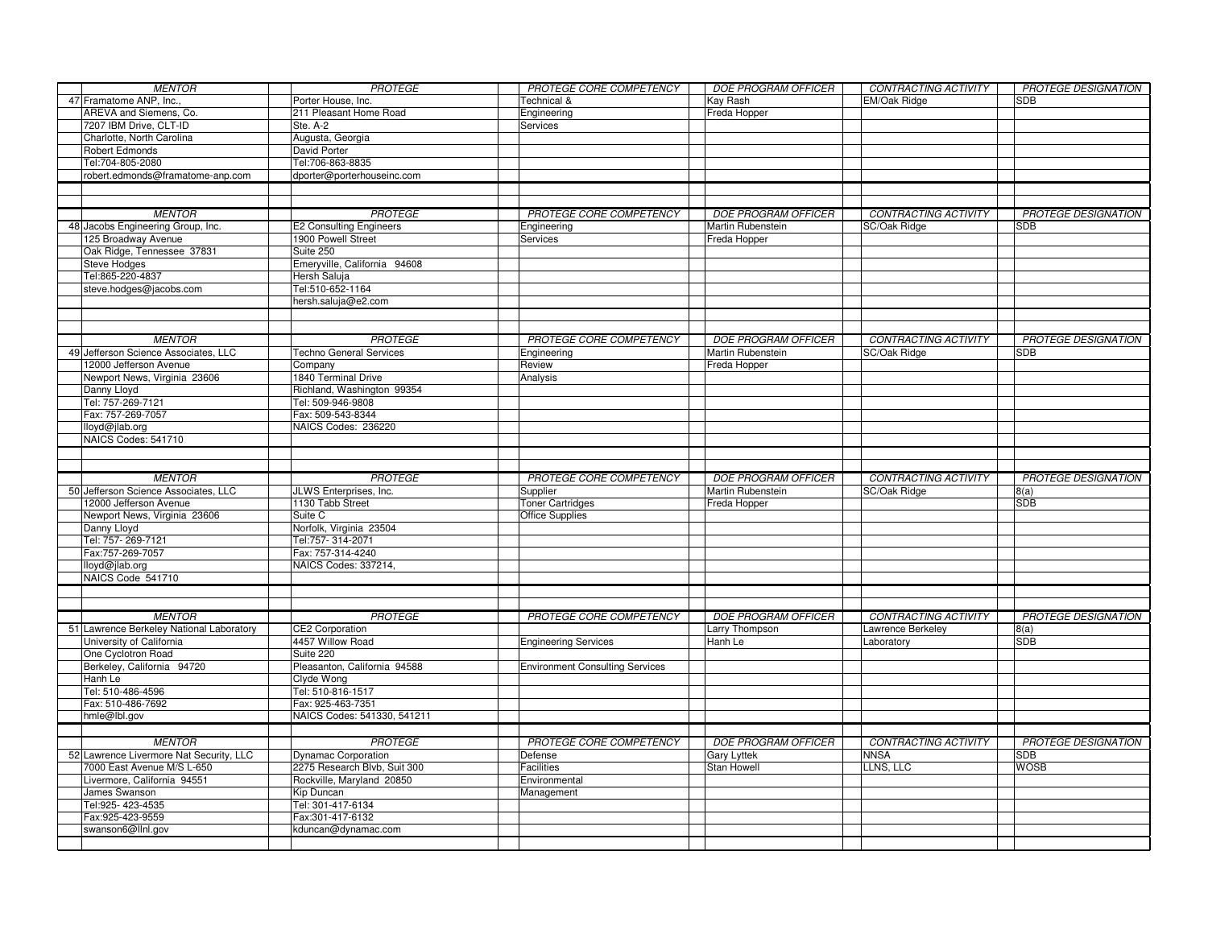| <b>MENTOR</b>                            | <i>PROTÉGÉ</i>                 | PROTÉGÉ CORE COMPETENCY                | DOE PROGRAM OFFICER        | CONTRACTING ACTIVITY        | PROTÉGÉ DESIGNATION        |
|------------------------------------------|--------------------------------|----------------------------------------|----------------------------|-----------------------------|----------------------------|
| 47 Framatome ANP, Inc.,                  | Porter House, Inc.             | Technical &                            | Kay Rash                   | EM/Oak Ridge                | <b>SDB</b>                 |
| AREVA and Siemens, Co.                   | 211 Pleasant Home Road         | Engineering                            | Freda Hopper               |                             |                            |
| 7207 IBM Drive, CLT-ID                   | Ste. A-2                       | Services                               |                            |                             |                            |
| Charlotte, North Carolina                | Augusta, Georgia               |                                        |                            |                             |                            |
| <b>Robert Edmonds</b>                    | David Porter                   |                                        |                            |                             |                            |
| Tel:704-805-2080                         | Tel:706-863-8835               |                                        |                            |                             |                            |
| robert.edmonds@framatome-anp.com         | dporter@porterhouseinc.com     |                                        |                            |                             |                            |
|                                          |                                |                                        |                            |                             |                            |
|                                          |                                |                                        |                            |                             |                            |
| <b>MENTOR</b>                            | PROTÉGÉ                        | PROTÉGÉ CORE COMPETENCY                | <b>DOE PROGRAM OFFICER</b> | <b>CONTRACTING ACTIVITY</b> | PROTÉGÉ DESIGNATION        |
| 48 Jacobs Engineering Group, Inc.        | <b>E2 Consulting Engineers</b> | Engineering                            | Martin Rubenstein          | SC/Oak Ridge                | <b>SDB</b>                 |
| 125 Broadway Avenue                      | 1900 Powell Street             | Services                               | Freda Hopper               |                             |                            |
| Oak Ridge, Tennessee 37831               | Suite 250                      |                                        |                            |                             |                            |
|                                          |                                |                                        |                            |                             |                            |
| Steve Hodges                             | Emeryville, California 94608   |                                        |                            |                             |                            |
| Tel:865-220-4837                         | Hersh Saluja                   |                                        |                            |                             |                            |
| steve.hodges@jacobs.com                  | Tel:510-652-1164               |                                        |                            |                             |                            |
|                                          | hersh.saluja@e2.com            |                                        |                            |                             |                            |
|                                          |                                |                                        |                            |                             |                            |
|                                          |                                |                                        |                            |                             |                            |
| <b>MENTOR</b>                            | <b>PROTÉGÉ</b>                 | PROTÉGÉ CORE COMPETENCY                | <b>DOE PROGRAM OFFICER</b> | <b>CONTRACTING ACTIVITY</b> | <b>PROTÉGÉ DESIGNATION</b> |
| 49 Jefferson Science Associates, LLC     | <b>Techno General Services</b> | Engineering                            | Martin Rubenstein          | SC/Oak Ridge                | <b>SDB</b>                 |
| 12000 Jefferson Avenue                   | Company                        | Review                                 | Freda Hopper               |                             |                            |
| Newport News, Virginia 23606             | <b>1840 Terminal Drive</b>     | Analysis                               |                            |                             |                            |
| Danny Lloyd                              | Richland, Washington 99354     |                                        |                            |                             |                            |
| Tel: 757-269-7121                        | Tel: 509-946-9808              |                                        |                            |                             |                            |
| Fax: 757-269-7057                        | Fax: 509-543-8344              |                                        |                            |                             |                            |
| lloyd@jlab.org                           | NAICS Codes: 236220            |                                        |                            |                             |                            |
| NAICS Codes: 541710                      |                                |                                        |                            |                             |                            |
|                                          |                                |                                        |                            |                             |                            |
|                                          |                                |                                        |                            |                             |                            |
|                                          |                                |                                        |                            |                             |                            |
|                                          |                                |                                        |                            |                             |                            |
| <b>MENTOR</b>                            | <b>PROTÉGÉ</b>                 | PROTÉGÉ CORE COMPETENCY                | <b>DOE PROGRAM OFFICER</b> | <b>CONTRACTING ACTIVITY</b> | <b>PROTÉGÉ DESIGNATION</b> |
| 50 Jefferson Science Associates, LLC     | JLWS Enterprises, Inc.         | Supplier                               | Martin Rubenstein          | SC/Oak Ridge                | 8(a)                       |
| 12000 Jefferson Avenue                   | 1130 Tabb Street               | <b>Toner Cartridges</b>                | Freda Hopper               |                             | <b>SDB</b>                 |
| Newport News, Virginia 23606             | Suite C                        | <b>Office Supplies</b>                 |                            |                             |                            |
| Danny Lloyd                              | Norfolk, Virginia 23504        |                                        |                            |                             |                            |
| Tel: 757-269-7121                        | Tel:757-314-2071               |                                        |                            |                             |                            |
| Fax:757-269-7057                         | Fax: 757-314-4240              |                                        |                            |                             |                            |
| lloyd@jlab.org                           | NAICS Codes: 337214,           |                                        |                            |                             |                            |
| NAICS Code 541710                        |                                |                                        |                            |                             |                            |
|                                          |                                |                                        |                            |                             |                            |
|                                          |                                |                                        |                            |                             |                            |
| <b>MENTOR</b>                            | <b>PROTÉGÉ</b>                 | PROTÉGÉ CORE COMPETENCY                | <b>DOE PROGRAM OFFICER</b> | <b>CONTRACTING ACTIVITY</b> | <b>PROTÉGÉ DESIGNATION</b> |
| 51 Lawrence Berkeley National Laboratory | <b>CE2 Corporation</b>         |                                        | Larry Thompson             | Lawrence Berkeley           | 8(a)                       |
| University of California                 | 4457 Willow Road               | <b>Engineering Services</b>            | Hanh Le                    | Laboratory                  | <b>SDB</b>                 |
| One Cyclotron Road                       | Suite 220                      |                                        |                            |                             |                            |
| Berkeley, California 94720               | Pleasanton, California 94588   | <b>Environment Consulting Services</b> |                            |                             |                            |
| Hanh Le                                  | Clyde Wong                     |                                        |                            |                             |                            |
| Tel: 510-486-4596                        | Tel: 510-816-1517              |                                        |                            |                             |                            |
| Fax: 510-486-7692                        | Fax: 925-463-7351              |                                        |                            |                             |                            |
| hmle@lbl.gov                             | NAICS Codes: 541330, 541211    |                                        |                            |                             |                            |
|                                          |                                |                                        |                            |                             |                            |
| <b>MENTOR</b>                            | PROTÉGÉ                        | PROTÉGÉ CORE COMPETENCY                | <b>DOE PROGRAM OFFICER</b> | CONTRACTING ACTIVITY        | <b>PROTÉGÉ DESIGNATION</b> |
| 52 Lawrence Livermore Nat Security, LLC  | <b>Dynamac Corporation</b>     | Defense                                | Gary Lyttek                | <b>NNSA</b>                 | <b>SDB</b>                 |
| 7000 East Avenue M/S L-650               | 2275 Research Blvb, Suit 300   | <b>Facilities</b>                      | <b>Stan Howell</b>         | LLNS, LLC                   | <b>WOSB</b>                |
| Livermore, California 94551              | Rockville, Maryland 20850      | Environmental                          |                            |                             |                            |
| James Swanson                            | Kip Duncan                     | Management                             |                            |                             |                            |
| Tel:925-423-4535                         | Tel: 301-417-6134              |                                        |                            |                             |                            |
| Fax:925-423-9559                         | Fax:301-417-6132               |                                        |                            |                             |                            |
| swanson6@llnl.gov                        | kduncan@dynamac.com            |                                        |                            |                             |                            |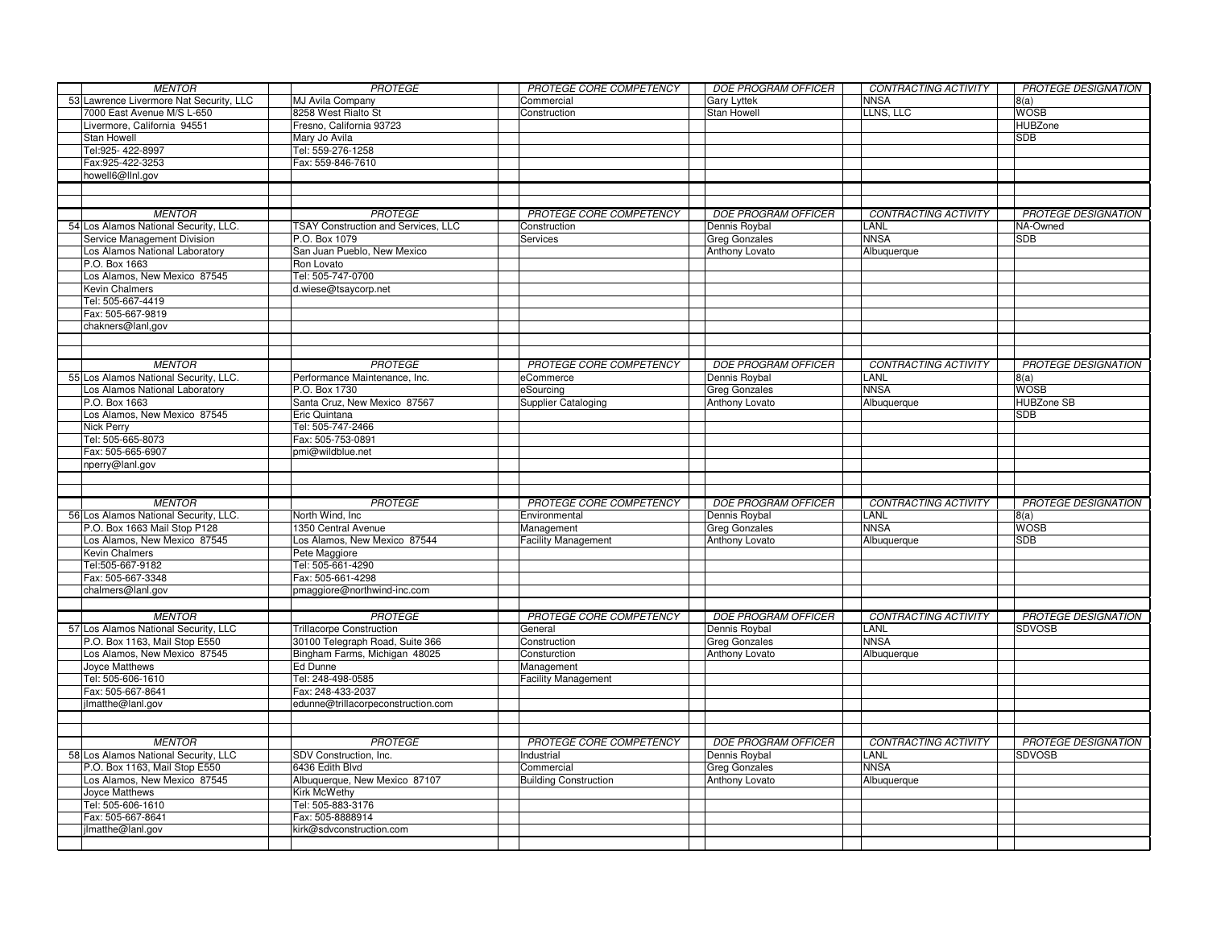| <b>MENTOR</b>                           | <i>PROTÉGÉ</i>                      | PROTÉGÉ CORE COMPETENCY        | DOE PROGRAM OFFICER        | CONTRACTING ACTIVITY        | PROTÉGÉ DESIGNATION        |
|-----------------------------------------|-------------------------------------|--------------------------------|----------------------------|-----------------------------|----------------------------|
| 53 Lawrence Livermore Nat Security, LLC | <b>MJ Avila Company</b>             | Commercial                     | <b>Gary Lyttek</b>         | <b>NNSA</b>                 | 8(a)                       |
| 7000 East Avenue M/S L-650              | 8258 West Rialto St                 | Construction                   | <b>Stan Howell</b>         | LLNS, LLC                   | <b>WOSB</b>                |
| Livermore, California 94551             | Fresno, California 93723            |                                |                            |                             | <b>HUBZone</b>             |
| Stan Howell                             | Mary Jo Avila                       |                                |                            |                             | <b>SDB</b>                 |
| Tel:925-422-8997                        | Tel: 559-276-1258                   |                                |                            |                             |                            |
| Fax:925-422-3253                        | Fax: 559-846-7610                   |                                |                            |                             |                            |
| howell6@llnl.gov                        |                                     |                                |                            |                             |                            |
|                                         |                                     |                                |                            |                             |                            |
|                                         |                                     |                                |                            |                             |                            |
| <b>MENTOR</b>                           | PROTÉGÉ                             | <b>PROTÉGÉ CORE COMPETENCY</b> | <b>DOE PROGRAM OFFICER</b> | CONTRACTING ACTIVITY        | PROTÉGÉ DESIGNATION        |
| 54 Los Alamos National Security, LLC.   | TSAY Construction and Services, LLC | Construction                   | Dennis Roybal              | LANL                        | NA-Owned                   |
| Service Management Division             | P.O. Box 1079                       | Services                       | <b>Greg Gonzales</b>       | <b>NNSA</b>                 | <b>SDB</b>                 |
| Los Alamos National Laboratory          | San Juan Pueblo, New Mexico         |                                | Anthony Lovato             | Albuquerque                 |                            |
| P.O. Box 1663                           | Ron Lovato                          |                                |                            |                             |                            |
| Los Alamos, New Mexico 87545            | Tel: 505-747-0700                   |                                |                            |                             |                            |
| Kevin Chalmers                          | d.wiese@tsaycorp.net                |                                |                            |                             |                            |
| Tel: 505-667-4419                       |                                     |                                |                            |                             |                            |
| Fax: 505-667-9819                       |                                     |                                |                            |                             |                            |
| chakners@lanl,gov                       |                                     |                                |                            |                             |                            |
|                                         |                                     |                                |                            |                             |                            |
|                                         |                                     |                                |                            |                             |                            |
| <b>MENTOR</b>                           | <b>PROTEGE</b>                      | PROTEGE CORE COMPETENCY        | <b>DOE PROGRAM OFFICER</b> | CONTRACTING ACTIVITY        | <b>PROTEGE DESIGNATION</b> |
| 55 Los Alamos National Security, LLC.   | Performance Maintenance, Inc.       | eCommerce                      | Dennis Roybal              | <b>LANL</b>                 | 8(a)                       |
| Los Alamos National Laboratory          | P.O. Box 1730                       |                                | <b>Greg Gonzales</b>       | <b>NNSA</b>                 | <b>WOSB</b>                |
| P.O. Box 1663                           | Santa Cruz, New Mexico 87567        | eSourcing                      |                            |                             | <b>HUBZone SB</b>          |
| Los Alamos, New Mexico 87545            | Eric Quintana                       | <b>Supplier Cataloging</b>     | <b>Anthony Lovato</b>      | Albuquerque                 | <b>SDB</b>                 |
| Nick Perry                              | Tel: 505-747-2466                   |                                |                            |                             |                            |
|                                         |                                     |                                |                            |                             |                            |
| Tel: 505-665-8073                       | Fax: 505-753-0891                   |                                |                            |                             |                            |
| Fax: 505-665-6907<br>nperry@lanl.gov    | pmi@wildblue.net                    |                                |                            |                             |                            |
|                                         |                                     |                                |                            |                             |                            |
|                                         |                                     |                                |                            |                             |                            |
|                                         |                                     |                                |                            |                             |                            |
|                                         |                                     |                                |                            |                             |                            |
| <b>MENTOR</b>                           | <b>PROTÉGÉ</b>                      | PROTÉGÉ CORE COMPETENCY        | <b>DOE PROGRAM OFFICER</b> | <b>CONTRACTING ACTIVITY</b> | <b>PROTÉGÉ DESIGNATION</b> |
| 56 Los Alamos National Security, LLC.   | North Wind, Inc.                    | Environmental                  | Dennis Roybal              | <b>LANL</b>                 | 8(a)                       |
| P.O. Box 1663 Mail Stop P128            | 1350 Central Avenue                 | Management                     | <b>Greg Gonzales</b>       | <b>NNSA</b>                 | <b>WOSB</b>                |
| Los Alamos, New Mexico 87545            | Los Alamos, New Mexico 87544        | <b>Facility Management</b>     | Anthony Lovato             | Albuquerque                 | <b>SDB</b>                 |
| <b>Kevin Chalmers</b>                   | Pete Maggiore                       |                                |                            |                             |                            |
| Tel:505-667-9182                        | Tel: 505-661-4290                   |                                |                            |                             |                            |
| Fax: 505-667-3348                       | Fax: 505-661-4298                   |                                |                            |                             |                            |
| chalmers@lanl.gov                       | pmaggiore@northwind-inc.com         |                                |                            |                             |                            |
|                                         |                                     |                                |                            |                             |                            |
| <b>MENTOR</b>                           | <b>PROTÉGÉ</b>                      | PROTÉGÉ CORE COMPETENCY        | <b>DOE PROGRAM OFFICER</b> | <b>CONTRACTING ACTIVITY</b> | <b>PROTÉGÉ DESIGNATION</b> |
| 57 Los Alamos National Security, LLC    | <b>Trillacorpe Construction</b>     | General                        | Dennis Roybal              | LANL                        | <b>SDVOSB</b>              |
| P.O. Box 1163, Mail Stop E550           | 30100 Telegraph Road, Suite 366     | Construction                   | <b>Greg Gonzales</b>       | <b>NNSA</b>                 |                            |
| Los Alamos, New Mexico 87545            | Bingham Farms, Michigan 48025       | Consturction                   | Anthony Lovato             | Albuquerque                 |                            |
| Joyce Matthews                          | Ed Dunne                            | Management                     |                            |                             |                            |
| Tel: 505-606-1610                       | Tel: 248-498-0585                   | <b>Facility Management</b>     |                            |                             |                            |
| Fax: 505-667-8641                       | Fax: 248-433-2037                   |                                |                            |                             |                            |
| jlmatthe@lanl.gov                       | edunne@trillacorpeconstruction.com  |                                |                            |                             |                            |
|                                         |                                     |                                |                            |                             |                            |
|                                         |                                     |                                |                            |                             |                            |
| <b>MENTOR</b>                           | PROTÉGÉ                             | PROTÉGÉ CORE COMPETENCY        | <b>DOE PROGRAM OFFICER</b> | <b>CONTRACTING ACTIVITY</b> | <b>PROTÉGÉ DESIGNATION</b> |
| 58 Los Alamos National Security, LLC    | SDV Construction, Inc.              | Industrial                     | Dennis Roybal              | LANL                        | <b>SDVOSB</b>              |
| P.O. Box 1163, Mail Stop E550           | 6436 Edith Blvd                     | Commercial                     | <b>Greg Gonzales</b>       | <b>NNSA</b>                 |                            |
| Los Alamos, New Mexico 87545            | Albuquerque, New Mexico 87107       | <b>Building Construction</b>   | Anthony Lovato             | Albuquerque                 |                            |
| Joyce Matthews                          | Kirk McWethy                        |                                |                            |                             |                            |
| Tel: 505-606-1610                       | Tel: 505-883-3176                   |                                |                            |                             |                            |
| Fax: 505-667-8641                       | Fax: 505-8888914                    |                                |                            |                             |                            |
| jlmatthe@lanl.gov                       | kirk@sdvconstruction.com            |                                |                            |                             |                            |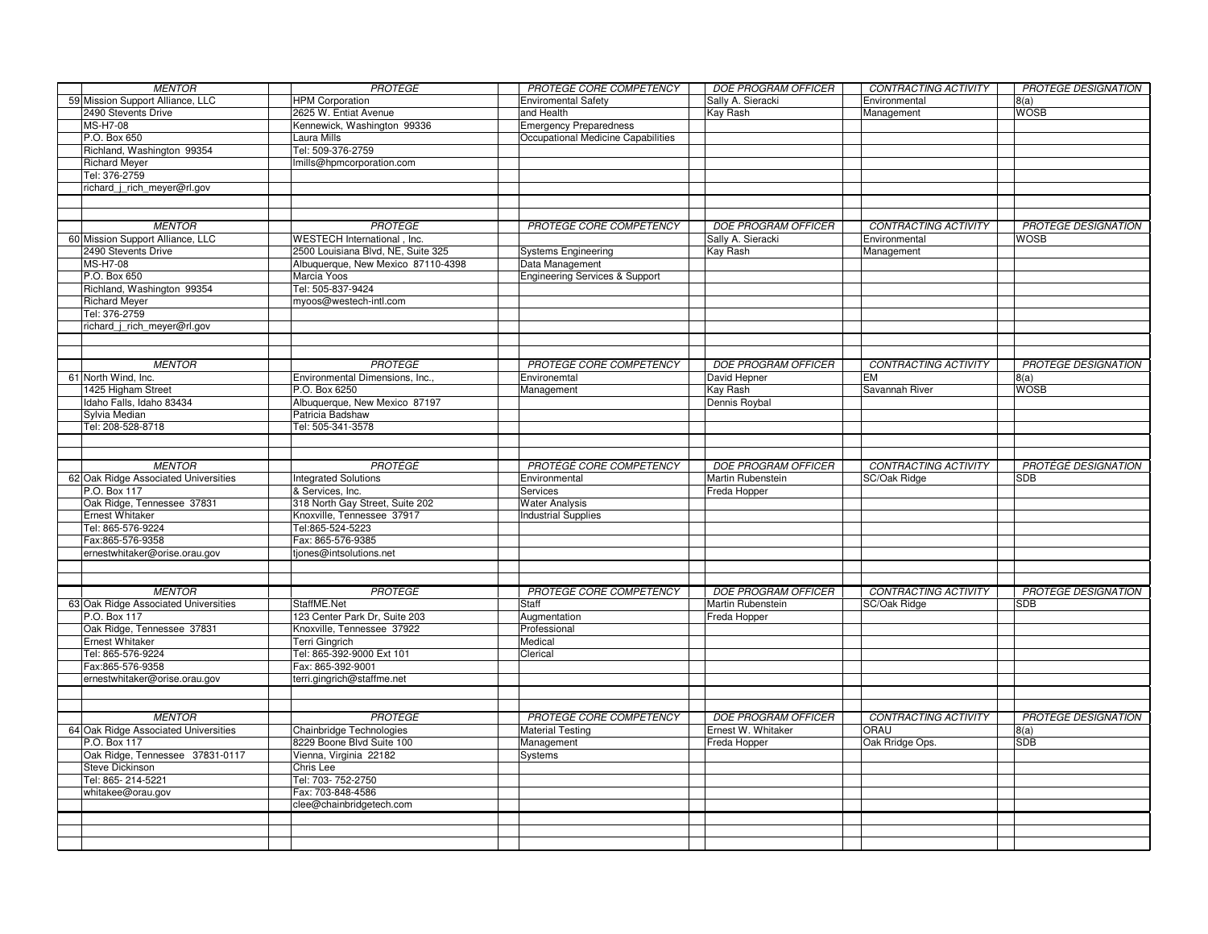| <b>MENTOR</b>                        | <i>PROTÉGÉ</i>                     | PROTÉGÉ CORE COMPETENCY                   | DOE PROGRAM OFFICER        | CONTRACTING ACTIVITY        | PROTÉGÉ DESIGNATION        |
|--------------------------------------|------------------------------------|-------------------------------------------|----------------------------|-----------------------------|----------------------------|
| 59 Mission Support Alliance, LLC     | <b>HPM Corporation</b>             | <b>Enviromental Safety</b>                | Sally A. Sieracki          | Environmental               | 8(a)                       |
| 2490 Stevents Drive                  | 2625 W. Entiat Avenue              | and Health                                | Kay Rash                   | Management                  | <b>WOSB</b>                |
| <b>MS-H7-08</b>                      | Kennewick, Washington 99336        | <b>Emergency Preparedness</b>             |                            |                             |                            |
| P.O. Box 650                         | Laura Mills                        | Occupational Medicine Capabilities        |                            |                             |                            |
| Richland, Washington 99354           | Tel: 509-376-2759                  |                                           |                            |                             |                            |
| <b>Richard Meyer</b>                 | Imills@hpmcorporation.com          |                                           |                            |                             |                            |
| Tel: 376-2759                        |                                    |                                           |                            |                             |                            |
| richard_j_rich_meyer@rl.gov          |                                    |                                           |                            |                             |                            |
|                                      |                                    |                                           |                            |                             |                            |
|                                      |                                    |                                           |                            |                             |                            |
| <b>MENTOR</b>                        | PROTÉGÉ                            | PROTÉGÉ CORE COMPETENCY                   | <b>DOE PROGRAM OFFICER</b> | <b>CONTRACTING ACTIVITY</b> | <b>PROTÉGÉ DESIGNATION</b> |
| 60 Mission Support Alliance, LLC     | WESTECH International, Inc.        |                                           | Sally A. Sieracki          | Environmental               | <b>WOSB</b>                |
| 2490 Stevents Drive                  | 2500 Louisiana Blvd, NE, Suite 325 | <b>Systems Engineering</b>                | Kay Rash                   | Management                  |                            |
| <b>MS-H7-08</b>                      | Albuquerque, New Mexico 87110-4398 | Data Management                           |                            |                             |                            |
| P.O. Box 650                         | Marcia Yoos                        | <b>Engineering Services &amp; Support</b> |                            |                             |                            |
| Richland, Washington 99354           | Tel: 505-837-9424                  |                                           |                            |                             |                            |
| <b>Richard Meyer</b>                 | myoos@westech-intl.com             |                                           |                            |                             |                            |
| Tel: 376-2759                        |                                    |                                           |                            |                             |                            |
| richard_j_rich_meyer@rl.gov          |                                    |                                           |                            |                             |                            |
|                                      |                                    |                                           |                            |                             |                            |
|                                      |                                    |                                           |                            |                             |                            |
| <b>MENTOR</b>                        | <b>PROTEGE</b>                     | PROTEGE CORE COMPETENCY                   | <b>DOE PROGRAM OFFICER</b> | CONTRACTING ACTIVITY        | <b>PROTEGE DESIGNATION</b> |
| 61 North Wind, Inc.                  | Environmental Dimensions, Inc.,    | Environemtal                              | David Hepner               | <b>EM</b>                   | 8(a)                       |
| 1425 Higham Street                   | P.O. Box 6250                      | Management                                | Kay Rash                   | Savannah River              | <b>WOSB</b>                |
| Idaho Falls, Idaho 83434             | Albuquerque, New Mexico 87197      |                                           | Dennis Roybal              |                             |                            |
| Sylvia Median                        | Patricia Badshaw                   |                                           |                            |                             |                            |
| Tel: 208-528-8718                    | Tel: 505-341-3578                  |                                           |                            |                             |                            |
|                                      |                                    |                                           |                            |                             |                            |
|                                      |                                    |                                           |                            |                             |                            |
| <b>MENTOR</b>                        | PROTÉGÉ                            | PROTÉGÉ CORE COMPETENCY                   | <b>DOE PROGRAM OFFICER</b> | <b>CONTRACTING ACTIVITY</b> | <b>PROTÉGÉ DESIGNATION</b> |
| 62 Oak Ridge Associated Universities | <b>Integrated Solutions</b>        | Environmental                             | Martin Rubenstein          | SC/Oak Ridge                | <b>SDB</b>                 |
| P.O. Box 117                         | & Services, Inc.                   | Services                                  | Freda Hopper               |                             |                            |
| Oak Ridge, Tennessee 37831           | 318 North Gay Street, Suite 202    | <b>Water Analysis</b>                     |                            |                             |                            |
| <b>Ernest Whitaker</b>               | Knoxville, Tennessee 37917         | <b>Industrial Supplies</b>                |                            |                             |                            |
| Tel: 865-576-9224                    | Tel:865-524-5223                   |                                           |                            |                             |                            |
| Fax:865-576-9358                     | Fax: 865-576-9385                  |                                           |                            |                             |                            |
| ernestwhitaker@orise.orau.gov        | tjones@intsolutions.net            |                                           |                            |                             |                            |
|                                      |                                    |                                           |                            |                             |                            |
|                                      |                                    |                                           |                            |                             |                            |
| <b>MENTOR</b>                        | <b>PROTÉGÉ</b>                     | <b>PROTÉGÉ CORE COMPETENCY</b>            | <b>DOE PROGRAM OFFICER</b> | CONTRACTING ACTIVITY        | <b>PROTÉGÉ DESIGNATION</b> |
| 63 Oak Ridge Associated Universities | StaffME.Net                        | Staff                                     | Martin Rubenstein          | SC/Oak Ridge                | SDB                        |
| P.O. Box 117                         | 123 Center Park Dr, Suite 203      | Augmentation                              | Freda Hopper               |                             |                            |
| Oak Ridge, Tennessee 37831           | Knoxville, Tennessee 37922         | Professional                              |                            |                             |                            |
| <b>Ernest Whitaker</b>               | Terri Gingrich                     | Medical                                   |                            |                             |                            |
| Tel: 865-576-9224                    | Tel: 865-392-9000 Ext 101          | Clerical                                  |                            |                             |                            |
| Fax:865-576-9358                     | Fax: 865-392-9001                  |                                           |                            |                             |                            |
| ernestwhitaker@orise.orau.gov        | terri.gingrich@staffme.net         |                                           |                            |                             |                            |
|                                      |                                    |                                           |                            |                             |                            |
|                                      |                                    |                                           |                            |                             |                            |
| <b>MENTOR</b>                        | PROTÉGÉ                            | PROTÉGÉ CORE COMPETENCY                   | <b>DOE PROGRAM OFFICER</b> | <b>CONTRACTING ACTIVITY</b> | <b>PROTÉGÉ DESIGNATION</b> |
| 64 Oak Ridge Associated Universities | Chainbridge Technologies           | <b>Material Testing</b>                   | Ernest W. Whitaker         | ORAU                        | 8(a)                       |
| P.O. Box 117                         | 8229 Boone Blvd Suite 100          | Management                                | Freda Hopper               | Oak Rridge Ops.             | <b>SDB</b>                 |
| Oak Ridge, Tennessee 37831-0117      | Vienna, Virginia 22182             | Systems                                   |                            |                             |                            |
| Steve Dickinson                      | Chris Lee                          |                                           |                            |                             |                            |
| Tel: 865-214-5221                    | Tel: 703-752-2750                  |                                           |                            |                             |                            |
| whitakee@orau.gov                    | Fax: 703-848-4586                  |                                           |                            |                             |                            |
|                                      | clee@chainbridgetech.com           |                                           |                            |                             |                            |
|                                      |                                    |                                           |                            |                             |                            |
|                                      |                                    |                                           |                            |                             |                            |
|                                      |                                    |                                           |                            |                             |                            |
|                                      |                                    |                                           |                            |                             |                            |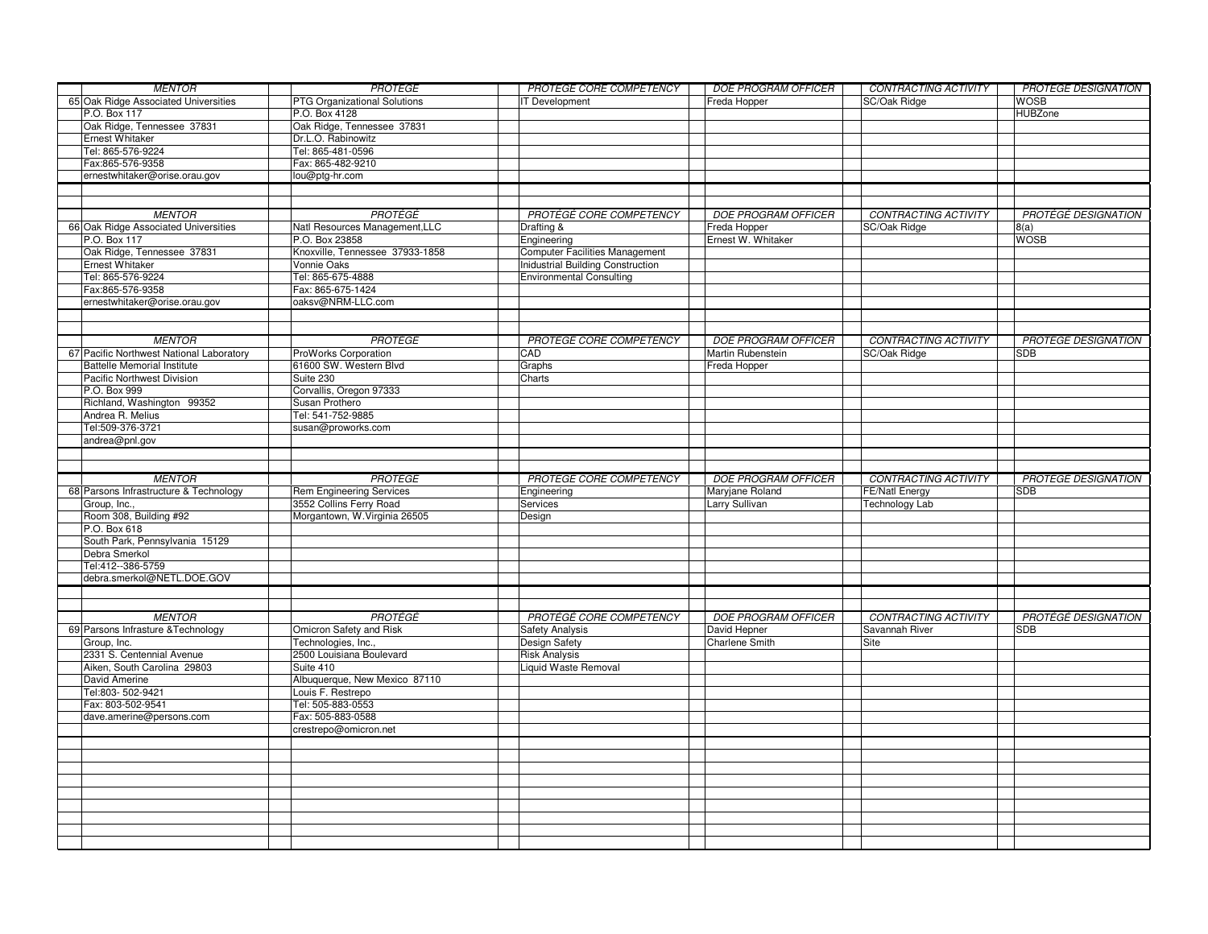| <b>MENTOR</b>                            | PROTÉGÉ                         | PROTÉGÉ CORE COMPETENCY                  | <b>DOE PROGRAM OFFICER</b> | CONTRACTING ACTIVITY        | <b>PROTÉGÉ DESIGNATION</b> |
|------------------------------------------|---------------------------------|------------------------------------------|----------------------------|-----------------------------|----------------------------|
| 65 Oak Ridge Associated Universities     | PTG Organizational Solutions    | <b>IT Development</b>                    | Freda Hopper               | SC/Oak Ridge                | <b>WOSB</b>                |
| P.O. Box 117                             | P.O. Box 4128                   |                                          |                            |                             | <b>HUBZone</b>             |
| Oak Ridge, Tennessee 37831               | Oak Ridge, Tennessee 37831      |                                          |                            |                             |                            |
| <b>Ernest Whitaker</b>                   | Dr.L.O. Rabinowitz              |                                          |                            |                             |                            |
| Tel: 865-576-9224                        | Tel: 865-481-0596               |                                          |                            |                             |                            |
| Fax:865-576-9358                         | Fax: 865-482-9210               |                                          |                            |                             |                            |
| ernestwhitaker@orise.orau.gov            | lou@ptg-hr.com                  |                                          |                            |                             |                            |
|                                          |                                 |                                          |                            |                             |                            |
|                                          |                                 |                                          |                            |                             |                            |
| <b>MENTOR</b>                            | PROTÉGÉ                         | PROTÉGÉ CORE COMPETENCY                  | <b>DOE PROGRAM OFFICER</b> | <b>CONTRACTING ACTIVITY</b> | <b>PROTÉGÉ DESIGNATION</b> |
| 66 Oak Ridge Associated Universities     | Natl Resources Management, LLC  | Drafting &                               | Freda Hopper               | SC/Oak Ridge                | 8(a)                       |
| P.O. Box 117                             | P.O. Box 23858                  | Engineering                              | Ernest W. Whitaker         |                             | <b>WOSB</b>                |
| Oak Ridge, Tennessee 37831               | Knoxville, Tennessee 37933-1858 | <b>Computer Facilities Management</b>    |                            |                             |                            |
| <b>Ernest Whitaker</b>                   | Vonnie Oaks                     | <b>Inidustrial Building Construction</b> |                            |                             |                            |
| Tel: 865-576-9224                        | Tel: 865-675-4888               | <b>Environmental Consulting</b>          |                            |                             |                            |
| Fax:865-576-9358                         | Fax: 865-675-1424               |                                          |                            |                             |                            |
| ernestwhitaker@orise.orau.gov            | oaksv@NRM-LLC.com               |                                          |                            |                             |                            |
|                                          |                                 |                                          |                            |                             |                            |
|                                          |                                 |                                          |                            |                             |                            |
| <b>MENTOR</b>                            | PROTÉGÉ                         | <b>PROTÉGÉ CORE COMPETENCY</b>           | <b>DOE PROGRAM OFFICER</b> | CONTRACTING ACTIVITY        | <b>PROTÉGÉ DESIGNATION</b> |
| 67 Pacific Northwest National Laboratory | ProWorks Corporation            | CAD                                      | Martin Rubenstein          | SC/Oak Ridge                | <b>SDB</b>                 |
| <b>Battelle Memorial Institute</b>       | 61600 SW. Western Blvd          | Graphs                                   | Freda Hopper               |                             |                            |
| Pacific Northwest Division               | Suite 230                       | Charts                                   |                            |                             |                            |
| P.O. Box 999                             | Corvallis, Oregon 97333         |                                          |                            |                             |                            |
| Richland, Washington 99352               | Susan Prothero                  |                                          |                            |                             |                            |
| Andrea R. Melius                         | Tel: 541-752-9885               |                                          |                            |                             |                            |
|                                          |                                 |                                          |                            |                             |                            |
| Tel:509-376-3721                         | susan@proworks.com              |                                          |                            |                             |                            |
| andrea@pnl.gov                           |                                 |                                          |                            |                             |                            |
|                                          |                                 |                                          |                            |                             |                            |
|                                          |                                 |                                          |                            |                             |                            |
|                                          |                                 |                                          |                            |                             |                            |
| <b>MENTOR</b>                            | PROTÉGÉ                         | PROTÉGÉ CORE COMPETENCY                  | <b>DOE PROGRAM OFFICER</b> | <b>CONTRACTING ACTIVITY</b> | <b>PROTÉGÉ DESIGNATION</b> |
| 68 Parsons Infrastructure & Technology   | <b>Rem Engineering Services</b> | Engineering                              | Maryjane Roland            | <b>FE/Natl Energy</b>       | <b>SDB</b>                 |
| Group, Inc.,                             | 3552 Collins Ferry Road         | Services                                 | Larry Sullivan             | <b>Technology Lab</b>       |                            |
| Room 308, Building #92                   | Morgantown, W. Virginia 26505   | Design                                   |                            |                             |                            |
| P.O. Box 618                             |                                 |                                          |                            |                             |                            |
| South Park, Pennsylvania 15129           |                                 |                                          |                            |                             |                            |
| Debra Smerkol                            |                                 |                                          |                            |                             |                            |
| Tel:412--386-5759                        |                                 |                                          |                            |                             |                            |
| debra.smerkol@NETL.DOE.GOV               |                                 |                                          |                            |                             |                            |
|                                          |                                 |                                          |                            |                             |                            |
|                                          |                                 |                                          |                            |                             |                            |
| <b>MENTOR</b>                            | PROTÉGÉ                         | PROTÉGÉ CORE COMPETENCY                  | <b>DOE PROGRAM OFFICER</b> | <b>CONTRACTING ACTIVITY</b> | <b>PROTÉGÉ DESIGNATION</b> |
| 69 Parsons Infrasture & Technology       | Omicron Safety and Risk         | Safety Analysis                          | David Hepner               | Savannah River              | <b>SDB</b>                 |
| Group, Inc.                              | Technologies, Inc.,             | Design Safety                            | Charlene Smith             | Site                        |                            |
| 2331 S. Centennial Avenue                | 2500 Louisiana Boulevard        | <b>Risk Analysis</b>                     |                            |                             |                            |
| Aiken, South Carolina 29803              | Suite 410                       | Liquid Waste Removal                     |                            |                             |                            |
| David Amerine                            | Albuquerque, New Mexico 87110   |                                          |                            |                             |                            |
| Tel:803-502-9421                         | Louis F. Restrepo               |                                          |                            |                             |                            |
| Fax: 803-502-9541                        | Tel: 505-883-0553               |                                          |                            |                             |                            |
| dave.amerine@persons.com                 | Fax: 505-883-0588               |                                          |                            |                             |                            |
|                                          | crestrepo@omicron.net           |                                          |                            |                             |                            |
|                                          |                                 |                                          |                            |                             |                            |
|                                          |                                 |                                          |                            |                             |                            |
|                                          |                                 |                                          |                            |                             |                            |
|                                          |                                 |                                          |                            |                             |                            |
|                                          |                                 |                                          |                            |                             |                            |
|                                          |                                 |                                          |                            |                             |                            |
|                                          |                                 |                                          |                            |                             |                            |
|                                          |                                 |                                          |                            |                             |                            |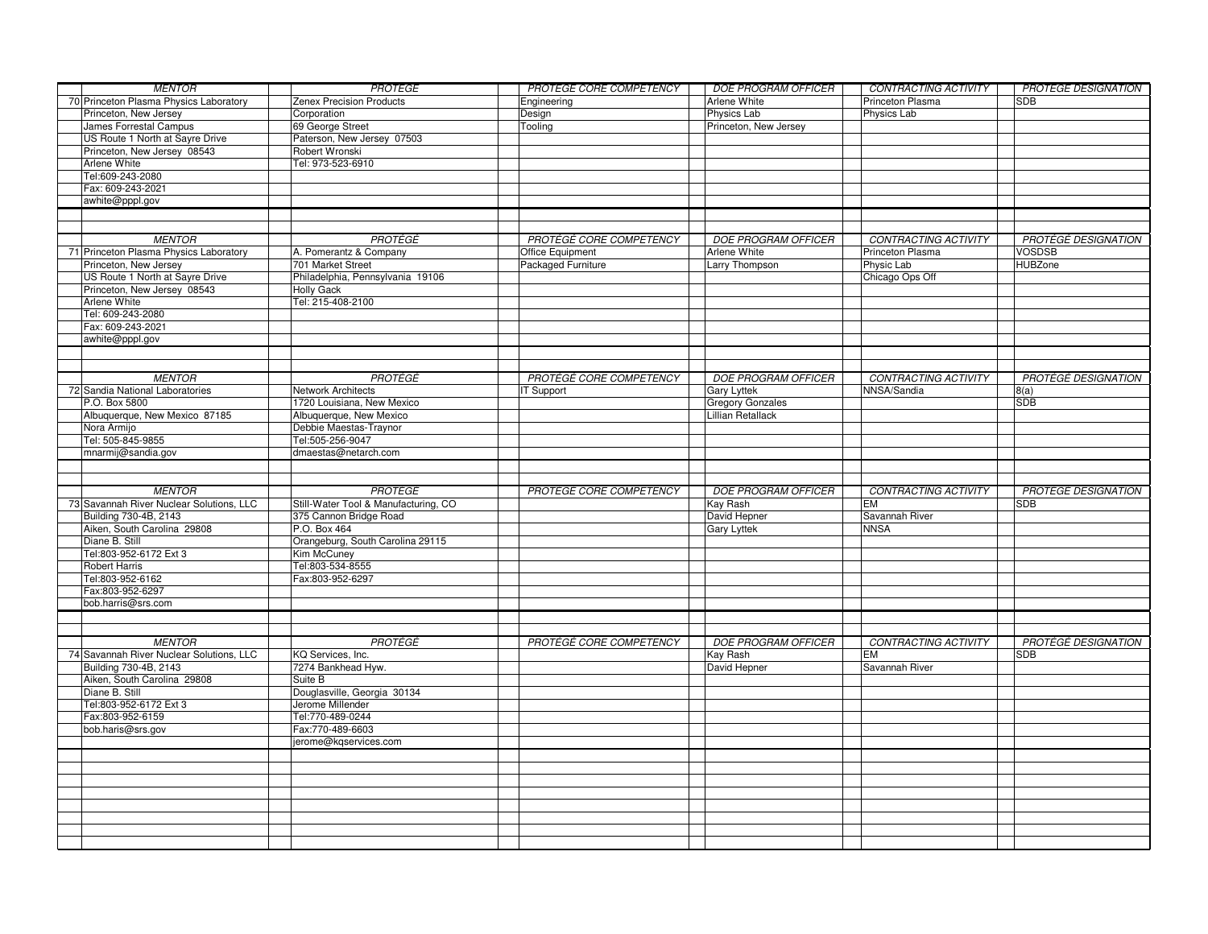| <b>MENTOR</b>                                        | PROTÉGÉ                                   | PROTÉGÉ CORE COMPETENCY | <b>DOE PROGRAM OFFICER</b> | CONTRACTING ACTIVITY        | PROTÉGÉ DESIGNATION        |
|------------------------------------------------------|-------------------------------------------|-------------------------|----------------------------|-----------------------------|----------------------------|
| 70 Princeton Plasma Physics Laboratory               | Zenex Precision Products                  | Engineering             | Arlene White               | Princeton Plasma            | <b>SDB</b>                 |
| Princeton, New Jersey                                | Corporation                               | Design                  | Physics Lab                | Physics Lab                 |                            |
| James Forrestal Campus                               | 69 George Street                          | Tooling                 | Princeton, New Jersey      |                             |                            |
| US Route 1 North at Sayre Drive                      | Paterson, New Jersey 07503                |                         |                            |                             |                            |
| Princeton, New Jersey 08543                          | Robert Wronski                            |                         |                            |                             |                            |
| <b>Arlene White</b>                                  | Tel: 973-523-6910                         |                         |                            |                             |                            |
| Tel:609-243-2080                                     |                                           |                         |                            |                             |                            |
| Fax: 609-243-2021                                    |                                           |                         |                            |                             |                            |
| awhite@pppl.gov                                      |                                           |                         |                            |                             |                            |
|                                                      |                                           |                         |                            |                             |                            |
|                                                      |                                           |                         |                            |                             |                            |
|                                                      |                                           |                         |                            |                             |                            |
| <b>MENTOR</b>                                        | PROTÉGÉ                                   | PROTÉGÉ CORE COMPETENCY | <b>DOE PROGRAM OFFICER</b> | <b>CONTRACTING ACTIVITY</b> | <b>PROTÉGÉ DESIGNATION</b> |
| 71 Princeton Plasma Physics Laboratory               | A. Pomerantz & Company                    | <b>Office Equipment</b> | <b>Arlene White</b>        | Princeton Plasma            | <b>VOSDSB</b>              |
| Princeton, New Jersey                                | 701 Market Street                         | Packaged Furniture      | Larry Thompson             | Physic Lab                  | <b>HUBZone</b>             |
| US Route 1 North at Sayre Drive                      | Philadelphia, Pennsylvania 19106          |                         |                            | Chicago Ops Off             |                            |
| Princeton, New Jersey 08543                          | <b>Holly Gack</b>                         |                         |                            |                             |                            |
| <b>Arlene White</b>                                  | Tel: 215-408-2100                         |                         |                            |                             |                            |
| Tel: 609-243-2080                                    |                                           |                         |                            |                             |                            |
| Fax: 609-243-2021                                    |                                           |                         |                            |                             |                            |
| awhite@pppl.gov                                      |                                           |                         |                            |                             |                            |
|                                                      |                                           |                         |                            |                             |                            |
|                                                      |                                           |                         |                            |                             |                            |
| <b>MENTOR</b>                                        | <b>PROTÉGÉ</b>                            | PROTÉGÉ CORE COMPETENCY | <b>DOE PROGRAM OFFICER</b> | CONTRACTING ACTIVITY        | PROTÉGÉ DESIGNATION        |
| 72 Sandia National Laboratories                      | Network Architects                        | <b>T Support</b>        | Gary Lyttek                | NNSA/Sandia                 | 8(a)                       |
| P.O. Box 5800                                        | 1720 Louisiana, New Mexico                |                         | <b>Gregory Gonzales</b>    |                             | <b>SDB</b>                 |
| Albuquerque, New Mexico 87185                        | Albuquerque, New Mexico                   |                         | Lillian Retallack          |                             |                            |
| Nora Armijo                                          | Debbie Maestas-Traynor                    |                         |                            |                             |                            |
| Tel: 505-845-9855                                    | Tel:505-256-9047                          |                         |                            |                             |                            |
| mnarmij@sandia.gov                                   | dmaestas@netarch.com                      |                         |                            |                             |                            |
|                                                      |                                           |                         |                            |                             |                            |
|                                                      |                                           |                         |                            |                             |                            |
|                                                      |                                           |                         |                            |                             |                            |
|                                                      |                                           |                         |                            |                             |                            |
| <b>MENTOR</b>                                        | PROTÉGÉ                                   | PROTÉGÉ CORE COMPETENCY | <b>DOE PROGRAM OFFICER</b> | <b>CONTRACTING ACTIVITY</b> | <b>PROTÉGÉ DESIGNATION</b> |
| 73 Savannah River Nuclear Solutions, LLC             | Still-Water Tool & Manufacturing, CO      |                         | Kay Rash                   | <b>EM</b>                   | <b>SDB</b>                 |
| Building 730-4B, 2143                                | 375 Cannon Bridge Road                    |                         | David Hepner               | Savannah River              |                            |
| Aiken, South Carolina 29808                          | P.O. Box 464                              |                         | <b>Gary Lyttek</b>         | <b>NNSA</b>                 |                            |
| Diane B. Still                                       | Orangeburg, South Carolina 29115          |                         |                            |                             |                            |
| Tel:803-952-6172 Ext 3                               | Kim McCuney                               |                         |                            |                             |                            |
| Robert Harris                                        | Tel:803-534-8555                          |                         |                            |                             |                            |
| Tel:803-952-6162                                     | Fax:803-952-6297                          |                         |                            |                             |                            |
| Fax:803-952-6297                                     |                                           |                         |                            |                             |                            |
| bob.harris@srs.com                                   |                                           |                         |                            |                             |                            |
|                                                      |                                           |                         |                            |                             |                            |
|                                                      |                                           |                         |                            |                             |                            |
| <b>MENTOR</b>                                        | <b>PROTÉGÉ</b>                            | PROTÉGÉ CORE COMPETENCY | <b>DOE PROGRAM OFFICER</b> | <b>CONTRACTING ACTIVITY</b> | <b>PROTÉGÉ DESIGNATION</b> |
| 74 Savannah River Nuclear Solutions, LLC             | KQ Services, Inc.                         |                         | Kay Rash                   | <b>EM</b>                   | <b>SDB</b>                 |
|                                                      | 7274 Bankhead Hyw.                        |                         | David Hepner               | Savannah River              |                            |
| Building 730-4B, 2143<br>Aiken, South Carolina 29808 | Suite B                                   |                         |                            |                             |                            |
| Diane B. Still                                       | Douglasville, Georgia 30134               |                         |                            |                             |                            |
| Tel:803-952-6172 Ext 3                               | Jerome Millender                          |                         |                            |                             |                            |
| Fax:803-952-6159                                     | Tel:770-489-0244                          |                         |                            |                             |                            |
|                                                      |                                           |                         |                            |                             |                            |
| bob.haris@srs.gov                                    | Fax:770-489-6603<br>jerome@kqservices.com |                         |                            |                             |                            |
|                                                      |                                           |                         |                            |                             |                            |
|                                                      |                                           |                         |                            |                             |                            |
|                                                      |                                           |                         |                            |                             |                            |
|                                                      |                                           |                         |                            |                             |                            |
|                                                      |                                           |                         |                            |                             |                            |
|                                                      |                                           |                         |                            |                             |                            |
|                                                      |                                           |                         |                            |                             |                            |
|                                                      |                                           |                         |                            |                             |                            |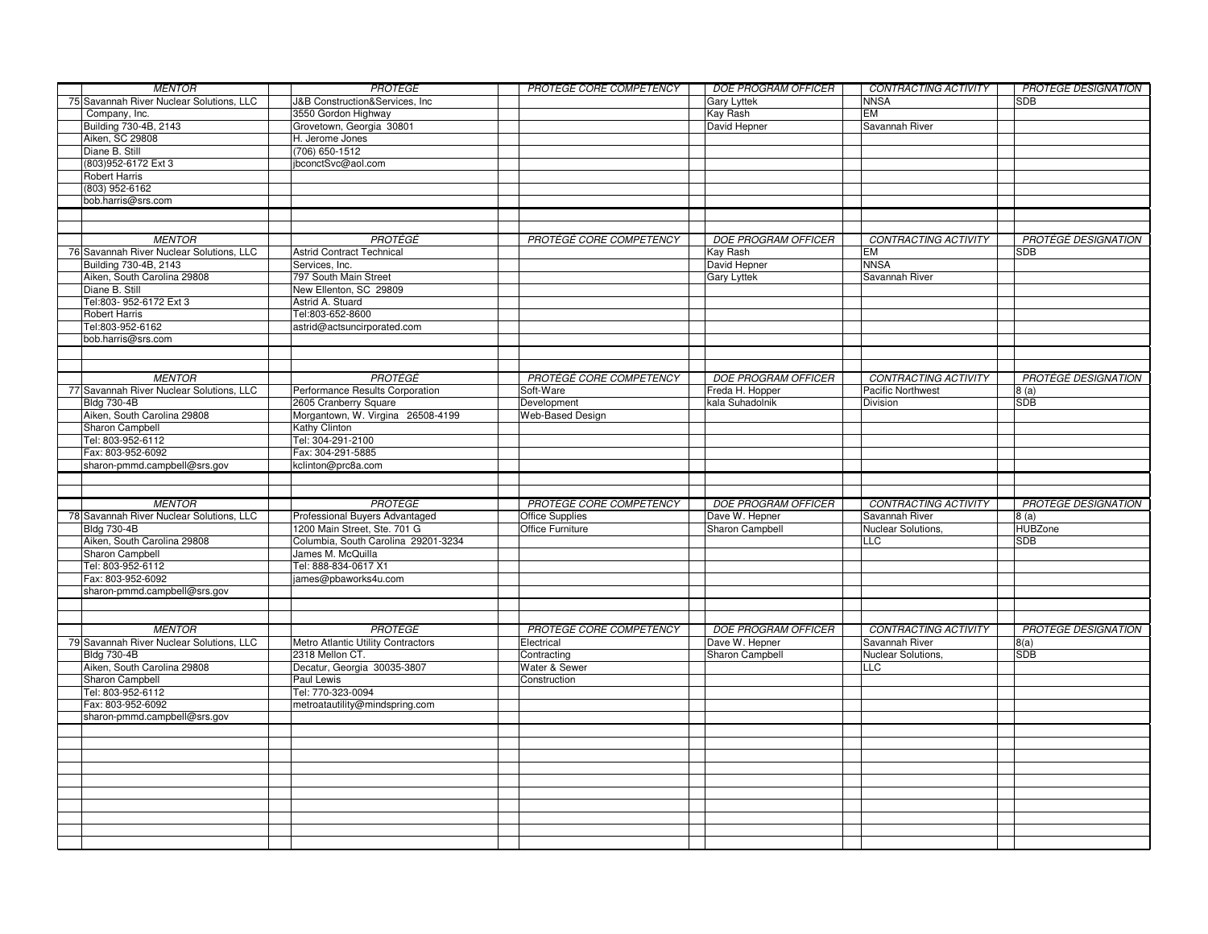| <b>MENTOR</b>                            | PROTÉGÉ                             | PROTÉGÉ CORE COMPETENCY | <b>DOE PROGRAM OFFICER</b> | CONTRACTING ACTIVITY        | <b>PROTÉGÉ DESIGNATION</b> |
|------------------------------------------|-------------------------------------|-------------------------|----------------------------|-----------------------------|----------------------------|
| 75 Savannah River Nuclear Solutions, LLC | J&B Construction&Services, Inc      |                         | <b>Gary Lyttek</b>         | <b>NNSA</b>                 | <b>SDB</b>                 |
| Company, Inc.                            | 3550 Gordon Highway                 |                         | Kay Rash                   | <b>EM</b>                   |                            |
| Building 730-4B, 2143                    | Grovetown, Georgia 30801            |                         | David Hepner               | Savannah River              |                            |
| Aiken, SC 29808                          | H. Jerome Jones                     |                         |                            |                             |                            |
| Diane B. Still                           | (706) 650-1512                      |                         |                            |                             |                            |
| (803) 952-6172 Ext 3                     | jbconctSvc@aol.com                  |                         |                            |                             |                            |
| <b>Robert Harris</b>                     |                                     |                         |                            |                             |                            |
| (803) 952-6162                           |                                     |                         |                            |                             |                            |
| bob.harris@srs.com                       |                                     |                         |                            |                             |                            |
|                                          |                                     |                         |                            |                             |                            |
|                                          |                                     |                         |                            |                             |                            |
| <b>MENTOR</b>                            | PROTÉGÉ                             | PROTÉGÉ CORE COMPETENCY | <b>DOE PROGRAM OFFICER</b> | <b>CONTRACTING ACTIVITY</b> | <b>PROTÉGÉ DESIGNATION</b> |
| 76 Savannah River Nuclear Solutions, LLC | <b>Astrid Contract Technical</b>    |                         | <b>Kay Rash</b>            | <b>EM</b>                   | <b>SDB</b>                 |
| Building 730-4B, 2143                    | Services, Inc.                      |                         | David Hepner               | <b>NNSA</b>                 |                            |
| Aiken, South Carolina 29808              | 797 South Main Street               |                         |                            | Savannah River              |                            |
|                                          |                                     |                         | <b>Gary Lyttek</b>         |                             |                            |
| Diane B. Still                           | New Ellenton, SC 29809              |                         |                            |                             |                            |
| Tel:803-952-6172 Ext 3                   | Astrid A. Stuard                    |                         |                            |                             |                            |
| <b>Robert Harris</b>                     | Tel:803-652-8600                    |                         |                            |                             |                            |
| Tel:803-952-6162                         | astrid@actsuncirporated.com         |                         |                            |                             |                            |
| bob.harris@srs.com                       |                                     |                         |                            |                             |                            |
|                                          |                                     |                         |                            |                             |                            |
|                                          |                                     |                         |                            |                             |                            |
| <b>MENTOR</b>                            | PROTÉGÉ                             | PROTÉGÉ CORE COMPETENCY | <b>DOE PROGRAM OFFICER</b> | <b>CONTRACTING ACTIVITY</b> | PROTÉGÉ DESIGNATION        |
| 77 Savannah River Nuclear Solutions, LLC | Performance Results Corporation     | Soft-Ware               | Freda H. Hopper            | Pacific Northwest           | 8(a)                       |
| <b>Bldg 730-4B</b>                       | 2605 Cranberry Square               | Development             | kala Suhadolnik            | Division                    | <b>SDB</b>                 |
| Aiken, South Carolina 29808              | Morgantown, W. Virgina 26508-4199   | Web-Based Design        |                            |                             |                            |
| Sharon Campbell                          | Kathy Clinton                       |                         |                            |                             |                            |
| Tel: 803-952-6112                        | Tel: 304-291-2100                   |                         |                            |                             |                            |
| Fax: 803-952-6092                        | Fax: 304-291-5885                   |                         |                            |                             |                            |
|                                          |                                     |                         |                            |                             |                            |
|                                          |                                     |                         |                            |                             |                            |
| sharon-pmmd.campbell@srs.gov             | kclinton@prc8a.com                  |                         |                            |                             |                            |
|                                          |                                     |                         |                            |                             |                            |
|                                          |                                     |                         |                            |                             |                            |
| <b>MENTOR</b>                            | PROTÉGÉ                             | PROTÉGÉ CORE COMPETENCY | <b>DOE PROGRAM OFFICER</b> | <b>CONTRACTING ACTIVITY</b> | <b>PROTÉGÉ DESIGNATION</b> |
| 78 Savannah River Nuclear Solutions, LLC | Professional Buyers Advantaged      | <b>Office Supplies</b>  | Dave W. Hepner             | Savannah River              | 8(a)                       |
| <b>Bldg 730-4B</b>                       | 1200 Main Street, Ste. 701 G        | Office Furniture        | Sharon Campbell            | Nuclear Solutions,          | <b>HUBZone</b>             |
| Aiken, South Carolina 29808              | Columbia, South Carolina 29201-3234 |                         |                            | ГC                          | <b>SDB</b>                 |
| Sharon Campbell                          | James M. McQuilla                   |                         |                            |                             |                            |
| Tel: 803-952-6112                        | Tel: 888-834-0617 X1                |                         |                            |                             |                            |
| Fax: 803-952-6092                        | ames@pbaworks4u.com                 |                         |                            |                             |                            |
| sharon-pmmd.campbell@srs.gov             |                                     |                         |                            |                             |                            |
|                                          |                                     |                         |                            |                             |                            |
|                                          |                                     |                         |                            |                             |                            |
| <b>MENTOR</b>                            | <b>PROTÉGÉ</b>                      | PROTÉGÉ CORE COMPETENCY | <b>DOE PROGRAM OFFICER</b> | <b>CONTRACTING ACTIVITY</b> | <b>PROTÉGÉ DESIGNATION</b> |
| 79 Savannah River Nuclear Solutions, LLC | Metro Atlantic Utility Contractors  | Electrical              | Dave W. Hepner             | Savannah River              | 8(a)                       |
| <b>Bldg 730-4B</b>                       | 2318 Mellon CT.                     | Contracting             | Sharon Campbell            | Nuclear Solutions,          | <b>SDB</b>                 |
| Aiken, South Carolina 29808              | Decatur, Georgia 30035-3807         | Water & Sewer           |                            | ГC                          |                            |
| Sharon Campbell                          | Paul Lewis                          | Construction            |                            |                             |                            |
| Tel: 803-952-6112                        | Tel: 770-323-0094                   |                         |                            |                             |                            |
| Fax: 803-952-6092                        | metroatautility@mindspring.com      |                         |                            |                             |                            |
| sharon-pmmd.campbell@srs.gov             |                                     |                         |                            |                             |                            |
|                                          |                                     |                         |                            |                             |                            |
|                                          |                                     |                         |                            |                             |                            |
|                                          |                                     |                         |                            |                             |                            |
|                                          |                                     |                         |                            |                             |                            |
|                                          |                                     |                         |                            |                             |                            |
|                                          |                                     |                         |                            |                             |                            |
|                                          |                                     |                         |                            |                             |                            |
|                                          |                                     |                         |                            |                             |                            |
|                                          |                                     |                         |                            |                             |                            |
|                                          |                                     |                         |                            |                             |                            |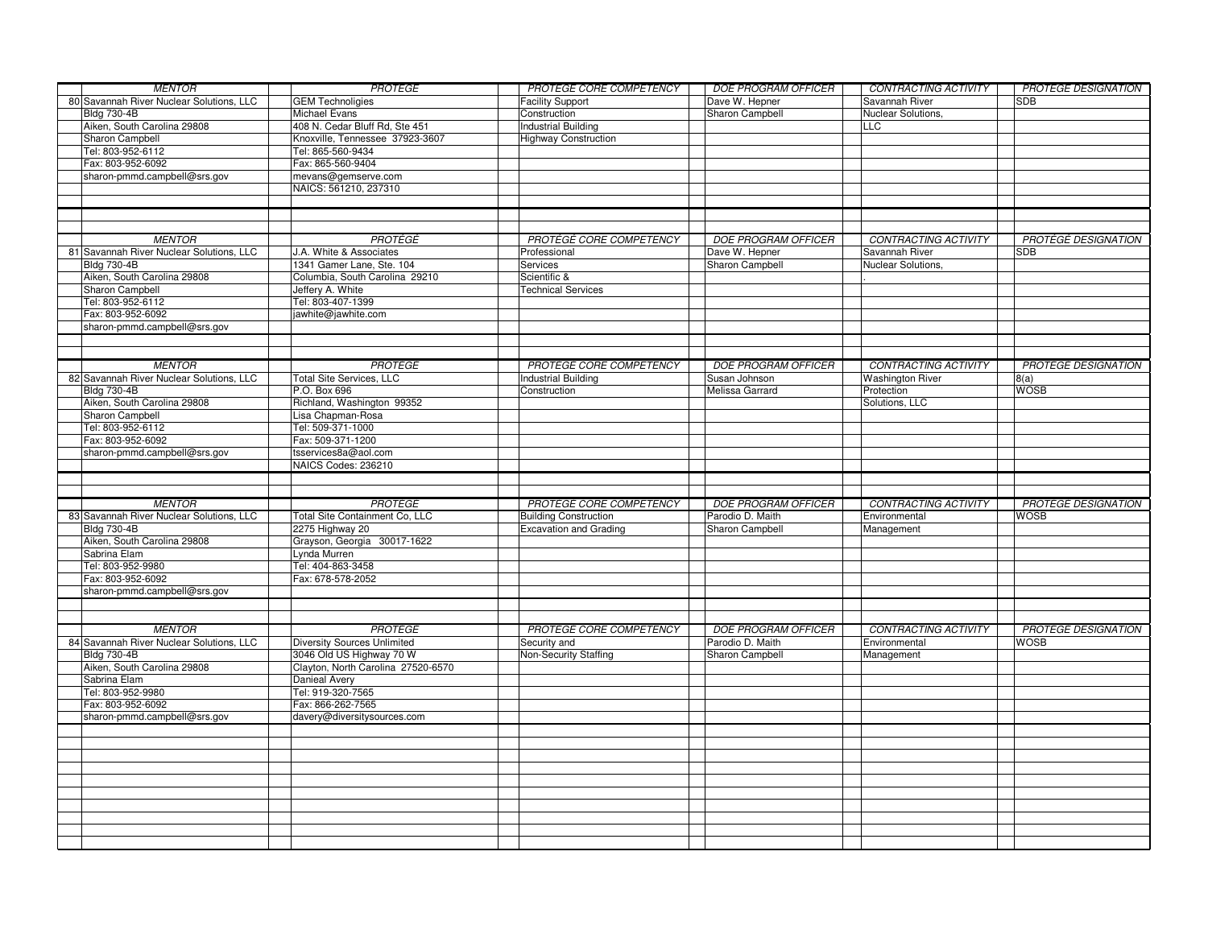| <b>MENTOR</b>                            | PROTÉGÉ                            | PROTÉGÉ CORE COMPETENCY                                 | <b>DOE PROGRAM OFFICER</b> | CONTRACTING ACTIVITY        | <b>PROTÉGÉ DESIGNATION</b> |
|------------------------------------------|------------------------------------|---------------------------------------------------------|----------------------------|-----------------------------|----------------------------|
| 80 Savannah River Nuclear Solutions, LLC | <b>GEM Technoligies</b>            | <b>Facility Support</b>                                 | Dave W. Hepner             | Savannah River              | <b>SDB</b>                 |
| <b>Bldg 730-4B</b>                       | <b>Michael Evans</b>               | Construction                                            | Sharon Campbell            | Nuclear Solutions,          |                            |
| Aiken, South Carolina 29808              | 408 N. Cedar Bluff Rd, Ste 451     | <b>Industrial Building</b>                              |                            | <b>LLC</b>                  |                            |
| Sharon Campbell                          | Knoxville, Tennessee 37923-3607    | <b>Highway Construction</b>                             |                            |                             |                            |
| Tel: 803-952-6112                        | Tel: 865-560-9434                  |                                                         |                            |                             |                            |
| Fax: 803-952-6092                        | Fax: 865-560-9404                  |                                                         |                            |                             |                            |
| sharon-pmmd.campbell@srs.gov             | mevans@gemserve.com                |                                                         |                            |                             |                            |
|                                          | NAICS: 561210, 237310              |                                                         |                            |                             |                            |
|                                          |                                    |                                                         |                            |                             |                            |
|                                          |                                    |                                                         |                            |                             |                            |
|                                          |                                    |                                                         |                            |                             |                            |
|                                          |                                    |                                                         |                            |                             |                            |
| <b>MENTOR</b>                            | PROTÉGÉ                            | PROTÉGÉ CORE COMPETENCY                                 | <b>DOE PROGRAM OFFICER</b> | <b>CONTRACTING ACTIVITY</b> | <b>PROTÉGÉ DESIGNATION</b> |
| 81 Savannah River Nuclear Solutions, LLC | J.A. White & Associates            | Professional                                            | Dave W. Hepner             | Savannah River              | <b>SDB</b>                 |
| <b>Bldg 730-4B</b>                       | 1341 Gamer Lane, Ste. 104          | Services                                                | Sharon Campbell            | Nuclear Solutions,          |                            |
| Aiken, South Carolina 29808              | Columbia, South Carolina 29210     | Scientific &                                            |                            |                             |                            |
| Sharon Campbell                          | Jeffery A. White                   | <b>Technical Services</b>                               |                            |                             |                            |
| Tel: 803-952-6112                        | Tel: 803-407-1399                  |                                                         |                            |                             |                            |
| Fax: 803-952-6092                        | jawhite@jawhite.com                |                                                         |                            |                             |                            |
| sharon-pmmd.campbell@srs.gov             |                                    |                                                         |                            |                             |                            |
|                                          |                                    |                                                         |                            |                             |                            |
|                                          |                                    |                                                         |                            |                             |                            |
| <b>MENTOR</b>                            | PROTÉGÉ                            | <b>PROTÉGÉ CORE COMPETENCY</b>                          | <b>DOE PROGRAM OFFICER</b> | <b>CONTRACTING ACTIVITY</b> | <b>PROTÉGÉ DESIGNATION</b> |
| 82 Savannah River Nuclear Solutions, LLC | <b>Total Site Services, LLC</b>    | <b>Industrial Building</b>                              | Susan Johnson              | <b>Washington River</b>     |                            |
| <b>Bldg 730-4B</b>                       | P.O. Box 696                       | Construction                                            | Melissa Garrard            | Protection                  | 8(a)<br><b>WOSB</b>        |
|                                          |                                    |                                                         |                            |                             |                            |
| Aiken, South Carolina 29808              | Richland, Washington 99352         |                                                         |                            | Solutions, LLC              |                            |
| Sharon Campbell                          | Lisa Chapman-Rosa                  |                                                         |                            |                             |                            |
| Tel: 803-952-6112                        | Tel: 509-371-1000                  |                                                         |                            |                             |                            |
| Fax: 803-952-6092                        | Fax: 509-371-1200                  |                                                         |                            |                             |                            |
| sharon-pmmd.campbell@srs.gov             | tsservices8a@aol.com               |                                                         |                            |                             |                            |
|                                          |                                    |                                                         |                            |                             |                            |
|                                          | NAICS Codes: 236210                |                                                         |                            |                             |                            |
|                                          |                                    |                                                         |                            |                             |                            |
|                                          |                                    |                                                         |                            |                             |                            |
| <b>MENTOR</b>                            | <b>PROTÉGÉ</b>                     |                                                         | <b>DOE PROGRAM OFFICER</b> | <b>CONTRACTING ACTIVITY</b> | <b>PROTÉGÉ DESIGNATION</b> |
| 83 Savannah River Nuclear Solutions, LLC | Total Site Containment Co, LLC     | PROTÉGÉ CORE COMPETENCY<br><b>Building Construction</b> | Parodio D. Maith           | Environmental               | <b>WOSB</b>                |
| <b>Bldg 730-4B</b>                       | 2275 Highway 20                    | <b>Excavation and Grading</b>                           | Sharon Campbell            |                             |                            |
|                                          |                                    |                                                         |                            | Management                  |                            |
| Aiken, South Carolina 29808              | Grayson, Georgia 30017-1622        |                                                         |                            |                             |                            |
| Sabrina Elam                             | Lynda Murren                       |                                                         |                            |                             |                            |
| Tel: 803-952-9980                        | Tel: 404-863-3458                  |                                                         |                            |                             |                            |
| Fax: 803-952-6092                        | Fax: 678-578-2052                  |                                                         |                            |                             |                            |
| sharon-pmmd.campbell@srs.gov             |                                    |                                                         |                            |                             |                            |
|                                          |                                    |                                                         |                            |                             |                            |
|                                          |                                    |                                                         |                            |                             |                            |
| <b>MENTOR</b>                            | PROTÉGÉ                            | PROTÉGÉ CORE COMPETENCY                                 | <b>DOE PROGRAM OFFICER</b> | <b>CONTRACTING ACTIVITY</b> | <b>PROTÉGÉ DESIGNATION</b> |
| 84 Savannah River Nuclear Solutions, LLC | <b>Diversity Sources Unlimited</b> | Security and                                            | Parodio D. Maith           | Environmental               | <b>WOSB</b>                |
| <b>Bldg 730-4B</b>                       | 3046 Old US Highway 70 W           | Non-Security Staffing                                   | Sharon Campbell            | Management                  |                            |
| Aiken, South Carolina 29808              | Clayton, North Carolina 27520-6570 |                                                         |                            |                             |                            |
| Sabrina Elam                             | <b>Danieal Avery</b>               |                                                         |                            |                             |                            |
| Tel: 803-952-9980                        | Tel: 919-320-7565                  |                                                         |                            |                             |                            |
| Fax: 803-952-6092                        | Fax: 866-262-7565                  |                                                         |                            |                             |                            |
| sharon-pmmd.campbell@srs.gov             | davery@diversitysources.com        |                                                         |                            |                             |                            |
|                                          |                                    |                                                         |                            |                             |                            |
|                                          |                                    |                                                         |                            |                             |                            |
|                                          |                                    |                                                         |                            |                             |                            |
|                                          |                                    |                                                         |                            |                             |                            |
|                                          |                                    |                                                         |                            |                             |                            |
|                                          |                                    |                                                         |                            |                             |                            |
|                                          |                                    |                                                         |                            |                             |                            |
|                                          |                                    |                                                         |                            |                             |                            |
|                                          |                                    |                                                         |                            |                             |                            |
|                                          |                                    |                                                         |                            |                             |                            |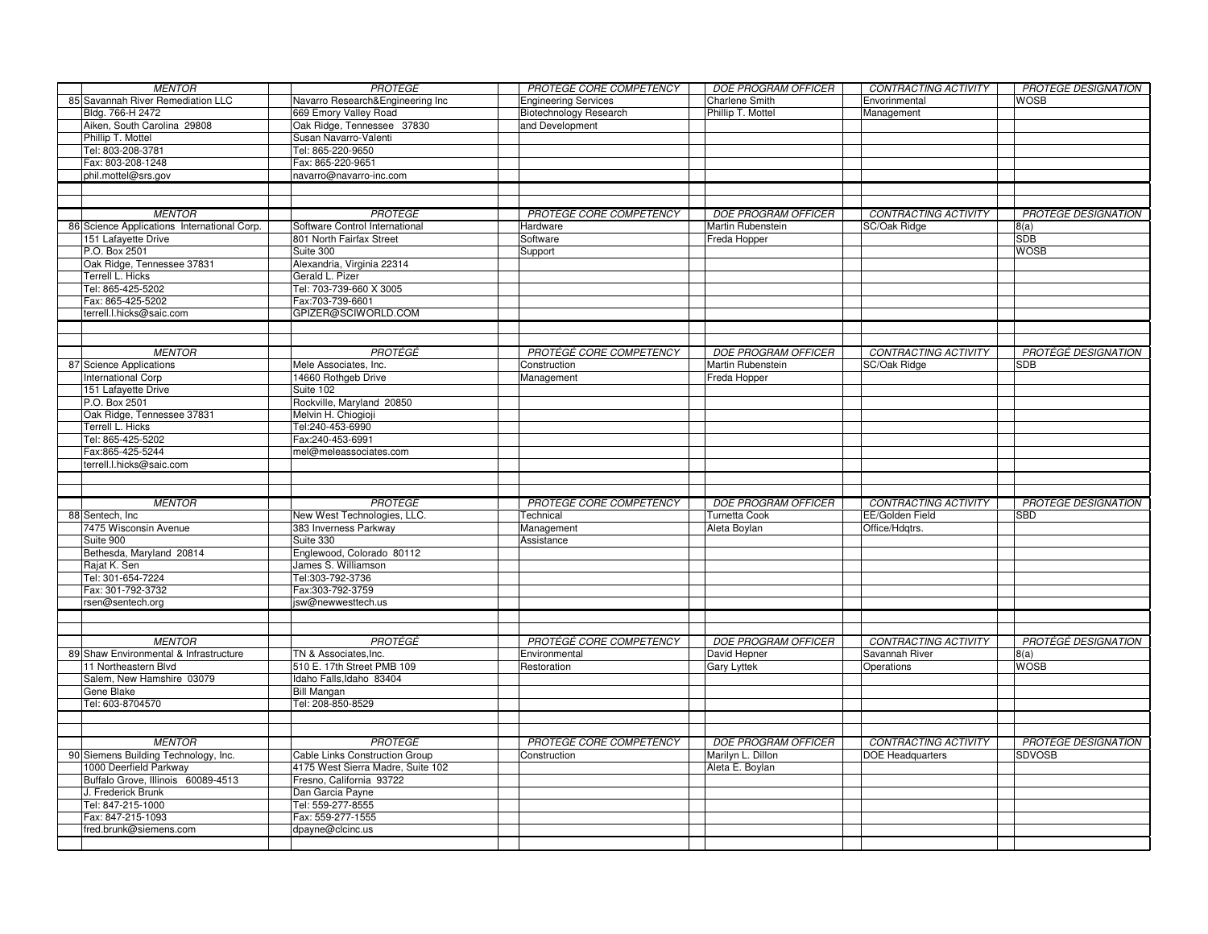| <b>MENTOR</b>                               | <b>PROTÉGÉ</b>                             | PROTÉGÉ CORE COMPETENCY       | DOE PROGRAM OFFICER        | CONTRACTING ACTIVITY        | PROTÉGÉ DESIGNATION                      |
|---------------------------------------------|--------------------------------------------|-------------------------------|----------------------------|-----------------------------|------------------------------------------|
| 85 Savannah River Remediation LLC           | Navarro Research&Engineering Inc           | <b>Engineering Services</b>   | <b>Charlene Smith</b>      | Envorinmental               | <b>WOSB</b>                              |
| Bldg. 766-H 2472                            | 669 Emory Valley Road                      | <b>Biotechnology Research</b> | Phillip T. Mottel          | Management                  |                                          |
| Aiken, South Carolina 29808                 | Oak Ridge, Tennessee 37830                 | and Development               |                            |                             |                                          |
| Phillip T. Mottel                           | Susan Navarro-Valenti                      |                               |                            |                             |                                          |
| Tel: 803-208-3781                           | Tel: 865-220-9650                          |                               |                            |                             |                                          |
| Fax: 803-208-1248                           | Fax: 865-220-9651                          |                               |                            |                             |                                          |
| phil.mottel@srs.gov                         | navarro@navarro-inc.com                    |                               |                            |                             |                                          |
|                                             |                                            |                               |                            |                             |                                          |
|                                             |                                            |                               |                            |                             |                                          |
| <b>MENTOR</b>                               | PROTÉGÉ                                    | PROTÉGÉ CORE COMPETENCY       | <b>DOE PROGRAM OFFICER</b> | <b>CONTRACTING ACTIVITY</b> | PROTÉGÉ DESIGNATION                      |
| 86 Science Applications International Corp. | Software Control International             | Hardware                      | Martin Rubenstein          | SC/Oak Ridge                | 8(a)                                     |
| 151 Lafayette Drive                         | 801 North Fairfax Street                   | Software                      | Freda Hopper               |                             | <b>SDB</b>                               |
| P.O. Box 2501                               | Suite 300                                  |                               |                            |                             | <b>WOSB</b>                              |
|                                             |                                            | Support                       |                            |                             |                                          |
| Oak Ridge, Tennessee 37831                  | Alexandria, Virginia 22314                 |                               |                            |                             |                                          |
| Terrell L. Hicks<br>Tel: 865-425-5202       | Gerald L. Pizer<br>Tel: 703-739-660 X 3005 |                               |                            |                             |                                          |
|                                             |                                            |                               |                            |                             |                                          |
| Fax: 865-425-5202                           | Fax:703-739-6601                           |                               |                            |                             |                                          |
| terrell.l.hicks@saic.com                    | GPIZER@SCIWORLD.COM                        |                               |                            |                             |                                          |
|                                             |                                            |                               |                            |                             |                                          |
|                                             |                                            |                               |                            |                             |                                          |
| <b>MENTOR</b>                               | PROTÉGÉ                                    | PROTÉGÉ CORE COMPETENCY       | <b>DOE PROGRAM OFFICER</b> | <b>CONTRACTING ACTIVITY</b> | <b>PROTÉGÉ DESIGNATION</b>               |
| 87 Science Applications                     | Mele Associates, Inc.                      | Construction                  | Martin Rubenstein          | SC/Oak Ridge                | <b>SDB</b>                               |
| <b>International Corp</b>                   | 14660 Rothgeb Drive                        | Management                    | Freda Hopper               |                             |                                          |
| 151 Lafayette Drive                         | Suite 102                                  |                               |                            |                             |                                          |
| P.O. Box 2501                               | Rockville, Maryland 20850                  |                               |                            |                             |                                          |
| Oak Ridge, Tennessee 37831                  | Melvin H. Chiogioji                        |                               |                            |                             |                                          |
| Terrell L. Hicks                            | Tel:240-453-6990                           |                               |                            |                             |                                          |
| Tel: 865-425-5202                           | Fax:240-453-6991                           |                               |                            |                             |                                          |
| Fax:865-425-5244                            | mel@meleassociates.com                     |                               |                            |                             |                                          |
| terrell.l.hicks@saic.com                    |                                            |                               |                            |                             |                                          |
|                                             |                                            |                               |                            |                             |                                          |
|                                             |                                            |                               |                            |                             |                                          |
|                                             |                                            |                               |                            |                             |                                          |
|                                             |                                            |                               |                            |                             |                                          |
| <b>MENTOR</b>                               | PROTÉGÉ                                    | PROTÉGÉ CORE COMPETENCY       | <b>DOE PROGRAM OFFICER</b> | <b>CONTRACTING ACTIVITY</b> | <b>PROTÉGÉ DESIGNATION</b><br><b>SBD</b> |
| 88 Sentech, Inc.                            | New West Technologies, LLC.                | Technical                     | <b>Turnetta Cook</b>       | EE/Golden Field             |                                          |
| 7475 Wisconsin Avenue                       | 383 Inverness Parkway                      | Management                    | Aleta Boylan               | Office/Hdqtrs.              |                                          |
| Suite 900                                   | Suite 330                                  | Assistance                    |                            |                             |                                          |
| Bethesda, Maryland 20814                    | Englewood, Colorado 80112                  |                               |                            |                             |                                          |
| Rajat K. Sen                                | James S. Williamson                        |                               |                            |                             |                                          |
| Tel: 301-654-7224                           | Tel:303-792-3736                           |                               |                            |                             |                                          |
| Fax: 301-792-3732                           | Fax:303-792-3759                           |                               |                            |                             |                                          |
| rsen@sentech.org                            | jsw@newwesttech.us                         |                               |                            |                             |                                          |
|                                             |                                            |                               |                            |                             |                                          |
|                                             |                                            |                               |                            |                             |                                          |
| <b>MENTOR</b>                               | <b>PROTÉGÉ</b>                             | PROTÉGÉ CORE COMPETENCY       | <b>DOE PROGRAM OFFICER</b> | <b>CONTRACTING ACTIVITY</b> | <b>PROTÉGÉ DESIGNATION</b>               |
| 89 Shaw Environmental & Infrastructure      | TN & Associates, Inc.                      | Environmental                 | David Hepner               | Savannah River              | 8(a)                                     |
| 11 Northeastern Blvd                        | 510 E. 17th Street PMB 109                 | Restoration                   | <b>Gary Lyttek</b>         | Operations                  | <b>WOSB</b>                              |
| Salem, New Hamshire 03079                   | Idaho Falls, Idaho 83404                   |                               |                            |                             |                                          |
| Gene Blake                                  | <b>Bill Mangan</b>                         |                               |                            |                             |                                          |
| Tel: 603-8704570                            | Tel: 208-850-8529                          |                               |                            |                             |                                          |
|                                             |                                            |                               |                            |                             |                                          |
|                                             |                                            |                               |                            |                             |                                          |
| <b>MENTOR</b>                               | <b>PROTÉGÉ</b>                             | PROTÉGÉ CORE COMPETENCY       | <b>DOE PROGRAM OFFICER</b> | <b>CONTRACTING ACTIVITY</b> | <b>PROTÉGÉ DESIGNATION</b>               |
| 90 Siemens Building Technology, Inc.        | Cable Links Construction Group             | Construction                  | Marilyn L. Dillon          | <b>DOE Headquarters</b>     | <b>SDVOSB</b>                            |
| 1000 Deerfield Parkway                      | 4175 West Sierra Madre, Suite 102          |                               | Aleta E. Boylan            |                             |                                          |
| Buffalo Grove, Illinois 60089-4513          | Fresno, California 93722                   |                               |                            |                             |                                          |
| J. Frederick Brunk                          | Dan Garcia Payne                           |                               |                            |                             |                                          |
| Tel: 847-215-1000                           | Tel: 559-277-8555                          |                               |                            |                             |                                          |
| Fax: 847-215-1093                           | Fax: 559-277-1555                          |                               |                            |                             |                                          |
| fred.brunk@siemens.com                      | dpayne@clcinc.us                           |                               |                            |                             |                                          |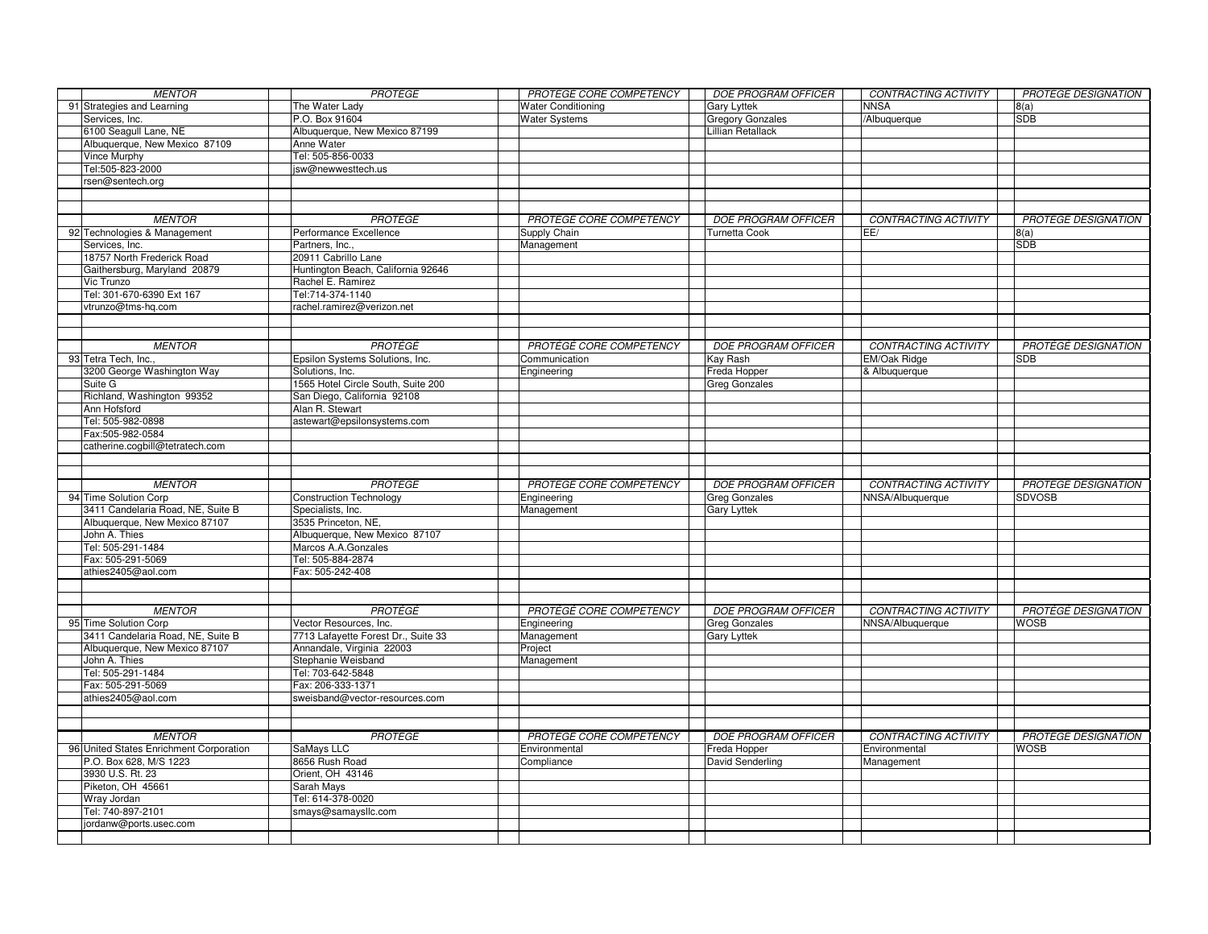| <b>MENTOR</b>                           | <b>PROTÉGÉ</b>                           | PROTÉGÉ CORE COMPETENCY   | <b>DOE PROGRAM OFFICER</b> | <b>CONTRACTING ACTIVITY</b> | <b>PROTÉGÉ DESIGNATION</b> |
|-----------------------------------------|------------------------------------------|---------------------------|----------------------------|-----------------------------|----------------------------|
| 91 Strategies and Learning              | The Water Lady                           | <b>Water Conditioning</b> | <b>Gary Lyttek</b>         | <b>NNSA</b>                 | 8(a)                       |
| Services, Inc.                          | P.O. Box 91604                           | <b>Water Systems</b>      | <b>Gregory Gonzales</b>    | /Albuquerque                | <b>SDB</b>                 |
| 6100 Seagull Lane, NE                   | Albuquerque, New Mexico 87199            |                           | Lillian Retallack          |                             |                            |
| Albuquerque, New Mexico 87109           | Anne Water                               |                           |                            |                             |                            |
| Vince Murphy                            | Tel: 505-856-0033                        |                           |                            |                             |                            |
| Tel:505-823-2000                        | jsw@newwesttech.us                       |                           |                            |                             |                            |
| rsen@sentech.org                        |                                          |                           |                            |                             |                            |
|                                         |                                          |                           |                            |                             |                            |
|                                         |                                          |                           |                            |                             |                            |
|                                         |                                          |                           |                            |                             |                            |
| <b>MENTOR</b>                           | <b>PROTÉGÉ</b>                           | PROTÉGÉ CORE COMPETENCY   | <b>DOE PROGRAM OFFICER</b> | CONTRACTING ACTIVITY        | <b>PROTÉGÉ DESIGNATION</b> |
| 92 Technologies & Management            | Performance Excellence                   | Supply Chain              | <b>Turnetta Cook</b>       | EE/                         | 8(a)                       |
| Services, Inc.                          | Partners, Inc.,                          | Management                |                            |                             | <b>SDB</b>                 |
| 18757 North Frederick Road              | 20911 Cabrillo Lane                      |                           |                            |                             |                            |
| Gaithersburg, Maryland 20879            | Huntington Beach, California 92646       |                           |                            |                             |                            |
| Vic Trunzo                              | Rachel E. Ramirez                        |                           |                            |                             |                            |
| Tel: 301-670-6390 Ext 167               | Tel:714-374-1140                         |                           |                            |                             |                            |
| vtrunzo@tms-hq.com                      | rachel.ramirez@verizon.net               |                           |                            |                             |                            |
|                                         |                                          |                           |                            |                             |                            |
|                                         |                                          |                           |                            |                             |                            |
| <b>MENTOR</b>                           | PROTÉGÉ                                  | PROTÉGÉ CORE COMPETENCY   | DOE PROGRAM OFFICER        | CONTRACTING ACTIVITY        | <b>PROTÉGÉ DESIGNATION</b> |
| 93 Tetra Tech, Inc.,                    | Epsilon Systems Solutions, Inc.          | Communication             | Kay Rash                   | EM/Oak Ridge                | <b>SDB</b>                 |
| 3200 George Washington Way              | Solutions, Inc.                          | Engineering               | Freda Hopper               | & Albuquerque               |                            |
| Suite G                                 | 1565 Hotel Circle South, Suite 200       |                           | <b>Greg Gonzales</b>       |                             |                            |
| Richland, Washington 99352              | San Diego, California 92108              |                           |                            |                             |                            |
| Ann Hofsford                            | Alan R. Stewart                          |                           |                            |                             |                            |
| Tel: 505-982-0898                       | astewart@epsilonsystems.com              |                           |                            |                             |                            |
| Fax:505-982-0584                        |                                          |                           |                            |                             |                            |
| catherine.cogbill@tetratech.com         |                                          |                           |                            |                             |                            |
|                                         |                                          |                           |                            |                             |                            |
|                                         |                                          |                           |                            |                             |                            |
| <b>MENTOR</b>                           | PROTÉGÉ                                  | PROTÉGÉ CORE COMPETENCY   | <b>DOE PROGRAM OFFICER</b> | <b>CONTRACTING ACTIVITY</b> | <b>PROTÉGÉ DESIGNATION</b> |
| 94 Time Solution Corp                   | <b>Construction Technology</b>           | Engineering               |                            | NNSA/Albuquerque            | <b>SDVOSB</b>              |
|                                         |                                          |                           | <b>Greg Gonzales</b>       |                             |                            |
| 3411 Candelaria Road, NE, Suite B       | Specialists, Inc.<br>3535 Princeton, NE, | Management                | <b>Gary Lyttek</b>         |                             |                            |
| Albuquerque, New Mexico 87107           |                                          |                           |                            |                             |                            |
| John A. Thies                           | Albuquerque, New Mexico 87107            |                           |                            |                             |                            |
| Tel: 505-291-1484                       | Marcos A.A.Gonzales                      |                           |                            |                             |                            |
| Fax: 505-291-5069                       | Tel: 505-884-2874                        |                           |                            |                             |                            |
| athies2405@aol.com                      | Fax: 505-242-408                         |                           |                            |                             |                            |
|                                         |                                          |                           |                            |                             |                            |
|                                         |                                          |                           |                            |                             |                            |
| <b>MENTOR</b>                           | PROTÉGÉ                                  | PROTÉGÉ CORE COMPETENCY   | <b>DOE PROGRAM OFFICER</b> | <b>CONTRACTING ACTIVITY</b> | <b>PROTÉGÉ DESIGNATION</b> |
| 95 Time Solution Corp                   | Vector Resources, Inc.                   | Engineering               | <b>Greg Gonzales</b>       | NNSA/Albuquerque            | WOSB                       |
| 3411 Candelaria Road, NE, Suite B       | 7713 Lafayette Forest Dr., Suite 33      | Management                | Gary Lyttek                |                             |                            |
| Albuquerque, New Mexico 87107           | Annandale, Virginia 22003                | Project                   |                            |                             |                            |
| John A. Thies                           | Stephanie Weisband                       | Management                |                            |                             |                            |
| Tel: 505-291-1484                       | Tel: 703-642-5848                        |                           |                            |                             |                            |
| Fax: 505-291-5069                       | Fax: 206-333-1371                        |                           |                            |                             |                            |
| athies2405@aol.com                      | sweisband@vector-resources.com           |                           |                            |                             |                            |
|                                         |                                          |                           |                            |                             |                            |
|                                         |                                          |                           |                            |                             |                            |
| <b>MENTOR</b>                           | <b>PROTÉGÉ</b>                           | PROTÉGÉ CORE COMPETENCY   | <b>DOE PROGRAM OFFICER</b> | <b>CONTRACTING ACTIVITY</b> | <b>PROTÉGÉ DESIGNATION</b> |
| 96 United States Enrichment Corporation | SaMays LLC                               | Environmental             | Freda Hopper               | Environmental               | <b>WOSB</b>                |
| P.O. Box 628, M/S 1223                  | 8656 Rush Road                           | Compliance                | David Senderling           | Management                  |                            |
| 3930 U.S. Rt. 23                        | Orient, OH 43146                         |                           |                            |                             |                            |
| Piketon, OH 45661                       | Sarah Mays                               |                           |                            |                             |                            |
| Wray Jordan                             | Tel: 614-378-0020                        |                           |                            |                             |                            |
| Tel: 740-897-2101                       | smays@samaysllc.com                      |                           |                            |                             |                            |
| jordanw@ports.usec.com                  |                                          |                           |                            |                             |                            |
|                                         |                                          |                           |                            |                             |                            |
|                                         |                                          |                           |                            |                             |                            |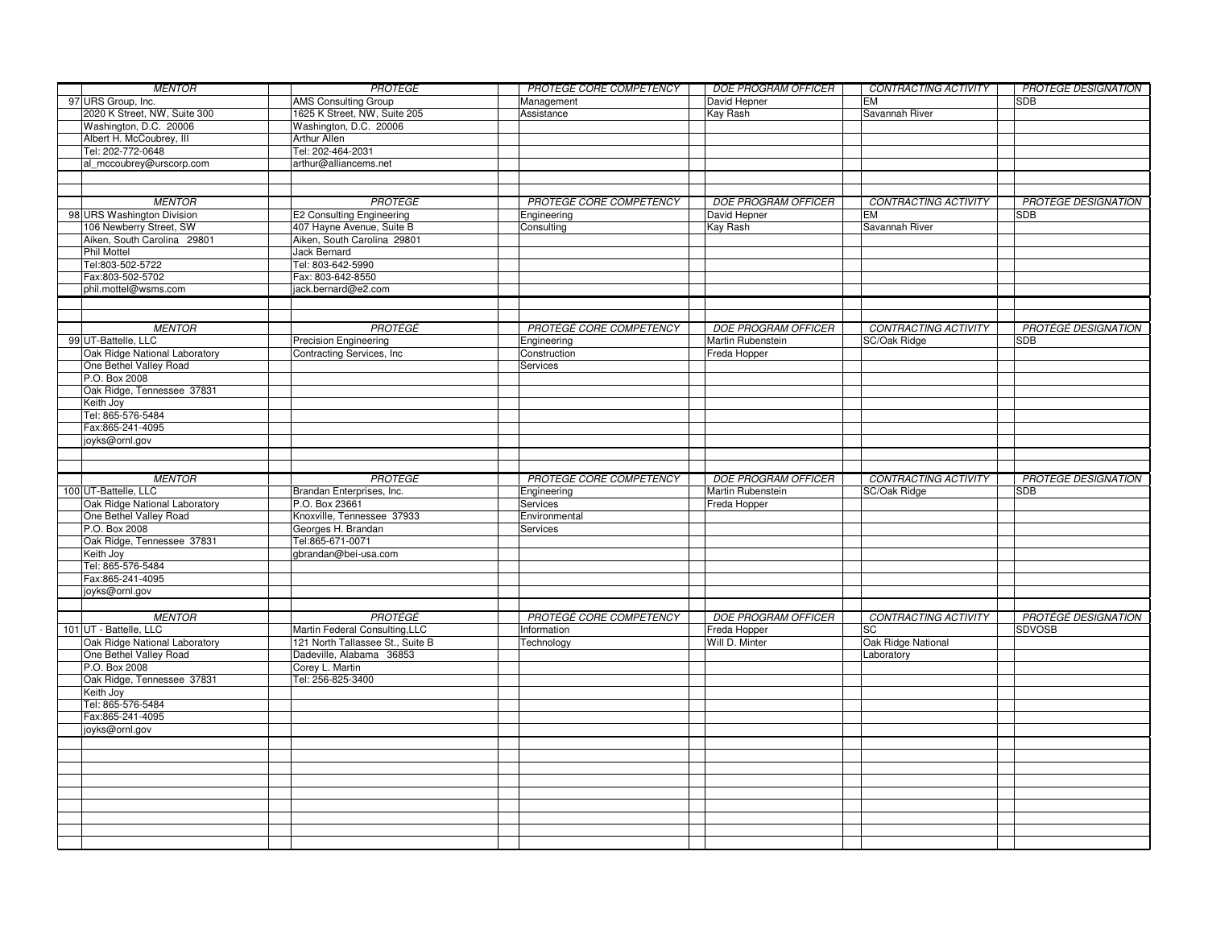| <b>MENTOR</b>                 | <b>PROTÉGÉ</b>                   | PROTÉGÉ CORE COMPETENCY | <b>DOE PROGRAM OFFICER</b> | CONTRACTING ACTIVITY        | <b>PROTÉGÉ DESIGNATION</b> |
|-------------------------------|----------------------------------|-------------------------|----------------------------|-----------------------------|----------------------------|
| 97 URS Group, Inc.            | <b>AMS</b> Consulting Group      | Management              | David Hepner               | <b>EM</b>                   | <b>SDB</b>                 |
| 2020 K Street, NW, Suite 300  | 1625 K Street, NW, Suite 205     | Assistance              | Kay Rash                   | Savannah River              |                            |
| Washington, D.C. 20006        | Washington, D.C. 20006           |                         |                            |                             |                            |
| Albert H. McCoubrey, III      | Arthur Allen                     |                         |                            |                             |                            |
| Tel: 202-772-0648             | Tel: 202-464-2031                |                         |                            |                             |                            |
| al mccoubrey@urscorp.com      | arthur@alliancems.net            |                         |                            |                             |                            |
|                               |                                  |                         |                            |                             |                            |
|                               |                                  |                         |                            |                             |                            |
| <b>MENTOR</b>                 | PROTÉGÉ                          | PROTÉGÉ CORE COMPETENCY | <b>DOE PROGRAM OFFICER</b> | <b>CONTRACTING ACTIVITY</b> | <b>PROTÉGÉ DESIGNATION</b> |
| 98 URS Washington Division    | <b>E2 Consulting Engineering</b> |                         | David Hepner               | EM                          | <b>SDB</b>                 |
|                               |                                  | Engineering             |                            |                             |                            |
| 106 Newberry Street, SW       | 407 Hayne Avenue, Suite B        | Consulting              | Kay Rash                   | Savannah River              |                            |
| Aiken, South Carolina 29801   | Aiken, South Carolina 29801      |                         |                            |                             |                            |
| Phil Mottel                   | Jack Bernard                     |                         |                            |                             |                            |
| Tel:803-502-5722              | Tel: 803-642-5990                |                         |                            |                             |                            |
| Fax:803-502-5702              | Fax: 803-642-8550                |                         |                            |                             |                            |
| phil.mottel@wsms.com          | jack.bernard@e2.com              |                         |                            |                             |                            |
|                               |                                  |                         |                            |                             |                            |
|                               |                                  |                         |                            |                             |                            |
| <b>MENTOR</b>                 | <b>PROTEGE</b>                   | PROTEGE CORE COMPETENCY | <b>DOE PROGRAM OFFICER</b> | <b>CONTRACTING ACTIVITY</b> | <b>PROTEGE DESIGNATION</b> |
| 99 UT-Battelle, LLC           | <b>Precision Engineering</b>     | Engineering             | Martin Rubenstein          | SC/Oak Ridge                | <b>SDB</b>                 |
| Oak Ridge National Laboratory | Contracting Services, Inc.       | Construction            | Freda Hopper               |                             |                            |
| One Bethel Valley Road        |                                  | Services                |                            |                             |                            |
| P.O. Box 2008                 |                                  |                         |                            |                             |                            |
| Oak Ridge, Tennessee 37831    |                                  |                         |                            |                             |                            |
| Keith Joy                     |                                  |                         |                            |                             |                            |
| Tel: 865-576-5484             |                                  |                         |                            |                             |                            |
| Fax:865-241-4095              |                                  |                         |                            |                             |                            |
| joyks@ornl.gov                |                                  |                         |                            |                             |                            |
|                               |                                  |                         |                            |                             |                            |
|                               |                                  |                         |                            |                             |                            |
| <b>MENTOR</b>                 | PROTÉGÉ                          | PROTÉGÉ CORE COMPETENCY | <b>DOE PROGRAM OFFICER</b> | CONTRACTING ACTIVITY        | <b>PROTÉGÉ DESIGNATION</b> |
| 100 UT-Battelle, LLC          | Brandan Enterprises, Inc.        | Engineering             | Martin Rubenstein          | SC/Oak Ridge                | <b>SDB</b>                 |
| Oak Ridge National Laboratory | P.O. Box 23661                   | Services                | Freda Hopper               |                             |                            |
|                               | Knoxville, Tennessee 37933       | Environmental           |                            |                             |                            |
|                               |                                  |                         |                            |                             |                            |
| One Bethel Valley Road        |                                  |                         |                            |                             |                            |
| P.O. Box 2008                 | Georges H. Brandan               | Services                |                            |                             |                            |
| Oak Ridge, Tennessee 37831    | Tel:865-671-0071                 |                         |                            |                             |                            |
| Keith Joy                     | gbrandan@bei-usa.com             |                         |                            |                             |                            |
| Tel: 865-576-5484             |                                  |                         |                            |                             |                            |
| Fax:865-241-4095              |                                  |                         |                            |                             |                            |
| joyks@ornl.gov                |                                  |                         |                            |                             |                            |
|                               |                                  |                         |                            |                             |                            |
| <b>MENTOR</b>                 | PROTÉGÉ                          | PROTÉGÉ CORE COMPETENCY | <b>DOE PROGRAM OFFICER</b> | CONTRACTING ACTIVITY        | <b>PROTÉGÉ DESIGNATION</b> |
| 101 UT - Battelle, LLC        | Martin Federal Consulting, LLC   | Information             | Freda Hopper               | SC                          | <b>SDVOSB</b>              |
| Oak Ridge National Laboratory | 121 North Tallassee St., Suite B | Technology              | Will D. Minter             | Oak Ridge National          |                            |
| One Bethel Valley Road        | Dadeville, Alabama 36853         |                         |                            | Laboratory                  |                            |
| P.O. Box 2008                 | Corey L. Martin                  |                         |                            |                             |                            |
| Oak Ridge, Tennessee 37831    | Tel: 256-825-3400                |                         |                            |                             |                            |
| Keith Joy                     |                                  |                         |                            |                             |                            |
| Tel: 865-576-5484             |                                  |                         |                            |                             |                            |
| Fax:865-241-4095              |                                  |                         |                            |                             |                            |
| joyks@ornl.gov                |                                  |                         |                            |                             |                            |
|                               |                                  |                         |                            |                             |                            |
|                               |                                  |                         |                            |                             |                            |
|                               |                                  |                         |                            |                             |                            |
|                               |                                  |                         |                            |                             |                            |
|                               |                                  |                         |                            |                             |                            |
|                               |                                  |                         |                            |                             |                            |
|                               |                                  |                         |                            |                             |                            |
|                               |                                  |                         |                            |                             |                            |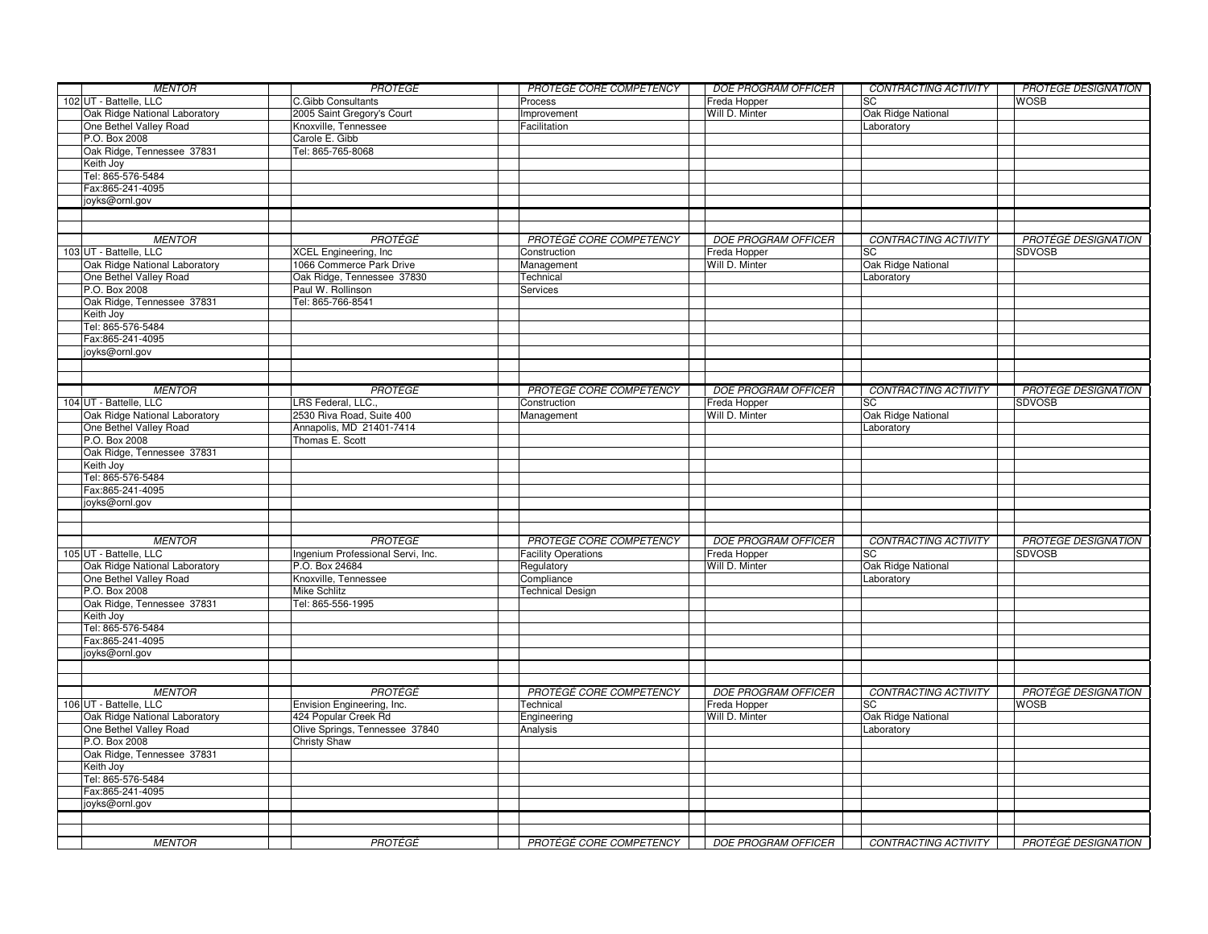| <b>MENTOR</b>                 | <b>PROTÉGÉ</b>                    | PROTÉGÉ CORE COMPETENCY        | <b>DOE PROGRAM OFFICER</b> | <b>CONTRACTING ACTIVITY</b> | <b>PROTÉGÉ DESIGNATION</b> |
|-------------------------------|-----------------------------------|--------------------------------|----------------------------|-----------------------------|----------------------------|
| 102 UT - Battelle, LLC        | C.Gibb Consultants                | Process                        | Freda Hopper               | SC                          | <b>WOSB</b>                |
| Oak Ridge National Laboratory | 2005 Saint Gregory's Court        | Improvement                    | Will D. Minter             | Oak Ridge National          |                            |
| One Bethel Valley Road        | Knoxville, Tennessee              | Facilitation                   |                            | Laboratory                  |                            |
| P.O. Box 2008                 | Carole E. Gibb                    |                                |                            |                             |                            |
| Oak Ridge, Tennessee 37831    | Tel: 865-765-8068                 |                                |                            |                             |                            |
| Keith Joy                     |                                   |                                |                            |                             |                            |
|                               |                                   |                                |                            |                             |                            |
| Tel: 865-576-5484             |                                   |                                |                            |                             |                            |
| Fax:865-241-4095              |                                   |                                |                            |                             |                            |
| joyks@ornl.gov                |                                   |                                |                            |                             |                            |
|                               |                                   |                                |                            |                             |                            |
|                               |                                   |                                |                            |                             |                            |
| <b>MENTOR</b>                 | <b>PROTÉGÉ</b>                    | PROTÉGÉ CORE COMPETENCY        | <b>DOE PROGRAM OFFICER</b> | CONTRACTING ACTIVITY        | <b>PROTÉGÉ DESIGNATION</b> |
| 103 UT - Battelle, LLC        | <b>XCEL Engineering, Inc.</b>     | Construction                   | Freda Hopper               | SC                          | <b>SDVOSB</b>              |
| Oak Ridge National Laboratory | 1066 Commerce Park Drive          | Management                     | Will D. Minter             | Oak Ridge National          |                            |
| One Bethel Valley Road        | Oak Ridge, Tennessee 37830        | Technical                      |                            | Laboratory                  |                            |
| P.O. Box 2008                 | Paul W. Rollinson                 |                                |                            |                             |                            |
|                               |                                   | Services                       |                            |                             |                            |
| Oak Ridge, Tennessee 37831    | Tel: 865-766-8541                 |                                |                            |                             |                            |
| Keith Joy                     |                                   |                                |                            |                             |                            |
| Tel: 865-576-5484             |                                   |                                |                            |                             |                            |
| Fax:865-241-4095              |                                   |                                |                            |                             |                            |
| joyks@ornl.gov                |                                   |                                |                            |                             |                            |
|                               |                                   |                                |                            |                             |                            |
|                               |                                   |                                |                            |                             |                            |
| <b>MENTOR</b>                 | PROTÉGÉ                           | PROTÉGÉ CORE COMPETENCY        | <b>DOE PROGRAM OFFICER</b> | <b>CONTRACTING ACTIVITY</b> | <b>PROTÉGÉ DESIGNATION</b> |
| 104 UT - Battelle, LLC        | LRS Federal, LLC.,                | Construction                   | Freda Hopper               | SC                          | <b>SDVOSB</b>              |
|                               |                                   |                                |                            |                             |                            |
| Oak Ridge National Laboratory | 2530 Riva Road, Suite 400         | Management                     | Will D. Minter             | Oak Ridge National          |                            |
| One Bethel Valley Road        | Annapolis, MD 21401-7414          |                                |                            | Laboratory                  |                            |
| P.O. Box 2008                 | Thomas E. Scott                   |                                |                            |                             |                            |
| Oak Ridge, Tennessee 37831    |                                   |                                |                            |                             |                            |
| Keith Joy                     |                                   |                                |                            |                             |                            |
| Tel: 865-576-5484             |                                   |                                |                            |                             |                            |
| Fax:865-241-4095              |                                   |                                |                            |                             |                            |
| joyks@ornl.gov                |                                   |                                |                            |                             |                            |
|                               |                                   |                                |                            |                             |                            |
|                               |                                   |                                |                            |                             |                            |
|                               |                                   |                                |                            |                             |                            |
| <b>MENTOR</b>                 | <b>PROTÉGÉ</b>                    | <b>PROTÉGÉ CORE COMPETENCY</b> | <b>DOE PROGRAM OFFICER</b> | <b>CONTRACTING ACTIVITY</b> | <b>PROTÉGÉ DESIGNATION</b> |
| 105 UT - Battelle, LLC        | Ingenium Professional Servi, Inc. | <b>Facility Operations</b>     | Freda Hopper               | SC                          | <b>SDVOSB</b>              |
| Oak Ridge National Laboratory | P.O. Box 24684                    | Regulatory                     | Will D. Minter             | Oak Ridge National          |                            |
| One Bethel Valley Road        | Knoxville, Tennessee              | Compliance                     |                            | Laboratory                  |                            |
| P.O. Box 2008                 | <b>Mike Schlitz</b>               | <b>Technical Design</b>        |                            |                             |                            |
| Oak Ridge, Tennessee 37831    | Tel: 865-556-1995                 |                                |                            |                             |                            |
| Keith Joy                     |                                   |                                |                            |                             |                            |
| Tel: 865-576-5484             |                                   |                                |                            |                             |                            |
| Fax:865-241-4095              |                                   |                                |                            |                             |                            |
|                               |                                   |                                |                            |                             |                            |
| joyks@ornl.gov                |                                   |                                |                            |                             |                            |
|                               |                                   |                                |                            |                             |                            |
|                               |                                   |                                |                            |                             |                            |
| <b>MENTOR</b>                 | PROTÉGÉ                           | PROTÉGÉ CORE COMPETENCY        | <b>DOE PROGRAM OFFICER</b> | <b>CONTRACTING ACTIVITY</b> | <b>PROTÉGÉ DESIGNATION</b> |
| 106 UT - Battelle, LLC        | Envision Engineering, Inc.        | Technical                      | Freda Hopper               | SC                          | <b>WOSB</b>                |
| Oak Ridge National Laboratory | 424 Popular Creek Rd              | Engineering                    | Will D. Minter             | Oak Ridge National          |                            |
| One Bethel Valley Road        | Olive Springs, Tennessee 37840    | Analysis                       |                            | Laboratory                  |                            |
| P.O. Box 2008                 | Christy Shaw                      |                                |                            |                             |                            |
| Oak Ridge, Tennessee 37831    |                                   |                                |                            |                             |                            |
| Keith Joy                     |                                   |                                |                            |                             |                            |
| Tel: 865-576-5484             |                                   |                                |                            |                             |                            |
|                               |                                   |                                |                            |                             |                            |
| Fax:865-241-4095              |                                   |                                |                            |                             |                            |
| joyks@ornl.gov                |                                   |                                |                            |                             |                            |
|                               |                                   |                                |                            |                             |                            |
|                               |                                   |                                |                            |                             |                            |
| <b>MENTOR</b>                 | <b>PROTÉGÉ</b>                    | PROTÉGÉ CORE COMPETENCY        | <b>DOE PROGRAM OFFICER</b> | <b>CONTRACTING ACTIVITY</b> | PROTÉGÉ DESIGNATION        |
|                               |                                   |                                |                            |                             |                            |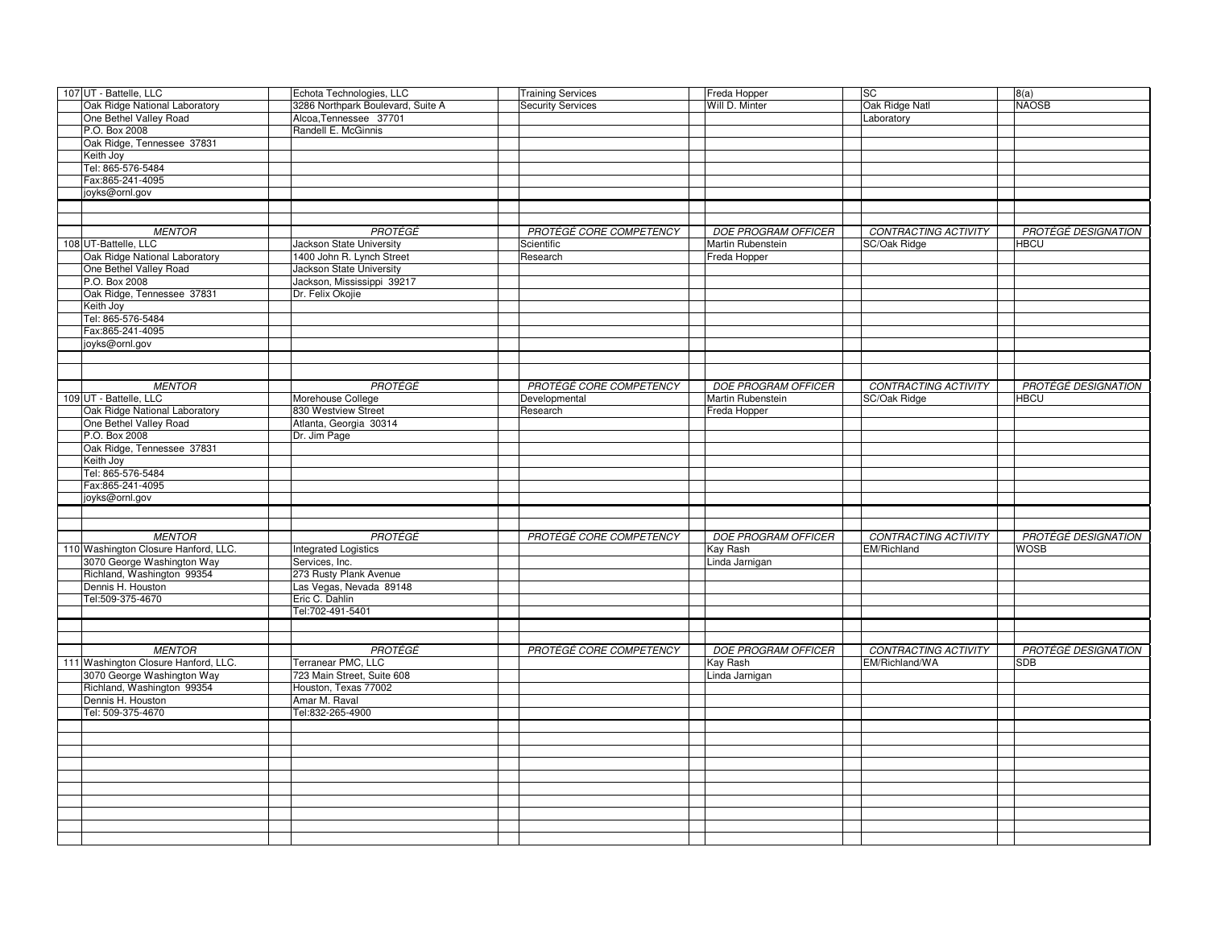| 107 UT - Battelle, LLC               | Echota Technologies, LLC          | <b>Training Services</b> | Freda Hopper               | <b>SC</b>                   | 8(a)                       |
|--------------------------------------|-----------------------------------|--------------------------|----------------------------|-----------------------------|----------------------------|
| Oak Ridge National Laboratory        | 3286 Northpark Boulevard, Suite A | <b>Security Services</b> | Will D. Minter             | Oak Ridge Natl              | <b>NAOSB</b>               |
| One Bethel Valley Road               | Alcoa, Tennessee 37701            |                          |                            | Laboratory                  |                            |
| P.O. Box 2008                        | Randell E. McGinnis               |                          |                            |                             |                            |
| Oak Ridge, Tennessee 37831           |                                   |                          |                            |                             |                            |
| Keith Joy                            |                                   |                          |                            |                             |                            |
| Tel: 865-576-5484                    |                                   |                          |                            |                             |                            |
| Fax:865-241-4095                     |                                   |                          |                            |                             |                            |
|                                      |                                   |                          |                            |                             |                            |
| joyks@ornl.gov                       |                                   |                          |                            |                             |                            |
|                                      |                                   |                          |                            |                             |                            |
|                                      |                                   |                          |                            |                             |                            |
| <b>MENTOR</b>                        | PROTÉGÉ                           | PROTÉGÉ CORE COMPETENCY  | <b>DOE PROGRAM OFFICER</b> | CONTRACTING ACTIVITY        | <b>PROTÉGÉ DESIGNATION</b> |
| 108 UT-Battelle, LLC                 | Jackson State University          | Scientific               | Martin Rubenstein          | SC/Oak Ridge                | <b>HBCU</b>                |
| Oak Ridge National Laboratory        | 1400 John R. Lynch Street         | Research                 | Freda Hopper               |                             |                            |
| One Bethel Valley Road               | Jackson State University          |                          |                            |                             |                            |
| P.O. Box 2008                        | Jackson, Mississippi 39217        |                          |                            |                             |                            |
| Oak Ridge, Tennessee 37831           | Dr. Felix Okojie                  |                          |                            |                             |                            |
| Keith Joy                            |                                   |                          |                            |                             |                            |
| Tel: 865-576-5484                    |                                   |                          |                            |                             |                            |
| Fax:865-241-4095                     |                                   |                          |                            |                             |                            |
| joyks@ornl.gov                       |                                   |                          |                            |                             |                            |
|                                      |                                   |                          |                            |                             |                            |
|                                      |                                   |                          |                            |                             |                            |
|                                      |                                   |                          |                            |                             |                            |
| <b>MENTOR</b>                        | <b>PROTÉGÉ</b>                    | PROTÉGÉ CORE COMPETENCY  | <b>DOE PROGRAM OFFICER</b> | <b>CONTRACTING ACTIVITY</b> | <b>PROTÉGÉ DESIGNATION</b> |
| 109 UT - Battelle, LLC               | Morehouse College                 | Developmental            | Martin Rubenstein          | SC/Oak Ridge                | <b>HBCU</b>                |
| Oak Ridge National Laboratory        | 830 Westview Street               | Research                 | Freda Hopper               |                             |                            |
| One Bethel Valley Road               | Atlanta, Georgia 30314            |                          |                            |                             |                            |
| P.O. Box 2008                        | Dr. Jim Page                      |                          |                            |                             |                            |
| Oak Ridge, Tennessee 37831           |                                   |                          |                            |                             |                            |
| Keith Joy                            |                                   |                          |                            |                             |                            |
|                                      |                                   |                          |                            |                             |                            |
|                                      |                                   |                          |                            |                             |                            |
| Tel: 865-576-5484                    |                                   |                          |                            |                             |                            |
| Fax:865-241-4095                     |                                   |                          |                            |                             |                            |
| joyks@ornl.gov                       |                                   |                          |                            |                             |                            |
|                                      |                                   |                          |                            |                             |                            |
|                                      |                                   |                          |                            |                             |                            |
| <b>MENTOR</b>                        | <b>PROTÉGÉ</b>                    | PROTÉGÉ CORE COMPETENCY  | <b>DOE PROGRAM OFFICER</b> | CONTRACTING ACTIVITY        | <b>PROTÉGÉ DESIGNATION</b> |
| 110 Washington Closure Hanford, LLC. | <b>Integrated Logistics</b>       |                          | Kay Rash                   | EM/Richland                 | <b>WOSB</b>                |
| 3070 George Washington Way           | Services, Inc.                    |                          | Linda Jarnigan             |                             |                            |
| Richland, Washington 99354           | 273 Rusty Plank Avenue            |                          |                            |                             |                            |
| Dennis H. Houston                    | Las Vegas, Nevada 89148           |                          |                            |                             |                            |
| Tel:509-375-4670                     | Eric C. Dahlin                    |                          |                            |                             |                            |
|                                      | Tel:702-491-5401                  |                          |                            |                             |                            |
|                                      |                                   |                          |                            |                             |                            |
|                                      |                                   |                          |                            |                             |                            |
| <b>MENTOR</b>                        | PROTÉGÉ                           | PROTÉGÉ CORE COMPETENCY  | DOE PROGRAM OFFICER        | CONTRACTING ACTIVITY        | <b>PROTÉGÉ DESIGNATION</b> |
| 111 Washington Closure Hanford, LLC. | Terranear PMC, LLC                |                          | Kay Rash                   | EM/Richland/WA              | <b>SDB</b>                 |
| 3070 George Washington Way           | 723 Main Street, Suite 608        |                          | Linda Jarnigan             |                             |                            |
|                                      | Houston, Texas 77002              |                          |                            |                             |                            |
| Richland, Washington 99354           |                                   |                          |                            |                             |                            |
| Dennis H. Houston                    | Amar M. Raval                     |                          |                            |                             |                            |
| Tel: 509-375-4670                    | Tel:832-265-4900                  |                          |                            |                             |                            |
|                                      |                                   |                          |                            |                             |                            |
|                                      |                                   |                          |                            |                             |                            |
|                                      |                                   |                          |                            |                             |                            |
|                                      |                                   |                          |                            |                             |                            |
|                                      |                                   |                          |                            |                             |                            |
|                                      |                                   |                          |                            |                             |                            |
|                                      |                                   |                          |                            |                             |                            |
|                                      |                                   |                          |                            |                             |                            |
|                                      |                                   |                          |                            |                             |                            |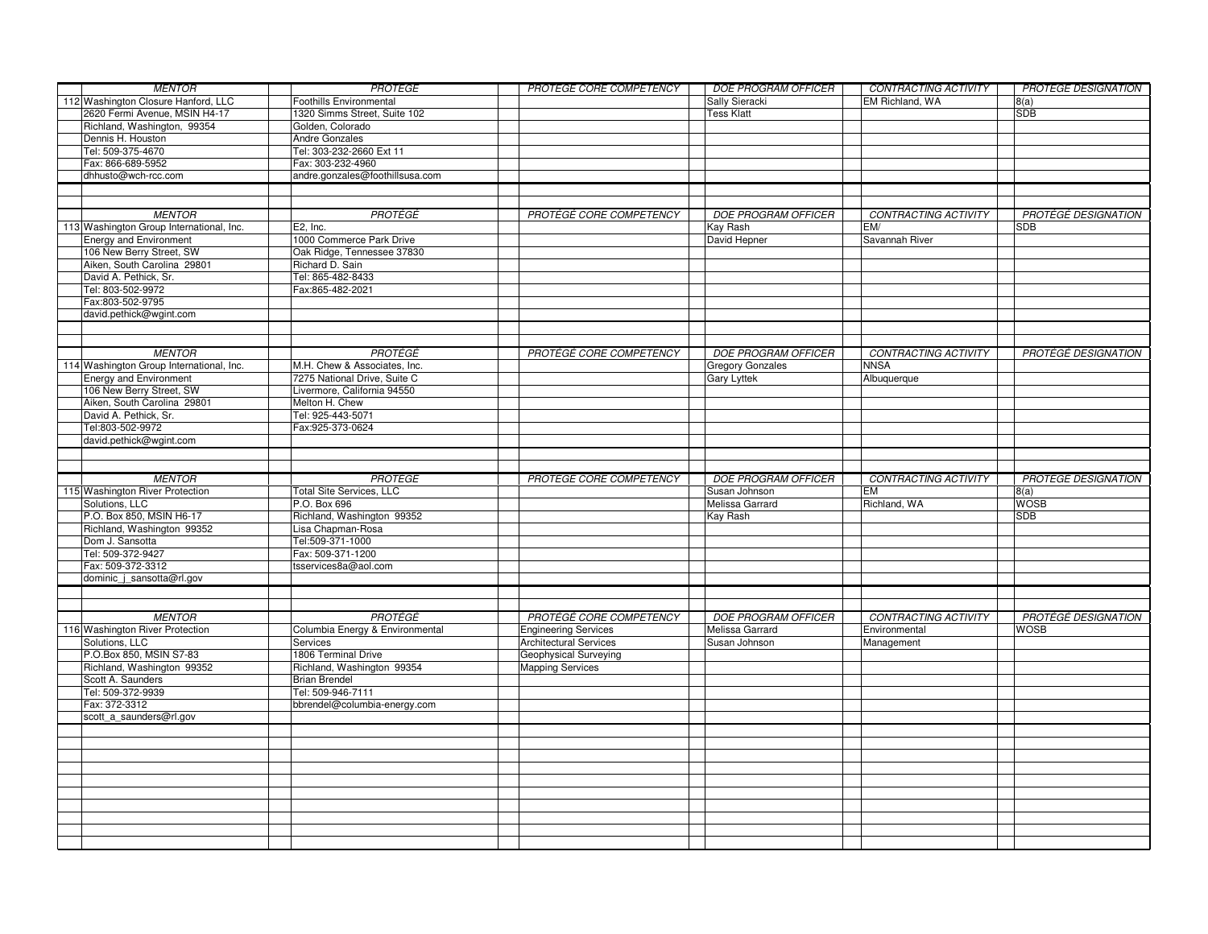| <b>MENTOR</b>                            | PROTÉGÉ                         | PROTÉGÉ CORE COMPETENCY       | <b>DOE PROGRAM OFFICER</b> | CONTRACTING ACTIVITY        | <b>PROTÉGÉ DESIGNATION</b> |
|------------------------------------------|---------------------------------|-------------------------------|----------------------------|-----------------------------|----------------------------|
| 112 Washington Closure Hanford, LLC      | Foothills Environmental         |                               | Sally Sieracki             | EM Richland, WA             | 8(a)                       |
| 2620 Fermi Avenue, MSIN H4-17            | 1320 Simms Street, Suite 102    |                               | Tess Klatt                 |                             | <b>SDB</b>                 |
| Richland, Washington, 99354              | Golden, Colorado                |                               |                            |                             |                            |
| Dennis H. Houston                        | Andre Gonzales                  |                               |                            |                             |                            |
| Tel: 509-375-4670                        | Tel: 303-232-2660 Ext 11        |                               |                            |                             |                            |
| Fax: 866-689-5952                        | Fax: 303-232-4960               |                               |                            |                             |                            |
| dhhusto@wch-rcc.com                      | andre.gonzales@foothillsusa.com |                               |                            |                             |                            |
|                                          |                                 |                               |                            |                             |                            |
|                                          |                                 |                               |                            |                             |                            |
| <b>MENTOR</b>                            | PROTÉGÉ                         | PROTÉGÉ CORE COMPETENCY       | <b>DOE PROGRAM OFFICER</b> | <b>CONTRACTING ACTIVITY</b> | <b>PROTÉGÉ DESIGNATION</b> |
| 113 Washington Group International, Inc. | E2, Inc.                        |                               | Kay Rash                   | EM/                         | SDB                        |
| <b>Energy and Environment</b>            | 1000 Commerce Park Drive        |                               | David Hepner               | Savannah River              |                            |
| 106 New Berry Street, SW                 | Oak Ridge, Tennessee 37830      |                               |                            |                             |                            |
|                                          |                                 |                               |                            |                             |                            |
| Aiken, South Carolina 29801              | Richard D. Sain                 |                               |                            |                             |                            |
| David A. Pethick, Sr.                    | Tel: 865-482-8433               |                               |                            |                             |                            |
| Tel: 803-502-9972                        | Fax:865-482-2021                |                               |                            |                             |                            |
| Fax:803-502-9795                         |                                 |                               |                            |                             |                            |
| david.pethick@wgint.com                  |                                 |                               |                            |                             |                            |
|                                          |                                 |                               |                            |                             |                            |
|                                          |                                 |                               |                            |                             |                            |
| <b>MENTOR</b>                            | <b>PROTÉGÉ</b>                  | PROTÉGÉ CORE COMPETENCY       | <b>DOE PROGRAM OFFICER</b> | <b>CONTRACTING ACTIVITY</b> | <b>PROTÉGÉ DESIGNATION</b> |
| 114 Washington Group International, Inc. | M.H. Chew & Associates, Inc.    |                               | <b>Gregory Gonzales</b>    | <b>NNSA</b>                 |                            |
| <b>Energy and Environment</b>            | 7275 National Drive, Suite C    |                               | Gary Lyttek                | Albuquerque                 |                            |
| 106 New Berry Street, SW                 | Livermore, California 94550     |                               |                            |                             |                            |
| Aiken, South Carolina 29801              | Melton H. Chew                  |                               |                            |                             |                            |
| David A. Pethick, Sr.                    | Tel: 925-443-5071               |                               |                            |                             |                            |
| Tel:803-502-9972                         | Fax:925-373-0624                |                               |                            |                             |                            |
| david.pethick@wgint.com                  |                                 |                               |                            |                             |                            |
|                                          |                                 |                               |                            |                             |                            |
|                                          |                                 |                               |                            |                             |                            |
|                                          |                                 |                               |                            |                             |                            |
| <b>MENTOR</b>                            | PROTÉGÉ                         | PROTÉGÉ CORE COMPETENCY       | <b>DOE PROGRAM OFFICER</b> | <b>CONTRACTING ACTIVITY</b> | <b>PROTÉGÉ DESIGNATION</b> |
| 115 Washington River Protection          | <b>Total Site Services, LLC</b> |                               | Susan Johnson              | EM                          | 8(a)                       |
| Solutions, LLC                           | P.O. Box 696                    |                               | Melissa Garrard            | Richland, WA                | <b>WOSB</b>                |
| P.O. Box 850, MSIN H6-17                 | Richland, Washington 99352      |                               | <b>Kay Rash</b>            |                             | <b>SDB</b>                 |
| Richland, Washington 99352               | Lisa Chapman-Rosa               |                               |                            |                             |                            |
| Dom J. Sansotta                          | Tel:509-371-1000                |                               |                            |                             |                            |
| Tel: 509-372-9427                        | Fax: 509-371-1200               |                               |                            |                             |                            |
| Fax: 509-372-3312                        | tsservices8a@aol.com            |                               |                            |                             |                            |
| dominic j sansotta@rl.gov                |                                 |                               |                            |                             |                            |
|                                          |                                 |                               |                            |                             |                            |
|                                          |                                 |                               |                            |                             |                            |
| <b>MENTOR</b>                            | PROTÉGÉ                         | PROTÉGÉ CORE COMPETENCY       | <b>DOE PROGRAM OFFICER</b> | <b>CONTRACTING ACTIVITY</b> | <b>PROTÉGÉ DESIGNATION</b> |
| 116 Washington River Protection          | Columbia Energy & Environmental | <b>Engineering Services</b>   | Melissa Garrard            | Environmental               | <b>WOSB</b>                |
| Solutions, LLC                           | Services                        | <b>Architectural Services</b> | Susan Johnson              | Management                  |                            |
| P.O.Box 850, MSIN S7-83                  | 1806 Terminal Drive             | Geophysical Surveying         |                            |                             |                            |
| Richland, Washington 99352               | Richland, Washington 99354      | <b>Mapping Services</b>       |                            |                             |                            |
| Scott A. Saunders                        | <b>Brian Brendel</b>            |                               |                            |                             |                            |
| Tel: 509-372-9939                        | Tel: 509-946-7111               |                               |                            |                             |                            |
| Fax: 372-3312                            | bbrendel@columbia-energy.com    |                               |                            |                             |                            |
| scott a saunders@rl.gov                  |                                 |                               |                            |                             |                            |
|                                          |                                 |                               |                            |                             |                            |
|                                          |                                 |                               |                            |                             |                            |
|                                          |                                 |                               |                            |                             |                            |
|                                          |                                 |                               |                            |                             |                            |
|                                          |                                 |                               |                            |                             |                            |
|                                          |                                 |                               |                            |                             |                            |
|                                          |                                 |                               |                            |                             |                            |
|                                          |                                 |                               |                            |                             |                            |
|                                          |                                 |                               |                            |                             |                            |